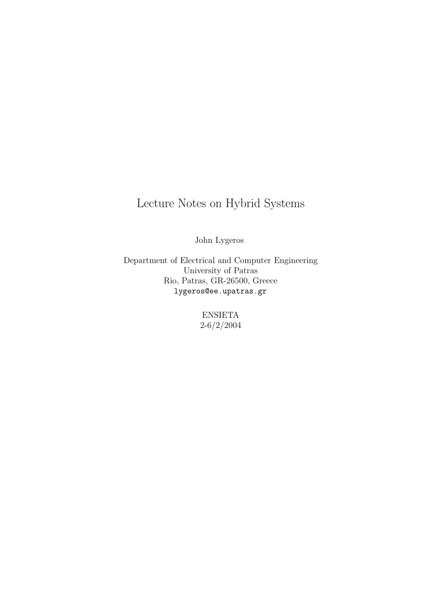## Lecture Notes on Hybrid Systems

John Lygeros

Department of Electrical and Computer Engineering University of Patras Rio, Patras, GR-26500, Greece lygeros@ee.upatras.gr

> ENSIETA 2-6/2/2004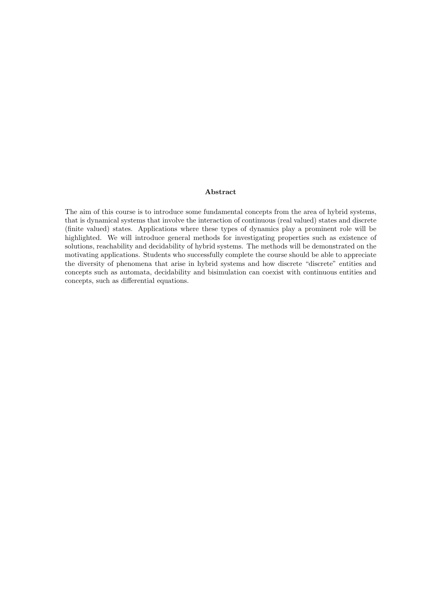#### Abstract

The aim of this course is to introduce some fundamental concepts from the area of hybrid systems, that is dynamical systems that involve the interaction of continuous (real valued) states and discrete (finite valued) states. Applications where these types of dynamics play a prominent role will be highlighted. We will introduce general methods for investigating properties such as existence of solutions, reachability and decidability of hybrid systems. The methods will be demonstrated on the motivating applications. Students who successfully complete the course should be able to appreciate the diversity of phenomena that arise in hybrid systems and how discrete "discrete" entities and concepts such as automata, decidability and bisimulation can coexist with continuous entities and concepts, such as differential equations.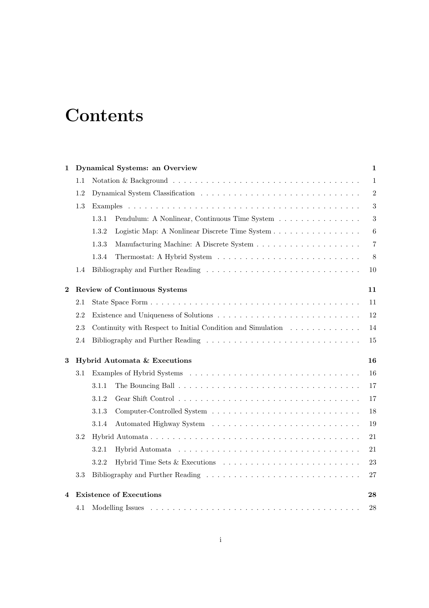# **Contents**

| 1        |         | <b>Dynamical Systems: an Overview</b>                                                                    | $\mathbf{1}$   |
|----------|---------|----------------------------------------------------------------------------------------------------------|----------------|
|          | $1.1\,$ |                                                                                                          | $\mathbf{1}$   |
|          | 1.2     |                                                                                                          | $\overline{2}$ |
|          | 1.3     |                                                                                                          | 3              |
|          |         | Pendulum: A Nonlinear, Continuous Time System<br>1.3.1                                                   | $\sqrt{3}$     |
|          |         | 1.3.2<br>Logistic Map: A Nonlinear Discrete Time System                                                  | $\,6\,$        |
|          |         | 1.3.3                                                                                                    | $\,7$          |
|          |         | 1.3.4                                                                                                    | 8              |
|          | 1.4     |                                                                                                          | 10             |
| $\bf{2}$ |         | <b>Review of Continuous Systems</b>                                                                      | 11             |
|          | 2.1     |                                                                                                          | 11             |
|          | 2.2     |                                                                                                          | 12             |
|          | 2.3     | Continuity with Respect to Initial Condition and Simulation                                              | 14             |
|          | 2.4     | Bibliography and Further Reading $\ldots \ldots \ldots \ldots \ldots \ldots \ldots \ldots \ldots \ldots$ | 15             |
| 3        |         | Hybrid Automata & Executions                                                                             | 16             |
|          | 3.1     |                                                                                                          | 16             |
|          |         | 3.1.1                                                                                                    | 17             |
|          |         | 3.1.2                                                                                                    | 17             |
|          |         | 3.1.3                                                                                                    | 18             |
|          |         | 3.1.4                                                                                                    | 19             |
|          | 3.2     |                                                                                                          | 21             |
|          |         | 3.2.1                                                                                                    | 21             |
|          |         | 3.2.2                                                                                                    | 23             |
|          | 3.3     |                                                                                                          | 27             |
| 4        |         | <b>Existence of Executions</b>                                                                           | 28             |
|          | 4.1     |                                                                                                          | 28             |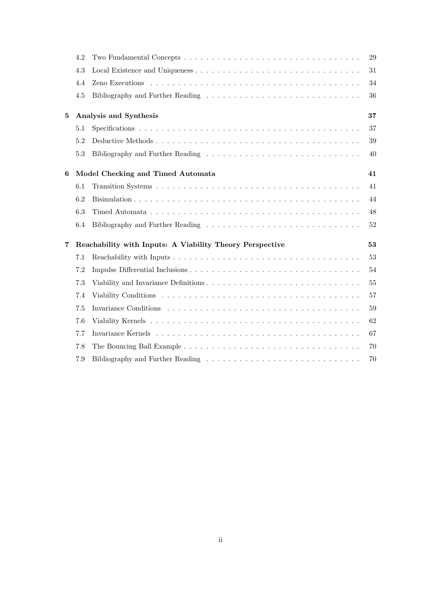|                | 4.2 |                                                          | 29 |
|----------------|-----|----------------------------------------------------------|----|
|                | 4.3 |                                                          | 31 |
|                | 4.4 |                                                          | 34 |
|                | 4.5 |                                                          | 36 |
| $\bf{5}$       |     | Analysis and Synthesis                                   | 37 |
|                | 5.1 |                                                          | 37 |
|                | 5.2 |                                                          | 39 |
|                | 5.3 |                                                          | 40 |
| 6              |     | Model Checking and Timed Automata                        | 41 |
|                | 6.1 |                                                          | 41 |
|                | 6.2 |                                                          | 44 |
|                | 6.3 |                                                          | 48 |
|                | 6.4 |                                                          | 52 |
| $\overline{7}$ |     | Reachability with Inputs: A Viability Theory Perspective | 53 |
|                | 7.1 |                                                          | 53 |
|                | 7.2 |                                                          | 54 |
|                | 7.3 |                                                          | 55 |
|                | 7.4 |                                                          | 57 |
|                | 7.5 |                                                          | 59 |
|                | 7.6 |                                                          | 62 |
|                | 7.7 |                                                          | 67 |
|                | 7.8 |                                                          | 70 |
|                | 7.9 |                                                          | 70 |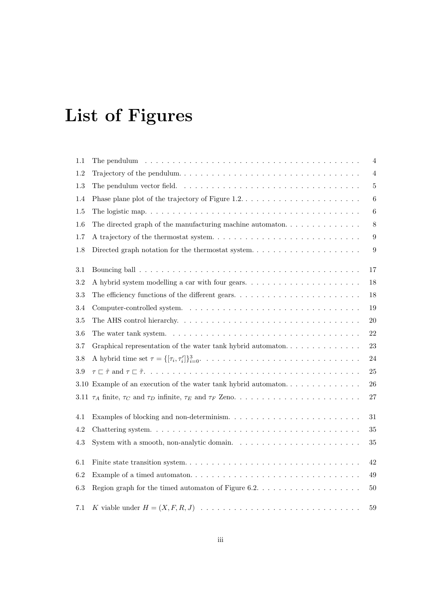# List of Figures

| 1.1     | The pendulum $\dots \dots \dots \dots \dots \dots \dots \dots \dots \dots \dots \dots \dots \dots \dots \dots$ | $\overline{4}$   |
|---------|----------------------------------------------------------------------------------------------------------------|------------------|
| 1.2     |                                                                                                                | $\sqrt{4}$       |
| 1.3     |                                                                                                                | $\overline{5}$   |
| 1.4     |                                                                                                                | $\,6\,$          |
| 1.5     |                                                                                                                | $\,6\,$          |
| 1.6     | The directed graph of the manufacturing machine automaton. $\dots \dots \dots \dots \dots$                     | 8                |
| 1.7     |                                                                                                                | $\boldsymbol{9}$ |
| 1.8     | Directed graph notation for the thermostat system. $\dots \dots \dots \dots \dots \dots \dots$                 | $\boldsymbol{9}$ |
| 3.1     |                                                                                                                | 17               |
| 3.2     | A hybrid system modelling a car with four gears                                                                | 18               |
| 3.3     |                                                                                                                | 18               |
| 3.4     |                                                                                                                | 19               |
| 3.5     |                                                                                                                | $20\,$           |
| 3.6     |                                                                                                                | 22               |
| 3.7     |                                                                                                                | 23               |
| 3.8     |                                                                                                                | 24               |
| 3.9     |                                                                                                                | 25               |
|         | 3.10 Example of an execution of the water tank hybrid automaton                                                | 26               |
|         |                                                                                                                | $27\,$           |
| 4.1     | Examples of blocking and non-determinism                                                                       | 31               |
| 4.2     |                                                                                                                | 35               |
| $4.3\,$ | System with a smooth, non-analytic domain. $\dots \dots \dots \dots \dots \dots \dots \dots \dots$             | $35\,$           |
| 6.1     |                                                                                                                | 42               |
| 6.2     |                                                                                                                | $49\,$           |
| 6.3     | Region graph for the timed automaton of Figure 6.2. $\dots$                                                    | $50\,$           |
| 7.1     |                                                                                                                | 59               |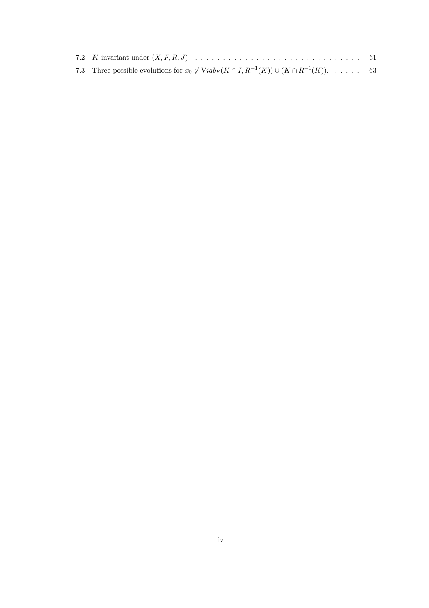| 7.3 Three possible evolutions for $x_0 \notin \text{Viab}_F(K \cap I, R^{-1}(K)) \cup (K \cap R^{-1}(K))$ . 63 |  |
|----------------------------------------------------------------------------------------------------------------|--|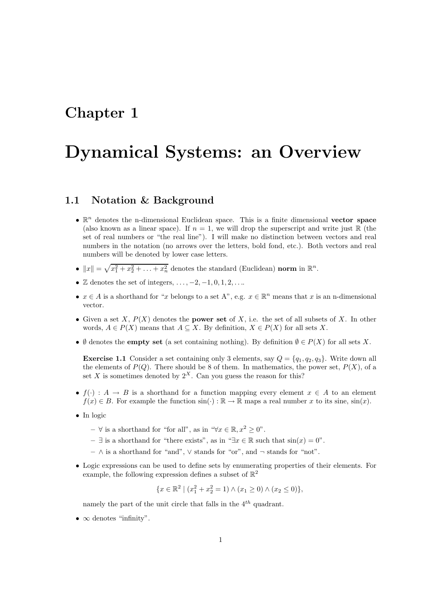## Chapter 1

# Dynamical Systems: an Overview

### 1.1 Notation & Background

- $\bullet$   $\mathbb{R}^n$  denotes the n-dimensional Euclidean space. This is a finite dimensional vector space (also known as a linear space). If  $n = 1$ , we will drop the superscript and write just  $\mathbb R$  (the set of real numbers or "the real line"). I will make no distinction between vectors and real numbers in the notation (no arrows over the letters, bold fond, etc.). Both vectors and real numbers will be denoted by lower case letters.
- $||x|| = \sqrt{x_1^2 + x_2^2 + \ldots + x_n^2}$  denotes the standard (Euclidean) norm in  $\mathbb{R}^n$ .
- $\mathbb Z$  denotes the set of integers,  $\dots$ ,  $-2$ ,  $-1$ ,  $0$ ,  $1$ ,  $2$ ,  $\dots$
- $x \in A$  is a shorthand for "x belongs to a set A", e.g.  $x \in \mathbb{R}^n$  means that x is an n-dimensional vector.
- Given a set X,  $P(X)$  denotes the **power set** of X, i.e. the set of all subsets of X. In other words,  $A \in P(X)$  means that  $A \subseteq X$ . By definition,  $X \in P(X)$  for all sets X.
- Ø denotes the **empty set** (a set containing nothing). By definition  $\emptyset \in P(X)$  for all sets X.

**Exercise 1.1** Consider a set containing only 3 elements, say  $Q = \{q_1, q_2, q_3\}$ . Write down all the elements of  $P(Q)$ . There should be 8 of them. In mathematics, the power set,  $P(X)$ , of a set X is sometimes denoted by  $2^X$ . Can you guess the reason for this?

- $f(\cdot): A \to B$  is a shorthand for a function mapping every element  $x \in A$  to an element  $f(x) \in B$ . For example the function  $\sin(\cdot) : \mathbb{R} \to \mathbb{R}$  maps a real number x to its sine,  $\sin(x)$ .
- In logic
	- $-$  ∀ is a shorthand for "for all", as in "∀ $x \in \mathbb{R}, x^2 > 0$ ".
	- $-$  ∃ is a shorthand for "there exists", as in "∃x ∈ R such that  $sin(x) = 0$ ".
	- ∧ is a shorthand for "and", ∨ stands for "or", and ¬ stands for "not".
- Logic expressions can be used to define sets by enumerating properties of their elements. For example, the following expression defines a subset of  $\mathbb{R}^2$

 ${x \in \mathbb{R}^2 \mid (x_1^2 + x_2^2 = 1) \wedge (x_1 \ge 0) \wedge (x_2 \le 0)},$ 

namely the part of the unit circle that falls in the  $4<sup>th</sup>$  quadrant.

•  $\infty$  denotes "infinity".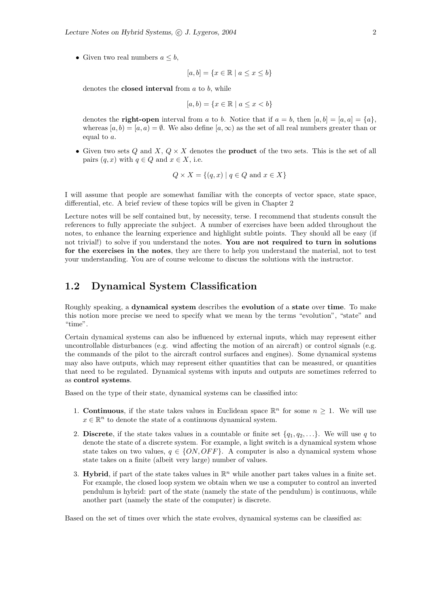• Given two real numbers  $a \leq b$ ,

 $[a, b] = \{x \in \mathbb{R} \mid a \leq x \leq b\}$ 

denotes the **closed interval** from  $a$  to  $b$ , while

 $[a, b) = \{x \in \mathbb{R} \mid a \leq x < b\}$ 

denotes the **right-open** interval from a to b. Notice that if  $a = b$ , then  $[a, b] = [a, a] = \{a\}$ , whereas  $[a, b] = [a, a] = \emptyset$ . We also define  $[a, \infty)$  as the set of all real numbers greater than or equal to a.

• Given two sets Q and  $X, Q \times X$  denotes the **product** of the two sets. This is the set of all pairs  $(q, x)$  with  $q \in Q$  and  $x \in X$ , i.e.

$$
Q \times X = \{(q, x) \mid q \in Q \text{ and } x \in X\}
$$

I will assume that people are somewhat familiar with the concepts of vector space, state space, differential, etc. A brief review of these topics will be given in Chapter 2

Lecture notes will be self contained but, by necessity, terse. I recommend that students consult the references to fully appreciate the subject. A number of exercises have been added throughout the notes, to enhance the learning experience and highlight subtle points. They should all be easy (if not trivial!) to solve if you understand the notes. You are not required to turn in solutions for the exercises in the notes, they are there to help you understand the material, not to test your understanding. You are of course welcome to discuss the solutions with the instructor.

### 1.2 Dynamical System Classification

Roughly speaking, a dynamical system describes the evolution of a state over time. To make this notion more precise we need to specify what we mean by the terms "evolution", "state" and "time".

Certain dynamical systems can also be influenced by external inputs, which may represent either uncontrollable disturbances (e.g. wind affecting the motion of an aircraft) or control signals (e.g. the commands of the pilot to the aircraft control surfaces and engines). Some dynamical systems may also have outputs, which may represent either quantities that can be measured, or quantities that need to be regulated. Dynamical systems with inputs and outputs are sometimes referred to as control systems.

Based on the type of their state, dynamical systems can be classified into:

- 1. **Continuous**, if the state takes values in Euclidean space  $\mathbb{R}^n$  for some  $n \geq 1$ . We will use  $x \in \mathbb{R}^n$  to denote the state of a continuous dynamical system.
- 2. Discrete, if the state takes values in a countable or finite set  $\{q_1, q_2, \ldots\}$ . We will use q to denote the state of a discrete system. For example, a light switch is a dynamical system whose state takes on two values,  $q \in \{ON, OFF\}$ . A computer is also a dynamical system whose state takes on a finite (albeit very large) number of values.
- 3. Hybrid, if part of the state takes values in  $\mathbb{R}^n$  while another part takes values in a finite set. For example, the closed loop system we obtain when we use a computer to control an inverted pendulum is hybrid: part of the state (namely the state of the pendulum) is continuous, while another part (namely the state of the computer) is discrete.

Based on the set of times over which the state evolves, dynamical systems can be classified as: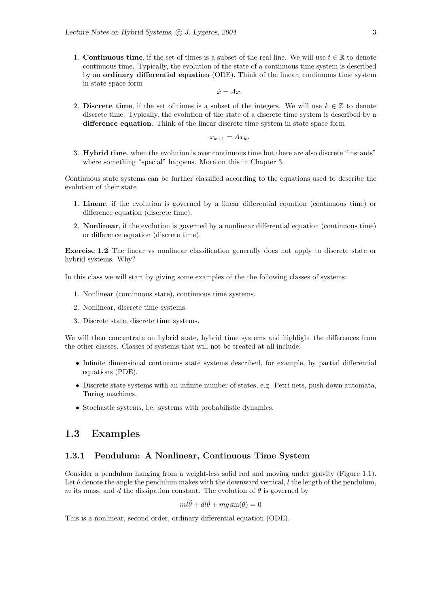1. **Continuous time**, if the set of times is a subset of the real line. We will use  $t \in \mathbb{R}$  to denote continuous time. Typically, the evolution of the state of a continuous time system is described by an ordinary differential equation (ODE). Think of the linear, continuous time system in state space form

$$
\dot{x} = Ax.
$$

2. Discrete time, if the set of times is a subset of the integers. We will use  $k \in \mathbb{Z}$  to denote discrete time. Typically, the evolution of the state of a discrete time system is described by a difference equation. Think of the linear discrete time system in state space form

$$
x_{k+1} = Ax_k.
$$

3. Hybrid time, when the evolution is over continuous time but there are also discrete "instants" where something "special" happens. More on this in Chapter 3.

Continuous state systems can be further classified according to the equations used to describe the evolution of their state

- 1. Linear, if the evolution is governed by a linear differential equation (continuous time) or difference equation (discrete time).
- 2. Nonlinear, if the evolution is governed by a nonlinear differential equation (continuous time) or difference equation (discrete time).

Exercise 1.2 The linear vs nonlinear classification generally does not apply to discrete state or hybrid systems. Why?

In this class we will start by giving some examples of the the following classes of systems:

- 1. Nonlinear (continuous state), continuous time systems.
- 2. Nonlinear, discrete time systems.
- 3. Discrete state, discrete time systems.

We will then concentrate on hybrid state, hybrid time systems and highlight the differences from the other classes. Classes of systems that will not be treated at all include:

- Infinite dimensional continuous state systems described, for example, by partial differential equations (PDE).
- Discrete state systems with an infinite number of states, e.g. Petri nets, push down automata, Turing machines.
- Stochastic systems, i.e. systems with probabilistic dynamics.

## 1.3 Examples

#### 1.3.1 Pendulum: A Nonlinear, Continuous Time System

Consider a pendulum hanging from a weight-less solid rod and moving under gravity (Figure 1.1). Let  $\theta$  denote the angle the pendulum makes with the downward vertical, l the length of the pendulum, m its mass, and d the dissipation constant. The evolution of  $\theta$  is governed by

$$
ml\ddot{\theta} + dl\dot{\theta} + mg\sin(\theta) = 0
$$

This is a nonlinear, second order, ordinary differential equation (ODE).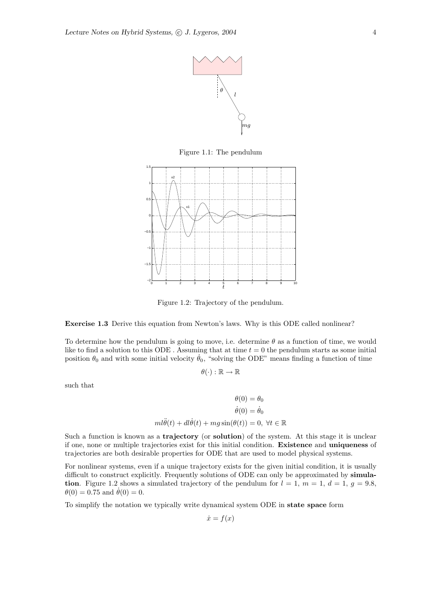

Figure 1.1: The pendulum



Figure 1.2: Trajectory of the pendulum.

Exercise 1.3 Derive this equation from Newton's laws. Why is this ODE called nonlinear?

To determine how the pendulum is going to move, i.e. determine  $\theta$  as a function of time, we would like to find a solution to this ODE. Assuming that at time  $t = 0$  the pendulum starts as some initial position  $\theta_0$  and with some initial velocity  $\dot{\theta}_0$ , "solving the ODE" means finding a function of time

$$
\theta(\cdot):\mathbb{R}\to\mathbb{R}
$$

such that

$$
\theta(0) = \theta_0
$$

$$
\dot{\theta}(0) = \dot{\theta}_0
$$

$$
m l \ddot{\theta}(t) + dl \dot{\theta}(t) + mg \sin(\theta(t)) = 0, \ \forall t \in \mathbb{R}
$$

Such a function is known as a trajectory (or solution) of the system. At this stage it is unclear if one, none or multiple trajectories exist for this initial condition. Existence and uniqueness of trajectories are both desirable properties for ODE that are used to model physical systems.

For nonlinear systems, even if a unique trajectory exists for the given initial condition, it is usually difficult to construct explicitly. Frequently solutions of ODE can only be approximated by simulation. Figure 1.2 shows a simulated trajectory of the pendulum for  $l = 1$ ,  $m = 1$ ,  $d = 1$ ,  $g = 9.8$ ,  $\theta(0) = 0.75$  and  $\theta(0) = 0$ .

To simplify the notation we typically write dynamical system ODE in state space form

$$
\dot{x} = f(x)
$$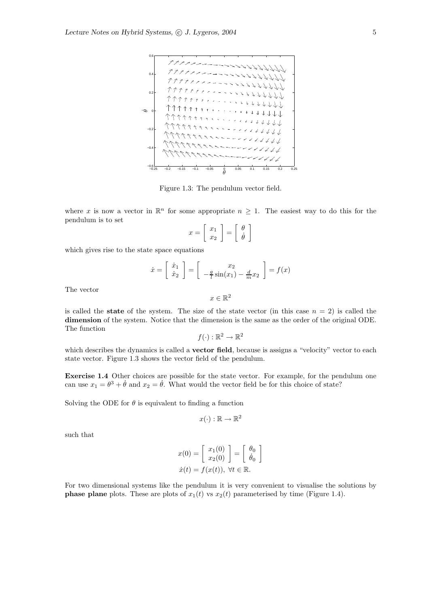

Figure 1.3: The pendulum vector field.

where x is now a vector in  $\mathbb{R}^n$  for some appropriate  $n \geq 1$ . The easiest way to do this for the pendulum is to set

$$
x = \left[ \begin{array}{c} x_1 \\ x_2 \end{array} \right] = \left[ \begin{array}{c} \theta \\ \dot{\theta} \end{array} \right]
$$

which gives rise to the state space equations

$$
\dot{x} = \begin{bmatrix} \dot{x}_1 \\ \dot{x}_2 \end{bmatrix} = \begin{bmatrix} x_2 \\ -\frac{g}{l}\sin(x_1) - \frac{d}{m}x_2 \end{bmatrix} = f(x)
$$

The vector

is called the **state** of the system. The size of the state vector (in this case  $n = 2$ ) is called the dimension of the system. Notice that the dimension is the same as the order of the original ODE. The function

 $x \in \mathbb{R}^2$ 

 $f(\cdot): \mathbb{R}^2 \to \mathbb{R}^2$ 

which describes the dynamics is called a **vector field**, because is assigns a "velocity" vector to each state vector. Figure 1.3 shows the vector field of the pendulum.

Exercise 1.4 Other choices are possible for the state vector. For example, for the pendulum one can use  $x_1 = \theta^3 + \dot{\theta}$  and  $x_2 = \dot{\theta}$ . What would the vector field be for this choice of state?

Solving the ODE for  $\theta$  is equivalent to finding a function

$$
x(\cdot): \mathbb{R} \to \mathbb{R}^2
$$

such that

$$
x(0) = \begin{bmatrix} x_1(0) \\ x_2(0) \end{bmatrix} = \begin{bmatrix} \theta_0 \\ \dot{\theta}_0 \end{bmatrix}
$$

$$
\dot{x}(t) = f(x(t)), \ \forall t \in \mathbb{R}.
$$

For two dimensional systems like the pendulum it is very convenient to visualise the solutions by **phase plane** plots. These are plots of  $x_1(t)$  vs  $x_2(t)$  parameterised by time (Figure 1.4).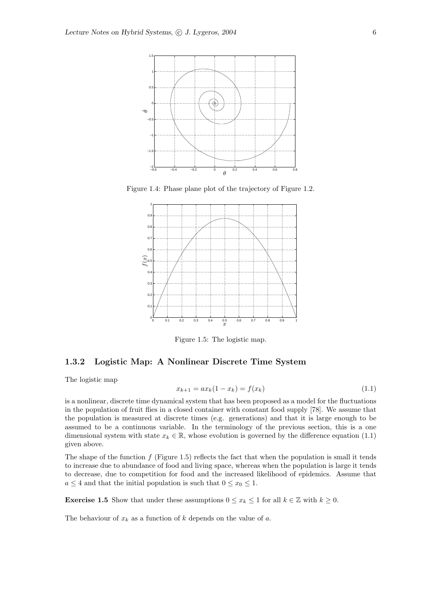

Figure 1.4: Phase plane plot of the trajectory of Figure 1.2.



Figure 1.5: The logistic map.

#### 1.3.2 Logistic Map: A Nonlinear Discrete Time System

The logistic map

$$
x_{k+1} = ax_k(1 - x_k) = f(x_k)
$$
\n(1.1)

is a nonlinear, discrete time dynamical system that has been proposed as a model for the fluctuations in the population of fruit flies in a closed container with constant food supply [78]. We assume that the population is measured at discrete times (e.g. generations) and that it is large enough to be assumed to be a continuous variable. In the terminology of the previous section, this is a one dimensional system with state  $x_k \in \mathbb{R}$ , whose evolution is governed by the difference equation (1.1) given above.

The shape of the function  $f$  (Figure 1.5) reflects the fact that when the population is small it tends to increase due to abundance of food and living space, whereas when the population is large it tends to decrease, due to competition for food and the increased likelihood of epidemics. Assume that  $a \leq 4$  and that the initial population is such that  $0 \leq x_0 \leq 1$ .

**Exercise 1.5** Show that under these assumptions  $0 \le x_k \le 1$  for all  $k \in \mathbb{Z}$  with  $k \ge 0$ .

The behaviour of  $x_k$  as a function of k depends on the value of a.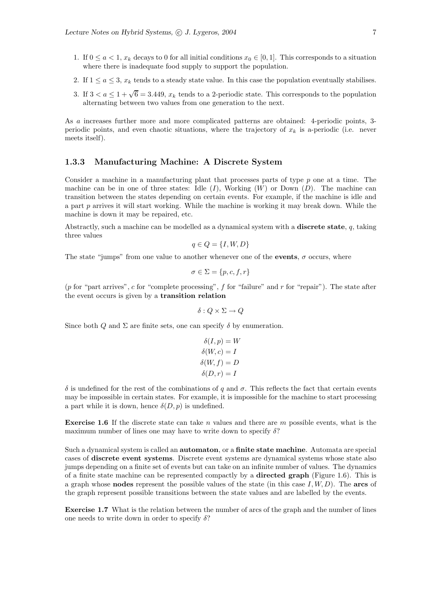- 1. If  $0 \le a < 1$ ,  $x_k$  decays to 0 for all initial conditions  $x_0 \in [0, 1]$ . This corresponds to a situation where there is inadequate food supply to support the population.
- 2. If  $1 \le a \le 3$ ,  $x_k$  tends to a steady state value. In this case the population eventually stabilises.
- 3. If  $3 < a \leq 1 + \sqrt{6} = 3.449$ ,  $x_k$  tends to a 2-periodic state. This corresponds to the population alternating between two values from one generation to the next.

As a increases further more and more complicated patterns are obtained: 4-periodic points, 3 periodic points, and even chaotic situations, where the trajectory of  $x_k$  is a-periodic (i.e. never meets itself).

#### 1.3.3 Manufacturing Machine: A Discrete System

Consider a machine in a manufacturing plant that processes parts of type p one at a time. The machine can be in one of three states: Idle  $(I)$ , Working  $(W)$  or Down  $(D)$ . The machine can transition between the states depending on certain events. For example, if the machine is idle and a part  $p$  arrives it will start working. While the machine is working it may break down. While the machine is down it may be repaired, etc.

Abstractly, such a machine can be modelled as a dynamical system with a **discrete state**, q, taking three values

$$
q\in Q=\{I,W,D\}
$$

The state "jumps" from one value to another whenever one of the events,  $\sigma$  occurs, where

$$
\sigma \in \Sigma = \{p, c, f, r\}
$$

(p for "part arrives", c for "complete processing", f for "failure" and r for "repair"). The state after the event occurs is given by a transition relation

$$
\delta: Q \times \Sigma \to Q
$$

Since both Q and  $\Sigma$  are finite sets, one can specify  $\delta$  by enumeration.

$$
\delta(I, p) = W
$$

$$
\delta(W, c) = I
$$

$$
\delta(W, f) = D
$$

$$
\delta(D, r) = I
$$

δ is undefined for the rest of the combinations of q and σ. This reflects the fact that certain events may be impossible in certain states. For example, it is impossible for the machine to start processing a part while it is down, hence  $\delta(D, p)$  is undefined.

**Exercise 1.6** If the discrete state can take n values and there are m possible events, what is the maximum number of lines one may have to write down to specify  $\delta$ ?

Such a dynamical system is called an automaton, or a finite state machine. Automata are special cases of discrete event systems. Discrete event systems are dynamical systems whose state also jumps depending on a finite set of events but can take on an infinite number of values. The dynamics of a finite state machine can be represented compactly by a directed graph (Figure 1.6). This is a graph whose **nodes** represent the possible values of the state (in this case  $I, W, D$ ). The **arcs** of the graph represent possible transitions between the state values and are labelled by the events.

Exercise 1.7 What is the relation between the number of arcs of the graph and the number of lines one needs to write down in order to specify  $\delta$ ?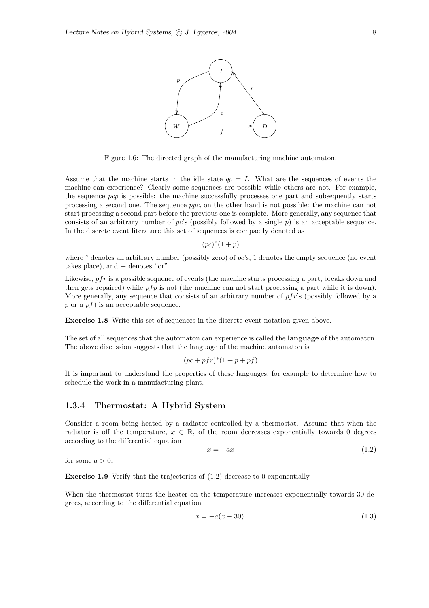

Figure 1.6: The directed graph of the manufacturing machine automaton.

Assume that the machine starts in the idle state  $q_0 = I$ . What are the sequences of events the machine can experience? Clearly some sequences are possible while others are not. For example, the sequence pcp is possible: the machine successfully processes one part and subsequently starts processing a second one. The sequence ppc, on the other hand is not possible: the machine can not start processing a second part before the previous one is complete. More generally, any sequence that consists of an arbitrary number of  $pc$ 's (possibly followed by a single p) is an acceptable sequence. In the discrete event literature this set of sequences is compactly denoted as

 $(pc)^*(1 + p)$ 

where  $*$  denotes an arbitrary number (possibly zero) of  $pc$ 's, 1 denotes the empty sequence (no event takes place), and  $+$  denotes "or".

Likewise,  $pfr$  is a possible sequence of events (the machine starts processing a part, breaks down and then gets repaired) while  $pfp$  is not (the machine can not start processing a part while it is down). More generally, any sequence that consists of an arbitrary number of pfr's (possibly followed by a p or a  $pf$ ) is an acceptable sequence.

Exercise 1.8 Write this set of sequences in the discrete event notation given above.

The set of all sequences that the automaton can experience is called the **language** of the automaton. The above discussion suggests that the language of the machine automaton is

$$
(pc + pfr)^{*}(1 + p + pf)
$$

It is important to understand the properties of these languages, for example to determine how to schedule the work in a manufacturing plant.

#### 1.3.4 Thermostat: A Hybrid System

Consider a room being heated by a radiator controlled by a thermostat. Assume that when the radiator is off the temperature,  $x \in \mathbb{R}$ , of the room decreases exponentially towards 0 degrees according to the differential equation

$$
\dot{x} = -ax \tag{1.2}
$$

for some  $a > 0$ .

Exercise 1.9 Verify that the trajectories of (1.2) decrease to 0 exponentially.

When the thermostat turns the heater on the temperature increases exponentially towards 30 degrees, according to the differential equation

$$
\dot{x} = -a(x - 30). \tag{1.3}
$$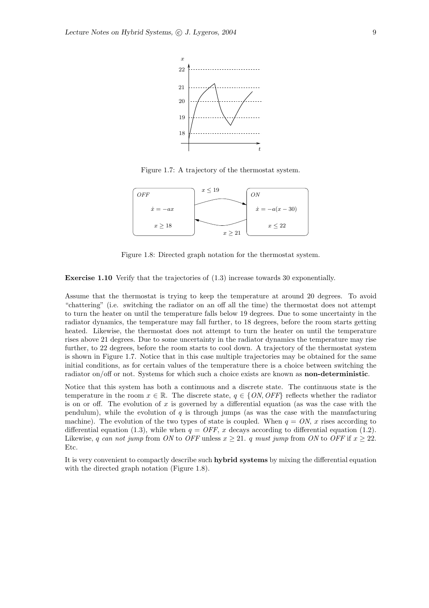

Figure 1.7: A trajectory of the thermostat system.



Figure 1.8: Directed graph notation for the thermostat system.

Exercise 1.10 Verify that the trajectories of (1.3) increase towards 30 exponentially.

Assume that the thermostat is trying to keep the temperature at around 20 degrees. To avoid "chattering" (i.e. switching the radiator on an off all the time) the thermostat does not attempt to turn the heater on until the temperature falls below 19 degrees. Due to some uncertainty in the radiator dynamics, the temperature may fall further, to 18 degrees, before the room starts getting heated. Likewise, the thermostat does not attempt to turn the heater on until the temperature rises above 21 degrees. Due to some uncertainty in the radiator dynamics the temperature may rise further, to 22 degrees, before the room starts to cool down. A trajectory of the thermostat system is shown in Figure 1.7. Notice that in this case multiple trajectories may be obtained for the same initial conditions, as for certain values of the temperature there is a choice between switching the radiator on/off or not. Systems for which such a choice exists are known as **non-deterministic**.

Notice that this system has both a continuous and a discrete state. The continuous state is the temperature in the room  $x \in \mathbb{R}$ . The discrete state,  $q \in \{ON, OFF\}$  reflects whether the radiator is on or off. The evolution of  $x$  is governed by a differential equation (as was the case with the pendulum), while the evolution of  $q$  is through jumps (as was the case with the manufacturing machine). The evolution of the two types of state is coupled. When  $q = ON$ , x rises according to differential equation (1.3), while when  $q = OFF$ , x decays according to differential equation (1.2). Likewise, q can not jump from ON to OFF unless  $x > 21$ . q must jump from ON to OFF if  $x > 22$ . Etc.

It is very convenient to compactly describe such hybrid systems by mixing the differential equation with the directed graph notation (Figure 1.8).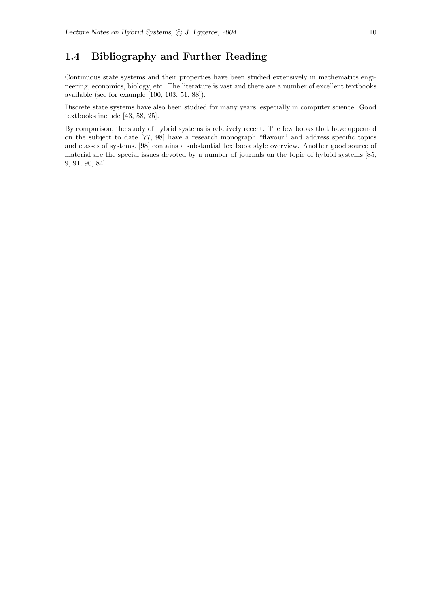## 1.4 Bibliography and Further Reading

Continuous state systems and their properties have been studied extensively in mathematics engineering, economics, biology, etc. The literature is vast and there are a number of excellent textbooks available (see for example [100, 103, 51, 88]).

Discrete state systems have also been studied for many years, especially in computer science. Good textbooks include [43, 58, 25].

By comparison, the study of hybrid systems is relatively recent. The few books that have appeared on the subject to date [77, 98] have a research monograph "flavour" and address specific topics and classes of systems. [98] contains a substantial textbook style overview. Another good source of material are the special issues devoted by a number of journals on the topic of hybrid systems [85, 9, 91, 90, 84].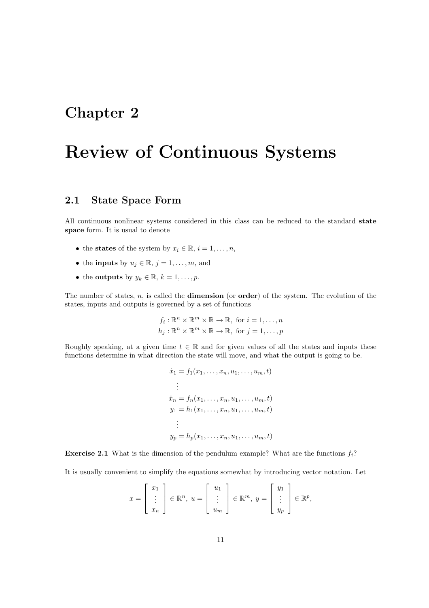## Chapter 2

# Review of Continuous Systems

### 2.1 State Space Form

All continuous nonlinear systems considered in this class can be reduced to the standard state space form. It is usual to denote

- the states of the system by  $x_i \in \mathbb{R}, i = 1, \ldots, n$ ,
- the **inputs** by  $u_j \in \mathbb{R}$ ,  $j = 1, \ldots, m$ , and
- the outputs by  $y_k \in \mathbb{R}$ ,  $k = 1, \ldots, p$ .

The number of states,  $n$ , is called the **dimension** (or **order**) of the system. The evolution of the states, inputs and outputs is governed by a set of functions

$$
f_i: \mathbb{R}^n \times \mathbb{R}^m \times \mathbb{R} \to \mathbb{R}, \text{ for } i = 1, ..., n
$$
  

$$
h_j: \mathbb{R}^n \times \mathbb{R}^m \times \mathbb{R} \to \mathbb{R}, \text{ for } j = 1, ..., p
$$

Roughly speaking, at a given time  $t \in \mathbb{R}$  and for given values of all the states and inputs these functions determine in what direction the state will move, and what the output is going to be.

$$
\begin{aligned}\n\dot{x}_1 &= f_1(x_1, \dots, x_n, u_1, \dots, u_m, t) \\
&\vdots \\
\dot{x}_n &= f_n(x_1, \dots, x_n, u_1, \dots, u_m, t) \\
y_1 &= h_1(x_1, \dots, x_n, u_1, \dots, u_m, t) \\
&\vdots \\
y_p &= h_p(x_1, \dots, x_n, u_1, \dots, u_m, t)\n\end{aligned}
$$

**Exercise 2.1** What is the dimension of the pendulum example? What are the functions  $f_i$ ?

It is usually convenient to simplify the equations somewhat by introducing vector notation. Let

$$
x = \begin{bmatrix} x_1 \\ \vdots \\ x_n \end{bmatrix} \in \mathbb{R}^n, \ u = \begin{bmatrix} u_1 \\ \vdots \\ u_m \end{bmatrix} \in \mathbb{R}^m, \ y = \begin{bmatrix} y_1 \\ \vdots \\ y_p \end{bmatrix} \in \mathbb{R}^p,
$$

 $\overline{a}$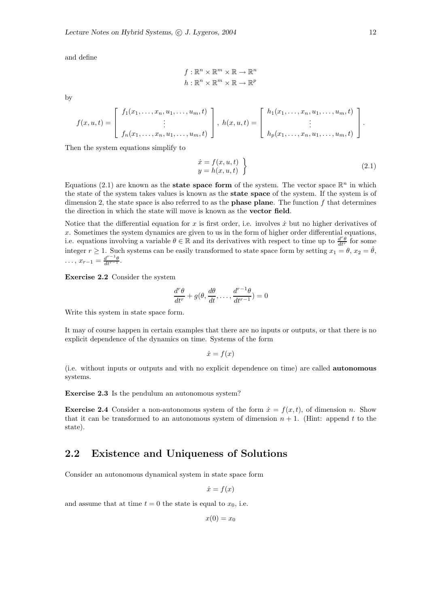and define

$$
f: \mathbb{R}^n \times \mathbb{R}^m \times \mathbb{R} \to \mathbb{R}^n
$$

$$
h: \mathbb{R}^n \times \mathbb{R}^m \times \mathbb{R} \to \mathbb{R}^p
$$

by

$$
f(x, u, t) = \begin{bmatrix} f_1(x_1, \dots, x_n, u_1, \dots, u_m, t) \\ \vdots \\ f_n(x_1, \dots, x_n, u_1, \dots, u_m, t) \end{bmatrix}, h(x, u, t) = \begin{bmatrix} h_1(x_1, \dots, x_n, u_1, \dots, u_m, t) \\ \vdots \\ h_p(x_1, \dots, x_n, u_1, \dots, u_m, t) \end{bmatrix}.
$$

Then the system equations simplify to

$$
\begin{aligned}\n\dot{x} &= f(x, u, t) \\
y &= h(x, u, t)\n\end{aligned}
$$
\n(2.1)

Equations (2.1) are known as the **state space form** of the system. The vector space  $\mathbb{R}^n$  in which the state of the system takes values is known as the state space of the system. If the system is of dimension 2, the state space is also referred to as the **phase plane**. The function  $f$  that determines the direction in which the state will move is known as the vector field.

Notice that the differential equation for x is first order, i.e. involves  $\dot{x}$  but no higher derivatives of x. Sometimes the system dynamics are given to us in the form of higher order differential equations, i.e. equations involving a variable  $\theta \in \mathbb{R}$  and its derivatives with respect to time up to  $\frac{d^r \theta}{dt^r}$  for some integer  $r \geq 1$ . Such systems can be easily transformed to state space form by setting  $x_1 = \theta$ ,  $x_2 = \dot{\theta}$ ,  $\ldots, x_{r-1} = \frac{d^{r-1}\theta}{dt^{r-1}}.$ 

Exercise 2.2 Consider the system

$$
\frac{d^r\theta}{dt^r} + g(\theta, \frac{d\theta}{dt}, \dots, \frac{d^{r-1}\theta}{dt^{r-1}}) = 0
$$

Write this system in state space form.

It may of course happen in certain examples that there are no inputs or outputs, or that there is no explicit dependence of the dynamics on time. Systems of the form

$$
\dot{x} = f(x)
$$

(i.e. without inputs or outputs and with no explicit dependence on time) are called autonomous systems.

Exercise 2.3 Is the pendulum an autonomous system?

**Exercise 2.4** Consider a non-autonomous system of the form  $\dot{x} = f(x, t)$ , of dimension n. Show that it can be transformed to an autonomous system of dimension  $n + 1$ . (Hint: append t to the state).

## 2.2 Existence and Uniqueness of Solutions

Consider an autonomous dynamical system in state space form

$$
\dot{x} = f(x)
$$

and assume that at time  $t = 0$  the state is equal to  $x_0$ , i.e.

 $x(0) = x_0$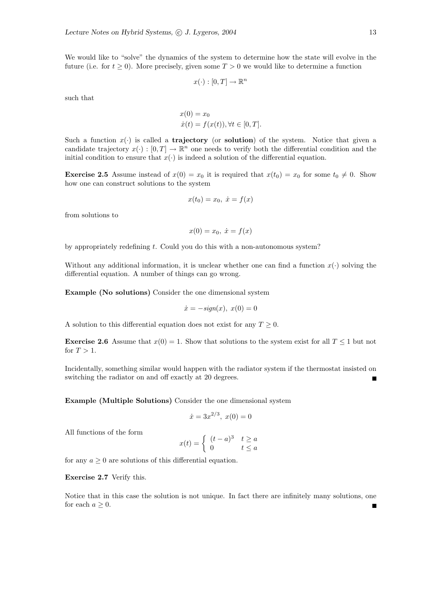We would like to "solve" the dynamics of the system to determine how the state will evolve in the future (i.e. for  $t \geq 0$ ). More precisely, given some  $T > 0$  we would like to determine a function

$$
x(\cdot):[0,T]\to\mathbb{R}^n
$$

such that

$$
x(0) = x_0
$$
  
\n
$$
\dot{x}(t) = f(x(t)), \forall t \in [0, T].
$$

Such a function  $x(\cdot)$  is called a **trajectory** (or **solution**) of the system. Notice that given a candidate trajectory  $x(\cdot) : [0, T] \to \mathbb{R}^n$  one needs to verify both the differential condition and the initial condition to ensure that  $x(\cdot)$  is indeed a solution of the differential equation.

**Exercise 2.5** Assume instead of  $x(0) = x_0$  it is required that  $x(t_0) = x_0$  for some  $t_0 \neq 0$ . Show how one can construct solutions to the system

$$
x(t_0) = x_0, \ \dot{x} = f(x)
$$

from solutions to

$$
x(0) = x_0, \ \dot{x} = f(x)
$$

by appropriately redefining t. Could you do this with a non-autonomous system?

Without any additional information, it is unclear whether one can find a function  $x(\cdot)$  solving the differential equation. A number of things can go wrong.

Example (No solutions) Consider the one dimensional system

$$
\dot{x} = -\text{sign}(x), \ x(0) = 0
$$

A solution to this differential equation does not exist for any  $T \geq 0$ .

**Exercise 2.6** Assume that  $x(0) = 1$ . Show that solutions to the system exist for all  $T \leq 1$  but not for  $T > 1$ .

Incidentally, something similar would happen with the radiator system if the thermostat insisted on switching the radiator on and off exactly at 20 degrees.

Example (Multiple Solutions) Consider the one dimensional system

$$
\dot{x} = 3x^{2/3}, \ x(0) = 0
$$

All functions of the form

$$
x(t) = \begin{cases} (t-a)^3 & t \ge a \\ 0 & t \le a \end{cases}
$$

for any  $a > 0$  are solutions of this differential equation.

#### Exercise 2.7 Verify this.

Notice that in this case the solution is not unique. In fact there are infinitely many solutions, one for each  $a \geq 0$ .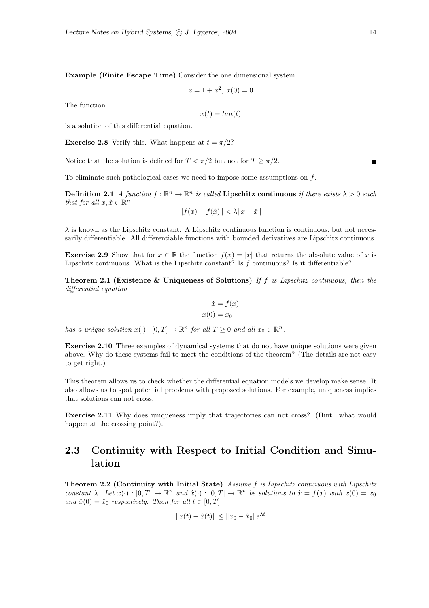Example (Finite Escape Time) Consider the one dimensional system

$$
\dot{x} = 1 + x^2, \ x(0) = 0
$$

The function

$$
x(t) = \tan(t)
$$

is a solution of this differential equation.

**Exercise 2.8** Verify this. What happens at  $t = \pi/2$ ?

Notice that the solution is defined for  $T < \pi/2$  but not for  $T \geq \pi/2$ .

To eliminate such pathological cases we need to impose some assumptions on  $f$ .

**Definition 2.1** A function  $f : \mathbb{R}^n \to \mathbb{R}^n$  is called **Lipschitz continuous** if there exists  $\lambda > 0$  such that for all  $x, \hat{x} \in \mathbb{R}^n$ 

$$
||f(x) - f(\hat{x})|| < \lambda ||x - \hat{x}||
$$

 $\lambda$  is known as the Lipschitz constant. A Lipschitz continuous function is continuous, but not necessarily differentiable. All differentiable functions with bounded derivatives are Lipschitz continuous.

**Exercise 2.9** Show that for  $x \in \mathbb{R}$  the function  $f(x) = |x|$  that returns the absolute value of x is Lipschitz continuous. What is the Lipschitz constant? Is  $f$  continuous? Is it differentiable?

Theorem 2.1 (Existence & Uniqueness of Solutions) If  $f$  is Lipschitz continuous, then the differential equation

$$
\dot{x} = f(x) \n x(0) = x_0
$$

has a unique solution  $x(\cdot) : [0, T] \to \mathbb{R}^n$  for all  $T \geq 0$  and all  $x_0 \in \mathbb{R}^n$ .

Exercise 2.10 Three examples of dynamical systems that do not have unique solutions were given above. Why do these systems fail to meet the conditions of the theorem? (The details are not easy to get right.)

This theorem allows us to check whether the differential equation models we develop make sense. It also allows us to spot potential problems with proposed solutions. For example, uniqueness implies that solutions can not cross.

Exercise 2.11 Why does uniqueness imply that trajectories can not cross? (Hint: what would happen at the crossing point?).

## 2.3 Continuity with Respect to Initial Condition and Simulation

Theorem 2.2 (Continuity with Initial State) Assume f is Lipschitz continuous with Lipschitz constant  $\lambda$ . Let  $x(\cdot) : [0, T] \to \mathbb{R}^n$  and  $\hat{x}(\cdot) : [0, T] \to \mathbb{R}^n$  be solutions to  $\dot{x} = f(x)$  with  $x(0) = x_0$ and  $\hat{x}(0) = \hat{x}_0$  respectively. Then for all  $t \in [0, T]$ 

$$
||x(t) - \hat{x}(t)|| \le ||x_0 - \hat{x}_0||e^{\lambda t}
$$

 $\blacksquare$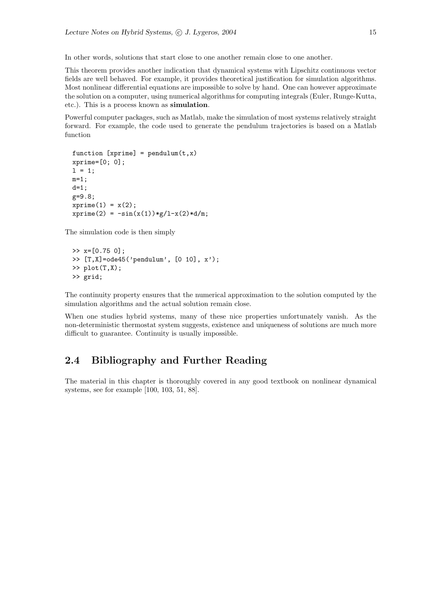In other words, solutions that start close to one another remain close to one another.

This theorem provides another indication that dynamical systems with Lipschitz continuous vector fields are well behaved. For example, it provides theoretical justification for simulation algorithms. Most nonlinear differential equations are impossible to solve by hand. One can however approximate the solution on a computer, using numerical algorithms for computing integrals (Euler, Runge-Kutta, etc.). This is a process known as simulation.

Powerful computer packages, such as Matlab, make the simulation of most systems relatively straight forward. For example, the code used to generate the pendulum trajectories is based on a Matlab function

```
function [xprime] = pendulum(t, x)xprime=[0; 0];
1 = 1:
m=1;
d=1;
g=9.8;
xprime(1) = x(2);xprime(2) = -sin(x(1)) *g/l-x(2) *d/m;
```
The simulation code is then simply

```
\gg x=[0.75 0];
\Rightarrow [T,X]=ode45('pendulum', [0 10], x');
\gg plot(T,X);
>> grid;
```
The continuity property ensures that the numerical approximation to the solution computed by the simulation algorithms and the actual solution remain close.

When one studies hybrid systems, many of these nice properties unfortunately vanish. As the non-deterministic thermostat system suggests, existence and uniqueness of solutions are much more difficult to guarantee. Continuity is usually impossible.

## 2.4 Bibliography and Further Reading

The material in this chapter is thoroughly covered in any good textbook on nonlinear dynamical systems, see for example [100, 103, 51, 88].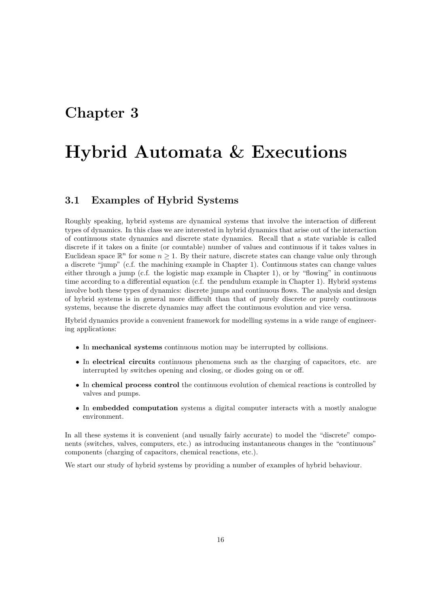## Chapter 3

## Hybrid Automata & Executions

## 3.1 Examples of Hybrid Systems

Roughly speaking, hybrid systems are dynamical systems that involve the interaction of different types of dynamics. In this class we are interested in hybrid dynamics that arise out of the interaction of continuous state dynamics and discrete state dynamics. Recall that a state variable is called discrete if it takes on a finite (or countable) number of values and continuous if it takes values in Euclidean space  $\mathbb{R}^n$  for some  $n \geq 1$ . By their nature, discrete states can change value only through a discrete "jump" (c.f. the machining example in Chapter 1). Continuous states can change values either through a jump (c.f. the logistic map example in Chapter 1), or by "flowing" in continuous time according to a differential equation (c.f. the pendulum example in Chapter 1). Hybrid systems involve both these types of dynamics: discrete jumps and continuous flows. The analysis and design of hybrid systems is in general more difficult than that of purely discrete or purely continuous systems, because the discrete dynamics may affect the continuous evolution and vice versa.

Hybrid dynamics provide a convenient framework for modelling systems in a wide range of engineering applications:

- In mechanical systems continuous motion may be interrupted by collisions.
- In electrical circuits continuous phenomena such as the charging of capacitors, etc. are interrupted by switches opening and closing, or diodes going on or off.
- In chemical process control the continuous evolution of chemical reactions is controlled by valves and pumps.
- In embedded computation systems a digital computer interacts with a mostly analogue environment.

In all these systems it is convenient (and usually fairly accurate) to model the "discrete" components (switches, valves, computers, etc.) as introducing instantaneous changes in the "continuous" components (charging of capacitors, chemical reactions, etc.).

We start our study of hybrid systems by providing a number of examples of hybrid behaviour.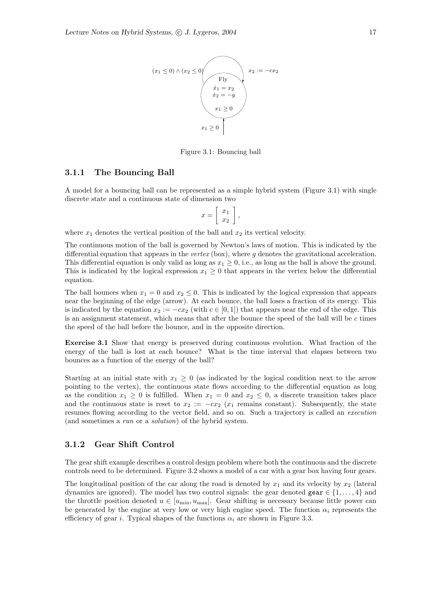

Figure 3.1: Bouncing ball

#### 3.1.1 The Bouncing Ball

A model for a bouncing ball can be represented as a simple hybrid system (Figure 3.1) with single discrete state and a continuous state of dimension two

$$
x = \left[ \begin{array}{c} x_1 \\ x_2 \end{array} \right],
$$

where  $x_1$  denotes the vertical position of the ball and  $x_2$  its vertical velocity.

The continuous motion of the ball is governed by Newton's laws of motion. This is indicated by the differential equation that appears in the vertex (box), where  $g$  denotes the gravitational acceleration. This differential equation is only valid as long as  $x_1 \geq 0$ , i.e., as long as the ball is above the ground. This is indicated by the logical expression  $x_1 \geq 0$  that appears in the vertex below the differential equation.

The ball bounces when  $x_1 = 0$  and  $x_2 \leq 0$ . This is indicated by the logical expression that appears near the beginning of the edge (arrow). At each bounce, the ball loses a fraction of its energy. This is indicated by the equation  $x_2 := -cx_2$  (with  $c \in [0,1]$ ) that appears near the end of the edge. This is an assignment statement, which means that after the bounce the speed of the ball will be  $c$  times the speed of the ball before the bounce, and in the opposite direction.

Exercise 3.1 Show that energy is preserved during continuous evolution. What fraction of the energy of the ball is lost at each bounce? What is the time interval that elapses between two bounces as a function of the energy of the ball?

Starting at an initial state with  $x_1 \geq 0$  (as indicated by the logical condition next to the arrow pointing to the vertex), the continuous state flows according to the differential equation as long as the condition  $x_1 \geq 0$  is fulfilled. When  $x_1 = 0$  and  $x_2 \leq 0$ , a discrete transition takes place and the continuous state is reset to  $x_2 := -cx_2$  ( $x_1$  remains constant). Subsequently, the state resumes flowing according to the vector field, and so on. Such a trajectory is called an execution (and sometimes a run or a solution) of the hybrid system.

#### 3.1.2 Gear Shift Control

The gear shift example describes a control design problem where both the continuous and the discrete controls need to be determined. Figure 3.2 shows a model of a car with a gear box having four gears.

The longitudinal position of the car along the road is denoted by  $x_1$  and its velocity by  $x_2$  (lateral dynamics are ignored). The model has two control signals: the gear denoted gear  $\in \{1, \ldots, 4\}$  and the throttle position denoted  $u \in [u_{\min}, u_{\max}]$ . Gear shifting is necessary because little power can be generated by the engine at very low or very high engine speed. The function  $\alpha_i$  represents the efficiency of gear i. Typical shapes of the functions  $\alpha_i$  are shown in Figure 3.3.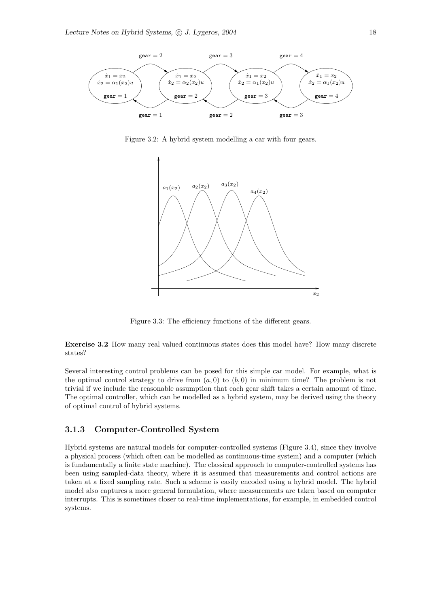

Figure 3.2: A hybrid system modelling a car with four gears.



Figure 3.3: The efficiency functions of the different gears.

Exercise 3.2 How many real valued continuous states does this model have? How many discrete states?

Several interesting control problems can be posed for this simple car model. For example, what is the optimal control strategy to drive from  $(a, 0)$  to  $(b, 0)$  in minimum time? The problem is not trivial if we include the reasonable assumption that each gear shift takes a certain amount of time. The optimal controller, which can be modelled as a hybrid system, may be derived using the theory of optimal control of hybrid systems.

#### 3.1.3 Computer-Controlled System

Hybrid systems are natural models for computer-controlled systems (Figure 3.4), since they involve a physical process (which often can be modelled as continuous-time system) and a computer (which is fundamentally a finite state machine). The classical approach to computer-controlled systems has been using sampled-data theory, where it is assumed that measurements and control actions are taken at a fixed sampling rate. Such a scheme is easily encoded using a hybrid model. The hybrid model also captures a more general formulation, where measurements are taken based on computer interrupts. This is sometimes closer to real-time implementations, for example, in embedded control systems.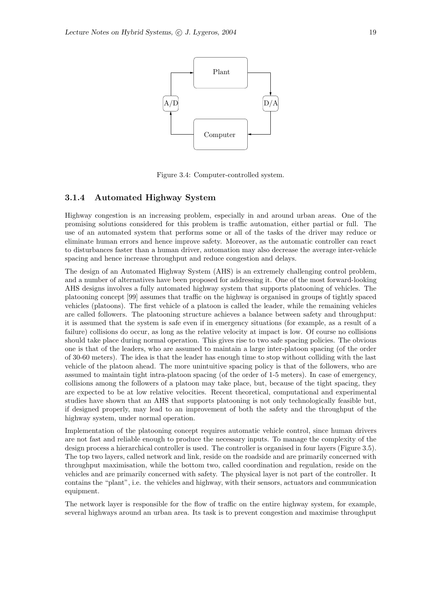

Figure 3.4: Computer-controlled system.

#### 3.1.4 Automated Highway System

Highway congestion is an increasing problem, especially in and around urban areas. One of the promising solutions considered for this problem is traffic automation, either partial or full. The use of an automated system that performs some or all of the tasks of the driver may reduce or eliminate human errors and hence improve safety. Moreover, as the automatic controller can react to disturbances faster than a human driver, automation may also decrease the average inter-vehicle spacing and hence increase throughput and reduce congestion and delays.

The design of an Automated Highway System (AHS) is an extremely challenging control problem, and a number of alternatives have been proposed for addressing it. One of the most forward-looking AHS designs involves a fully automated highway system that supports platooning of vehicles. The platooning concept [99] assumes that traffic on the highway is organised in groups of tightly spaced vehicles (platoons). The first vehicle of a platoon is called the leader, while the remaining vehicles are called followers. The platooning structure achieves a balance between safety and throughput: it is assumed that the system is safe even if in emergency situations (for example, as a result of a failure) collisions do occur, as long as the relative velocity at impact is low. Of course no collisions should take place during normal operation. This gives rise to two safe spacing policies. The obvious one is that of the leaders, who are assumed to maintain a large inter-platoon spacing (of the order of 30-60 meters). The idea is that the leader has enough time to stop without colliding with the last vehicle of the platoon ahead. The more unintuitive spacing policy is that of the followers, who are assumed to maintain tight intra-platoon spacing (of the order of 1-5 meters). In case of emergency, collisions among the followers of a platoon may take place, but, because of the tight spacing, they are expected to be at low relative velocities. Recent theoretical, computational and experimental studies have shown that an AHS that supports platooning is not only technologically feasible but, if designed properly, may lead to an improvement of both the safety and the throughput of the highway system, under normal operation.

Implementation of the platooning concept requires automatic vehicle control, since human drivers are not fast and reliable enough to produce the necessary inputs. To manage the complexity of the design process a hierarchical controller is used. The controller is organised in four layers (Figure 3.5). The top two layers, called network and link, reside on the roadside and are primarily concerned with throughput maximisation, while the bottom two, called coordination and regulation, reside on the vehicles and are primarily concerned with safety. The physical layer is not part of the controller. It contains the "plant", i.e. the vehicles and highway, with their sensors, actuators and communication equipment.

The network layer is responsible for the flow of traffic on the entire highway system, for example, several highways around an urban area. Its task is to prevent congestion and maximise throughput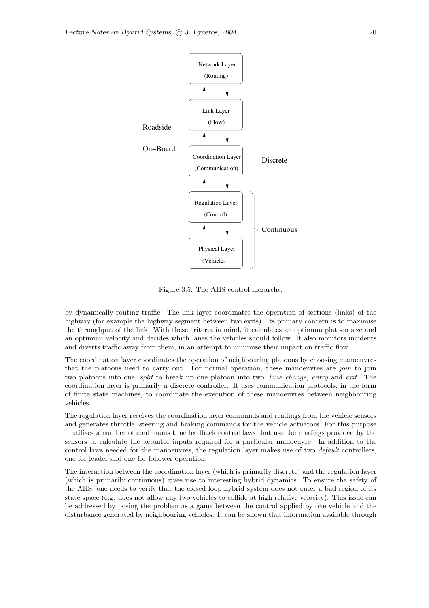

Figure 3.5: The AHS control hierarchy.

by dynamically routing traffic. The link layer coordinates the operation of sections (links) of the highway (for example the highway segment between two exits). Its primary concern is to maximise the throughput of the link. With these criteria in mind, it calculates an optimum platoon size and an optimum velocity and decides which lanes the vehicles should follow. It also monitors incidents and diverts traffic away from them, in an attempt to minimise their impact on traffic flow.

The coordination layer coordinates the operation of neighbouring platoons by choosing manoeuvres that the platoons need to carry out. For normal operation, these manoeuvres are join to join two platoons into one, split to break up one platoon into two, lane change, entry and exit. The coordination layer is primarily a discrete controller. It uses communication protocols, in the form of finite state machines, to coordinate the execution of these manoeuvres between neighbouring vehicles.

The regulation layer receives the coordination layer commands and readings from the vehicle sensors and generates throttle, steering and braking commands for the vehicle actuators. For this purpose it utilises a number of continuous time feedback control laws that use the readings provided by the sensors to calculate the actuator inputs required for a particular manoeuvre. In addition to the control laws needed for the manoeuvres, the regulation layer makes use of two *default* controllers, one for leader and one for follower operation.

The interaction between the coordination layer (which is primarily discrete) and the regulation layer (which is primarily continuous) gives rise to interesting hybrid dynamics. To ensure the safety of the AHS, one needs to verify that the closed loop hybrid system does not enter a bad region of its state space (e.g. does not allow any two vehicles to collide at high relative velocity). This issue can be addressed by posing the problem as a game between the control applied by one vehicle and the disturbance generated by neighbouring vehicles. It can be shown that information available through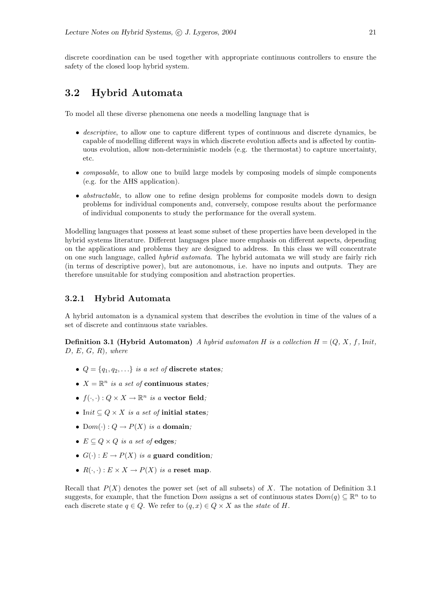discrete coordination can be used together with appropriate continuous controllers to ensure the safety of the closed loop hybrid system.

## 3.2 Hybrid Automata

To model all these diverse phenomena one needs a modelling language that is

- descriptive, to allow one to capture different types of continuous and discrete dynamics, be capable of modelling different ways in which discrete evolution affects and is affected by continuous evolution, allow non-deterministic models (e.g. the thermostat) to capture uncertainty, etc.
- *composable*, to allow one to build large models by composing models of simple components (e.g. for the AHS application).
- *abstractable*, to allow one to refine design problems for composite models down to design problems for individual components and, conversely, compose results about the performance of individual components to study the performance for the overall system.

Modelling languages that possess at least some subset of these properties have been developed in the hybrid systems literature. Different languages place more emphasis on different aspects, depending on the applications and problems they are designed to address. In this class we will concentrate on one such language, called hybrid automata. The hybrid automata we will study are fairly rich (in terms of descriptive power), but are autonomous, i.e. have no inputs and outputs. They are therefore unsuitable for studying composition and abstraction properties.

#### 3.2.1 Hybrid Automata

A hybrid automaton is a dynamical system that describes the evolution in time of the values of a set of discrete and continuous state variables.

**Definition 3.1 (Hybrid Automaton)** A hybrid automaton H is a collection  $H = (Q, X, f, Int)$ ,  $D, E, G, R$ , where

- $Q = \{q_1, q_2, \ldots\}$  is a set of discrete states:
- $X = \mathbb{R}^n$  is a set of continuous states;
- $f(\cdot, \cdot): Q \times X \to \mathbb{R}^n$  is a vector field;
- Init  $\subseteq Q \times X$  is a set of initial states;
- Dom( $\cdot$ ) :  $Q \rightarrow P(X)$  is a domain;
- $E \subseteq Q \times Q$  is a set of edges;
- $G(\cdot): E \to P(X)$  is a guard condition;
- $R(\cdot, \cdot) : E \times X \to P(X)$  is a reset map.

Recall that  $P(X)$  denotes the power set (set of all subsets) of X. The notation of Definition 3.1 suggests, for example, that the function Dom assigns a set of continuous states  $Dom(q) \subseteq \mathbb{R}^n$  to to each discrete state  $q \in Q$ . We refer to  $(q, x) \in Q \times X$  as the state of H.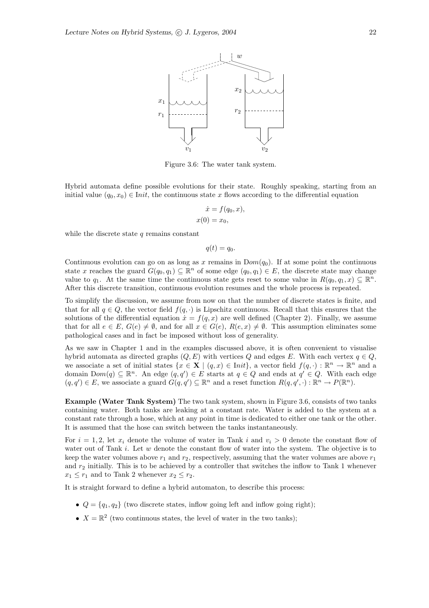

Figure 3.6: The water tank system.

Hybrid automata define possible evolutions for their state. Roughly speaking, starting from an initial value  $(q_0, x_0) \in \text{Init}$ , the continuous state x flows according to the differential equation

$$
\dot{x} = f(q_0, x),
$$
  

$$
x(0) = x_0,
$$

while the discrete state  $q$  remains constant

$$
q(t)=q_0.
$$

Continuous evolution can go on as long as x remains in  $Dom(q_0)$ . If at some point the continuous state x reaches the guard  $G(q_0, q_1) \subseteq \mathbb{R}^n$  of some edge  $(q_0, q_1) \in E$ , the discrete state may change value to  $q_1$ . At the same time the continuous state gets reset to some value in  $R(q_0, q_1, x) \subseteq \mathbb{R}^n$ . After this discrete transition, continuous evolution resumes and the whole process is repeated.

To simplify the discussion, we assume from now on that the number of discrete states is finite, and that for all  $q \in Q$ , the vector field  $f(q, \cdot)$  is Lipschitz continuous. Recall that this ensures that the solutions of the differential equation  $\dot{x} = f(q, x)$  are well defined (Chapter 2). Finally, we assume that for all  $e \in E$ ,  $G(e) \neq \emptyset$ , and for all  $x \in G(e)$ ,  $R(e, x) \neq \emptyset$ . This assumption eliminates some pathological cases and in fact be imposed without loss of generality.

As we saw in Chapter 1 and in the examples discussed above, it is often convenient to visualise hybrid automata as directed graphs  $(Q, E)$  with vertices Q and edges E. With each vertex  $q \in Q$ , we associate a set of initial states  $\{x \in \mathbf{X} \mid (q, x) \in \text{Init}\},\$ a vector field  $f(q, \cdot) : \mathbb{R}^n \to \mathbb{R}^n$  and a domain  $Dom(q) \subseteq \mathbb{R}^n$ . An edge  $(q, q') \in E$  starts at  $q \in Q$  and ends at  $q' \in Q$ . With each edge  $(q, q') \in E$ , we associate a guard  $G(q, q') \subseteq \mathbb{R}^n$  and a reset function  $R(q, q', \cdot) : \mathbb{R}^n \to P(\mathbb{R}^n)$ .

Example (Water Tank System) The two tank system, shown in Figure 3.6, consists of two tanks containing water. Both tanks are leaking at a constant rate. Water is added to the system at a constant rate through a hose, which at any point in time is dedicated to either one tank or the other. It is assumed that the hose can switch between the tanks instantaneously.

For  $i = 1, 2$ , let  $x_i$  denote the volume of water in Tank i and  $v_i > 0$  denote the constant flow of water out of Tank  $i$ . Let  $w$  denote the constant flow of water into the system. The objective is to keep the water volumes above  $r_1$  and  $r_2$ , respectively, assuming that the water volumes are above  $r_1$ and  $r_2$  initially. This is to be achieved by a controller that switches the inflow to Tank 1 whenever  $x_1 \leq r_1$  and to Tank 2 whenever  $x_2 \leq r_2$ .

It is straight forward to define a hybrid automaton, to describe this process:

- $Q = \{q_1, q_2\}$  (two discrete states, inflow going left and inflow going right);
- $X = \mathbb{R}^2$  (two continuous states, the level of water in the two tanks);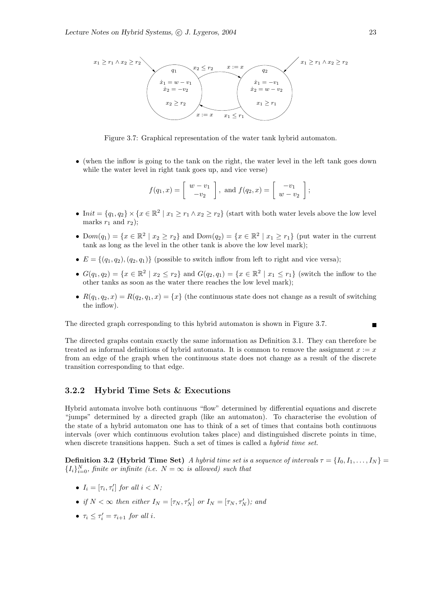

Figure 3.7: Graphical representation of the water tank hybrid automaton.

• (when the inflow is going to the tank on the right, the water level in the left tank goes down while the water level in right tank goes up, and vice verse)

$$
f(q_1,x)=\left[\begin{array}{c}w-v_1\\-v_2\end{array}\right], \text{ and } f(q_2,x)=\left[\begin{array}{c} -v_1\\w-v_2\end{array}\right];
$$

- Init =  $\{q_1, q_2\} \times \{x \in \mathbb{R}^2 \mid x_1 \ge r_1 \land x_2 \ge r_2\}$  (start with both water levels above the low level marks  $r_1$  and  $r_2$ );
- Dom $(q_1) = \{x \in \mathbb{R}^2 \mid x_2 \ge r_2\}$  and  $Dom(q_2) = \{x \in \mathbb{R}^2 \mid x_1 \ge r_1\}$  (put water in the current tank as long as the level in the other tank is above the low level mark);
- $E = \{(q_1, q_2), (q_2, q_1)\}\$  (possible to switch inflow from left to right and vice versa);
- $G(q_1, q_2) = \{x \in \mathbb{R}^2 \mid x_2 \leq r_2\}$  and  $G(q_2, q_1) = \{x \in \mathbb{R}^2 \mid x_1 \leq r_1\}$  (switch the inflow to the other tanks as soon as the water there reaches the low level mark);
- $R(q_1, q_2, x) = R(q_2, q_1, x) = \{x\}$  (the continuous state does not change as a result of switching the inflow).

The directed graph corresponding to this hybrid automaton is shown in Figure 3.7.

The directed graphs contain exactly the same information as Definition 3.1. They can therefore be treated as informal definitions of hybrid automata. It is common to remove the assignment  $x := x$ from an edge of the graph when the continuous state does not change as a result of the discrete transition corresponding to that edge.

#### 3.2.2 Hybrid Time Sets & Executions

Hybrid automata involve both continuous "flow" determined by differential equations and discrete "jumps" determined by a directed graph (like an automaton). To characterise the evolution of the state of a hybrid automaton one has to think of a set of times that contains both continuous intervals (over which continuous evolution takes place) and distinguished discrete points in time, when discrete transitions happen. Such a set of times is called a *hybrid time set*.

**Definition 3.2 (Hybrid Time Set)** A hybrid time set is a sequence of intervals  $\tau = \{I_0, I_1, \ldots, I_N\}$  $\{I_i\}_{i=0}^N$ , finite or infinite (i.e.  $N = \infty$  is allowed) such that

- $I_i = [\tau_i, \tau'_i]$  for all  $i < N$ ;
- if  $N < \infty$  then either  $I_N = [\tau_N, \tau'_N]$  or  $I_N = [\tau_N, \tau'_N)$ ; and
- $\tau_i \leq \tau'_i = \tau_{i+1}$  for all i.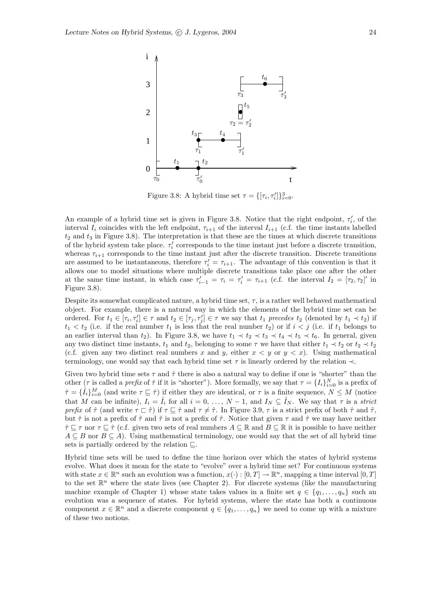

Figure 3.8: A hybrid time set  $\tau = \{[\tau_i, \tau'_i]\}_{i=0}^3$ .

An example of a hybrid time set is given in Figure 3.8. Notice that the right endpoint,  $\tau'_i$ , of the interval  $I_i$  coincides with the left endpoint,  $\tau_{i+1}$  of the interval  $I_{i+1}$  (c.f. the time instants labelled  $t_2$  and  $t_3$  in Figure 3.8). The interpretation is that these are the times at which discrete transitions of the hybrid system take place.  $\tau_i'$  corresponds to the time instant just before a discrete transition, whereas  $\tau_{i+1}$  corresponds to the time instant just after the discrete transition. Discrete transitions are assumed to be instantaneous, therefore  $\tau_i' = \tau_{i+1}$ . The advantage of this convention is that it allows one to model situations where multiple discrete transitions take place one after the other at the same time instant, in which case  $\tau'_{i-1} = \tau_i = \tau'_i = \tau_{i+1}$  (c.f. the interval  $I_2 = [\tau_2, \tau_2]'$  in Figure 3.8).

Despite its somewhat complicated nature, a hybrid time set,  $\tau$ , is a rather well behaved mathematical object. For example, there is a natural way in which the elements of the hybrid time set can be ordered. For  $t_1 \in [\tau_i, \tau'_i] \in \tau$  and  $t_2 \in [\tau_j, \tau'_j] \in \tau$  we say that  $t_1$  precedes  $t_2$  (denoted by  $t_1 \prec t_2$ ) if  $t_1 < t_2$  (i.e. if the real number  $t_1$  is less that the real number  $t_2$ ) or if  $i < j$  (i.e. if  $t_1$  belongs to an earlier interval than  $t_2$ ). In Figure 3.8, we have  $t_1 \prec t_2 \prec t_3 \prec t_4 \prec t_5 \prec t_6$ . In general, given any two distinct time instants,  $t_1$  and  $t_2$ , belonging to some  $\tau$  we have that either  $t_1 \prec t_2$  or  $t_2 \prec t_2$ (c.f. given any two distinct real numbers x and y, either  $x < y$  or  $y < x$ ). Using mathematical terminology, one would say that each hybrid time set  $\tau$  is linearly ordered by the relation  $\prec$ .

Given two hybrid time sets  $\tau$  and  $\hat{\tau}$  there is also a natural way to define if one is "shorter" than the other  $(\tau)$  is called a *prefix* of  $\hat{\tau}$  if it is "shorter"). More formally, we say that  $\tau = \{I_i\}_{i=0}^N$  is a prefix of  $\hat{\tau} = \{\hat{I}_i\}_{i=0}^M$  (and write  $\tau \subseteq \hat{\tau}$ ) if either they are identical, or  $\tau$  is a finite sequence,  $N \leq M$  (notice that M can be infinite),  $I_i = \hat{I}_i$  for all  $i = 0, \ldots, N-1$ , and  $I_N \subseteq \hat{I}_N$ . We say that  $\tau$  is a strict prefix of  $\hat{\tau}$  (and write  $\tau \subset \hat{\tau}$ ) if  $\tau \subseteq \hat{\tau}$  and  $\tau \neq \hat{\tau}$ . In Figure 3.9,  $\tau$  is a strict prefix of both  $\hat{\tau}$  and  $\tilde{\tau}$ , but  $\hat{\tau}$  is not a prefix of  $\tilde{\tau}$  and  $\tilde{\tau}$  is not a prefix of  $\hat{\tau}$ . Notice that given  $\tau$  and  $\hat{\tau}$  we may have neither  $\hat{\tau} \sqsubseteq \tau$  nor  $\tau \sqsubseteq \hat{\tau}$  (c.f. given two sets of real numbers  $A \subseteq \mathbb{R}$  and  $B \subseteq \mathbb{R}$  it is possible to have neither  $A \subseteq B$  nor  $B \subseteq A$ ). Using mathematical terminology, one would say that the set of all hybrid time sets is partially ordered by the relation  $\sqsubseteq$ .

Hybrid time sets will be used to define the time horizon over which the states of hybrid systems evolve. What does it mean for the state to "evolve" over a hybrid time set? For continuous systems with state  $x \in \mathbb{R}^n$  such an evolution was a function,  $x(\cdot) : [0, T] \to \mathbb{R}^n$ , mapping a time interval  $[0, T]$ to the set  $\mathbb{R}^n$  where the state lives (see Chapter 2). For discrete systems (like the manufacturing machine example of Chapter 1) whose state takes values in a finite set  $q \in \{q_1, \ldots, q_n\}$  such an evolution was a sequence of states. For hybrid systems, where the state has both a continuous component  $x \in \mathbb{R}^n$  and a discrete component  $q \in \{q_1, \ldots, q_n\}$  we need to come up with a mixture of these two notions.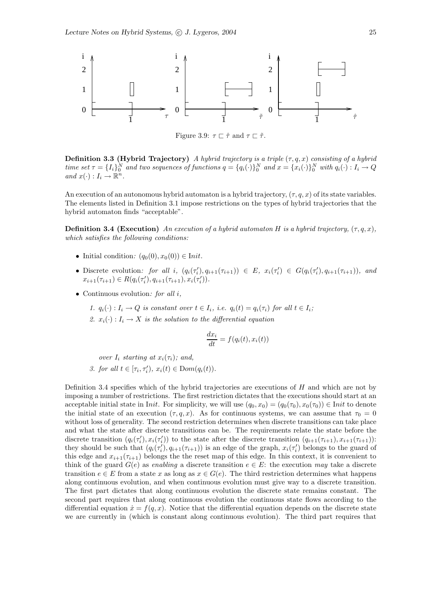

Figure 3.9:  $\tau \sqsubset \hat{\tau}$  and  $\tau \sqsubset \tilde{\tau}$ .

**Definition 3.3 (Hybrid Trajectory)** A hybrid trajectory is a triple  $(\tau, q, x)$  consisting of a hybrid time set  $\tau = \{I_i\}_0^N$  and two sequences of functions  $q = \{q_i(\cdot)\}_0^N$  and  $x = \{x_i(\cdot)\}_0^N$  with  $q_i(\cdot) : I_i \to Q$ and  $x(\cdot): I_i \to \mathbb{R}^n$ .

An execution of an autonomous hybrid automaton is a hybrid trajectory,  $(\tau, q, x)$  of its state variables. The elements listed in Definition 3.1 impose restrictions on the types of hybrid trajectories that the hybrid automaton finds "acceptable".

**Definition 3.4 (Execution)** An execution of a hybrid automaton H is a hybrid trajectory,  $(\tau, q, x)$ , which satisfies the following conditions:

- Initial condition:  $(q_0(0), x_0(0)) \in \text{Init.}$
- Discrete evolution: for all i,  $(q_i(\tau'_i), q_{i+1}(\tau_{i+1})) \in E$ ,  $x_i(\tau'_i) \in G(q_i(\tau'_i), q_{i+1}(\tau_{i+1}))$ , and  $x_{i+1}(\tau_{i+1}) \in R(q_i(\tau'_i), q_{i+1}(\tau_{i+1}), x_i(\tau'_i)).$
- Continuous evolution: for all  $i$ ,
	- 1.  $q_i(\cdot) : I_i \to Q$  is constant over  $t \in I_i$ , i.e.  $q_i(t) = q_i(\tau_i)$  for all  $t \in I_i$ ;
	- 2.  $x_i(\cdot): I_i \to X$  is the solution to the differential equation

$$
\frac{dx_i}{dt} = f(q_i(t), x_i(t))
$$

over  $I_i$  starting at  $x_i(\tau_i)$ ; and,

3. for all  $t \in [\tau_i, \tau'_i), x_i(t) \in Dom(q_i(t)).$ 

Definition 3.4 specifies which of the hybrid trajectories are executions of H and which are not by imposing a number of restrictions. The first restriction dictates that the executions should start at an acceptable initial state in Init. For simplicity, we will use  $(q_0, x_0) = (q_0(\tau_0), x_0(\tau_0)) \in$  Init to denote the initial state of an execution  $(\tau, q, x)$ . As for continuous systems, we can assume that  $\tau_0 = 0$ without loss of generality. The second restriction determines when discrete transitions can take place and what the state after discrete transitions can be. The requirements relate the state before the discrete transition  $(q_i(\tau'_i), x_i(\tau'_i))$  to the state after the discrete transition  $(q_{i+1}(\tau_{i+1}), x_{i+1}(\tau_{i+1}))$ : they should be such that  $(q_i(\tau_i'), q_{i+1}(\tau_{i+1}))$  is an edge of the graph,  $x_i(\tau_i')$  belongs to the guard of this edge and  $x_{i+1}(\tau_{i+1})$  belongs the the reset map of this edge. In this context, it is convenient to think of the guard  $G(e)$  as enabling a discrete transition  $e \in E$ : the execution may take a discrete transition  $e \in E$  from a state x as long as  $x \in G(e)$ . The third restriction determines what happens along continuous evolution, and when continuous evolution must give way to a discrete transition. The first part dictates that along continuous evolution the discrete state remains constant. The second part requires that along continuous evolution the continuous state flows according to the differential equation  $\dot{x} = f(q, x)$ . Notice that the differential equation depends on the discrete state we are currently in (which is constant along continuous evolution). The third part requires that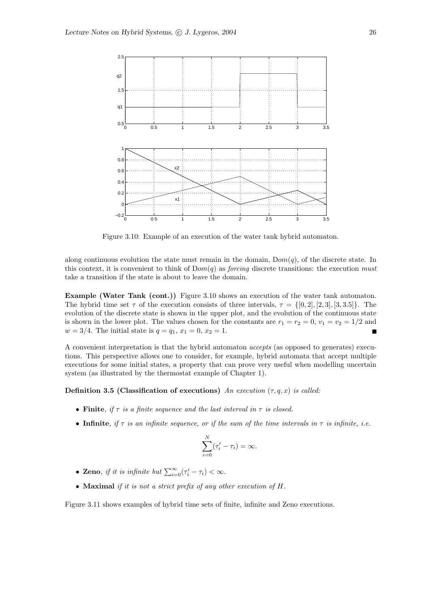

Figure 3.10: Example of an execution of the water tank hybrid automaton.

along continuous evolution the state must remain in the domain,  $Dom(q)$ , of the discrete state. In this context, it is convenient to think of  $Dom(q)$  as *forcing* discrete transitions: the execution must take a transition if the state is about to leave the domain.

Example (Water Tank (cont.)) Figure 3.10 shows an execution of the water tank automaton. The hybrid time set  $\tau$  of the execution consists of three intervals,  $\tau = \{[0, 2], [2, 3], [3, 3.5]\}.$  The evolution of the discrete state is shown in the upper plot, and the evolution of the continuous state is shown in the lower plot. The values chosen for the constants are  $r_1 = r_2 = 0$ ,  $v_1 = v_2 = 1/2$  and  $w = 3/4$ . The initial state is  $q = q_1, x_1 = 0, x_2 = 1$ .

A convenient interpretation is that the hybrid automaton accepts (as opposed to generates) executions. This perspective allows one to consider, for example, hybrid automata that accept multiple executions for some initial states, a property that can prove very useful when modelling uncertain system (as illustrated by the thermostat example of Chapter 1).

#### Definition 3.5 (Classification of executions) An execution  $(\tau, q, x)$  is called:

- Finite, if  $\tau$  is a finite sequence and the last interval in  $\tau$  is closed.
- Infinite, if  $\tau$  is an infinite sequence, or if the sum of the time intervals in  $\tau$  is infinite, i.e.

$$
\sum_{i=0}^{N} (\tau'_i - \tau_i) = \infty.
$$

- Zeno, if it is infinite but  $\sum_{i=0}^{\infty} (\tau'_i \tau_i) < \infty$ .
- Maximal if it is not a strict prefix of any other execution of  $H$ .

Figure 3.11 shows examples of hybrid time sets of finite, infinite and Zeno executions.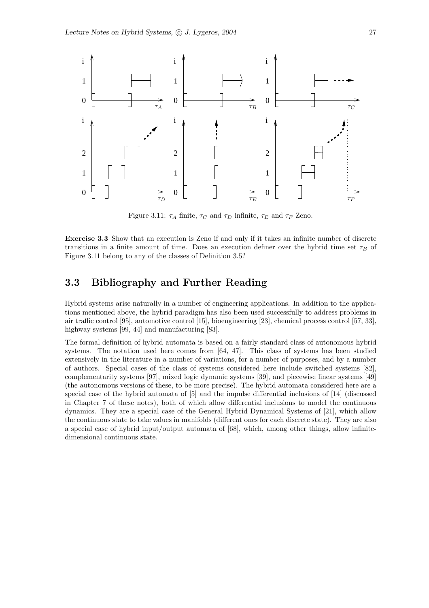

Figure 3.11:  $\tau_A$  finite,  $\tau_C$  and  $\tau_D$  infinite,  $\tau_E$  and  $\tau_F$  Zeno.

Exercise 3.3 Show that an execution is Zeno if and only if it takes an infinite number of discrete transitions in a finite amount of time. Does an execution definer over the hybrid time set  $\tau_B$  of Figure 3.11 belong to any of the classes of Definition 3.5?

## 3.3 Bibliography and Further Reading

Hybrid systems arise naturally in a number of engineering applications. In addition to the applications mentioned above, the hybrid paradigm has also been used successfully to address problems in air traffic control [95], automotive control [15], bioengineering [23], chemical process control [57, 33], highway systems [99, 44] and manufacturing [83].

The formal definition of hybrid automata is based on a fairly standard class of autonomous hybrid systems. The notation used here comes from [64, 47]. This class of systems has been studied extensively in the literature in a number of variations, for a number of purposes, and by a number of authors. Special cases of the class of systems considered here include switched systems [82], complementarity systems [97], mixed logic dynamic systems [39], and piecewise linear systems [49] (the autonomous versions of these, to be more precise). The hybrid automata considered here are a special case of the hybrid automata of [5] and the impulse differential inclusions of [14] (discussed in Chapter 7 of these notes), both of which allow differential inclusions to model the continuous dynamics. They are a special case of the General Hybrid Dynamical Systems of [21], which allow the continuous state to take values in manifolds (different ones for each discrete state). They are also a special case of hybrid input/output automata of [68], which, among other things, allow infinitedimensional continuous state.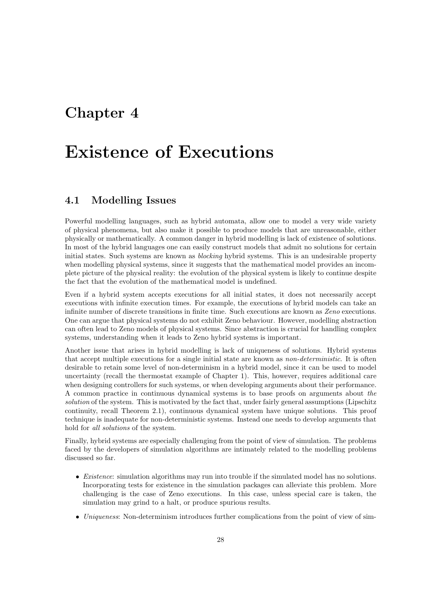## Chapter 4

# Existence of Executions

### 4.1 Modelling Issues

Powerful modelling languages, such as hybrid automata, allow one to model a very wide variety of physical phenomena, but also make it possible to produce models that are unreasonable, either physically or mathematically. A common danger in hybrid modelling is lack of existence of solutions. In most of the hybrid languages one can easily construct models that admit no solutions for certain initial states. Such systems are known as blocking hybrid systems. This is an undesirable property when modelling physical systems, since it suggests that the mathematical model provides an incomplete picture of the physical reality: the evolution of the physical system is likely to continue despite the fact that the evolution of the mathematical model is undefined.

Even if a hybrid system accepts executions for all initial states, it does not necessarily accept executions with infinite execution times. For example, the executions of hybrid models can take an infinite number of discrete transitions in finite time. Such executions are known as Zeno executions. One can argue that physical systems do not exhibit Zeno behaviour. However, modelling abstraction can often lead to Zeno models of physical systems. Since abstraction is crucial for handling complex systems, understanding when it leads to Zeno hybrid systems is important.

Another issue that arises in hybrid modelling is lack of uniqueness of solutions. Hybrid systems that accept multiple executions for a single initial state are known as non-deterministic. It is often desirable to retain some level of non-determinism in a hybrid model, since it can be used to model uncertainty (recall the thermostat example of Chapter 1). This, however, requires additional care when designing controllers for such systems, or when developing arguments about their performance. A common practice in continuous dynamical systems is to base proofs on arguments about the solution of the system. This is motivated by the fact that, under fairly general assumptions (Lipschitz continuity, recall Theorem 2.1), continuous dynamical system have unique solutions. This proof technique is inadequate for non-deterministic systems. Instead one needs to develop arguments that hold for *all solutions* of the system.

Finally, hybrid systems are especially challenging from the point of view of simulation. The problems faced by the developers of simulation algorithms are intimately related to the modelling problems discussed so far.

- *Existence*: simulation algorithms may run into trouble if the simulated model has no solutions. Incorporating tests for existence in the simulation packages can alleviate this problem. More challenging is the case of Zeno executions. In this case, unless special care is taken, the simulation may grind to a halt, or produce spurious results.
- Uniqueness: Non-determinism introduces further complications from the point of view of sim-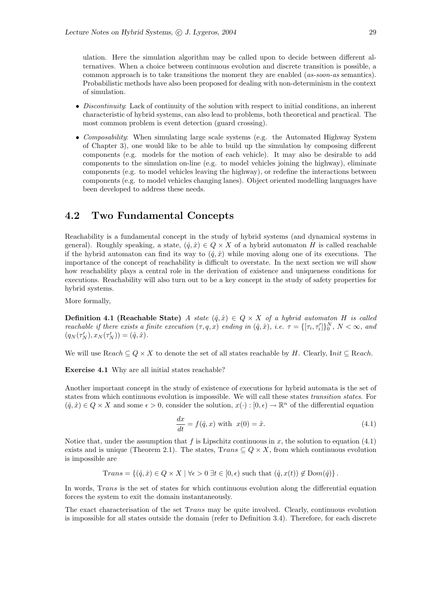ulation. Here the simulation algorithm may be called upon to decide between different alternatives. When a choice between continuous evolution and discrete transition is possible, a common approach is to take transitions the moment they are enabled (as-soon-as semantics). Probabilistic methods have also been proposed for dealing with non-determinism in the context of simulation.

- Discontinuity: Lack of continuity of the solution with respect to initial conditions, an inherent characteristic of hybrid systems, can also lead to problems, both theoretical and practical. The most common problem is event detection (guard crossing).
- Composability: When simulating large scale systems (e.g. the Automated Highway System of Chapter 3), one would like to be able to build up the simulation by composing different components (e.g. models for the motion of each vehicle). It may also be desirable to add components to the simulation on-line (e.g. to model vehicles joining the highway), eliminate components (e.g. to model vehicles leaving the highway), or redefine the interactions between components (e.g. to model vehicles changing lanes). Object oriented modelling languages have been developed to address these needs.

### 4.2 Two Fundamental Concepts

Reachability is a fundamental concept in the study of hybrid systems (and dynamical systems in general). Roughly speaking, a state,  $(\hat{q}, \hat{x}) \in Q \times X$  of a hybrid automaton H is called reachable if the hybrid automaton can find its way to  $(\hat{q}, \hat{x})$  while moving along one of its executions. The importance of the concept of reachability is difficult to overstate. In the next section we will show how reachability plays a central role in the derivation of existence and uniqueness conditions for executions. Reachability will also turn out to be a key concept in the study of safety properties for hybrid systems.

More formally,

**Definition 4.1 (Reachable State)** A state  $(\hat{q}, \hat{x}) \in Q \times X$  of a hybrid automaton H is called reachable if there exists a finite execution  $(\tau, q, x)$  ending in  $(\hat{q}, \hat{x})$ , i.e.  $\tau = \{[\tau_i, \tau'_i]\}_0^N$ ,  $N < \infty$ , and  $(q_N(\tau'_N), x_N(\tau'_N)) = (\hat{q}, \hat{x}).$ 

We will use  $Reach \subseteq Q \times X$  to denote the set of all states reachable by H. Clearly, Init  $\subseteq$  Reach.

Exercise 4.1 Why are all initial states reachable?

Another important concept in the study of existence of executions for hybrid automata is the set of states from which continuous evolution is impossible. We will call these states transition states. For  $(\hat{q}, \hat{x}) \in Q \times X$  and some  $\epsilon > 0$ , consider the solution,  $x(\cdot) : [0, \epsilon) \to \mathbb{R}^n$  of the differential equation

$$
\frac{dx}{dt} = f(\hat{q}, x) \text{ with } x(0) = \hat{x}.\tag{4.1}
$$

Notice that, under the assumption that f is Lipschitz continuous in x, the solution to equation  $(4.1)$ exists and is unique (Theorem 2.1). The states,  $Trans \subseteq Q \times X$ , from which continuous evolution is impossible are

$$
Trans = \{(\hat{q}, \hat{x}) \in Q \times X \mid \forall \epsilon > 0 \exists t \in [0, \epsilon) \text{ such that } (\hat{q}, x(t)) \notin \text{Dom}(\hat{q})\}.
$$

In words, Trans is the set of states for which continuous evolution along the differential equation forces the system to exit the domain instantaneously.

The exact characterisation of the set Trans may be quite involved. Clearly, continuous evolution is impossible for all states outside the domain (refer to Definition 3.4). Therefore, for each discrete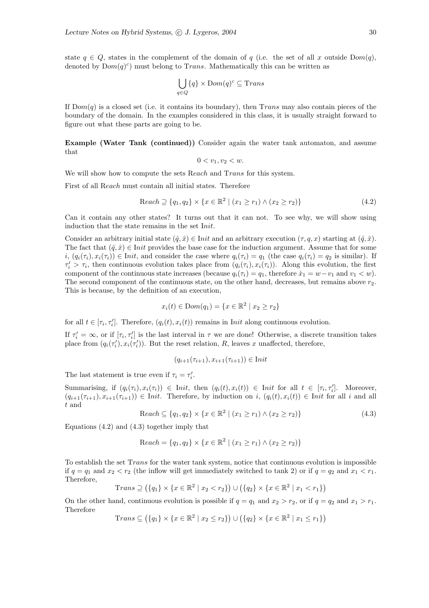state  $q \in Q$ , states in the complement of the domain of q (i.e. the set of all x outside  $Dom(q)$ , denoted by  $Dom(q)^c$  must belong to Trans. Mathematically this can be written as

$$
\bigcup_{q \in Q} \{q\} \times \text{Dom}(q)^c \subseteq \text{Trans}
$$

If  $Dom(q)$  is a closed set (i.e. it contains its boundary), then Trans may also contain pieces of the boundary of the domain. In the examples considered in this class, it is usually straight forward to figure out what these parts are going to be.

Example (Water Tank (continued)) Consider again the water tank automaton, and assume that

$$
0 < v_1, v_2 < w.
$$

We will show how to compute the sets Reach and Trans for this system.

First of all Reach must contain all initial states. Therefore

$$
\text{Reach} \supseteq \{q_1, q_2\} \times \{x \in \mathbb{R}^2 \mid (x_1 \ge r_1) \land (x_2 \ge r_2)\}\tag{4.2}
$$

Can it contain any other states? It turns out that it can not. To see why, we will show using induction that the state remains in the set Init.

Consider an arbitrary initial state  $(\hat{q}, \hat{x}) \in \text{Init}$  and an arbitrary execution  $(\tau, q, x)$  starting at  $(\hat{q}, \hat{x})$ . The fact that  $(\hat{q}, \hat{x}) \in \text{Init}$  provides the base case for the induction argument. Assume that for some  $i, (q_i(\tau_i), x_i(\tau_i)) \in \text{Init}$ , and consider the case where  $q_i(\tau_i) = q_1$  (the case  $q_i(\tau_i) = q_2$  is similar). If  $\tau'_i > \tau_i$ , then continuous evolution takes place from  $(q_i(\tau_i), x_i(\tau_i))$ . Along this evolution, the first component of the continuous state increases (because  $q_i(\tau_i) = q_1$ , therefore  $\dot{x}_1 = w - v_1$  and  $v_1 < w$ ). The second component of the continuous state, on the other hand, decreases, but remains above  $r_2$ . This is because, by the definition of an execution,

$$
x_i(t) \in \text{Dom}(q_1) = \{ x \in \mathbb{R}^2 \mid x_2 \ge r_2 \}
$$

for all  $t \in [\tau_i, \tau'_i]$ . Therefore,  $(q_i(t), x_i(t))$  remains in Init along continuous evolution.

If  $\tau'_i = \infty$ , or if  $[\tau_i, \tau'_i]$  is the last interval in  $\tau$  we are done! Otherwise, a discrete transition takes place from  $(q_i(\tau'_i), x_i(\tau'_i))$ . But the reset relation, R, leaves x unaffected, therefore,

$$
(q_{i+1}(\tau_{i+1}), x_{i+1}(\tau_{i+1})) \in \text{Init}
$$

The last statement is true even if  $\tau_i = \tau'_i$ .

Summarising, if  $(q_i(\tau_i), x_i(\tau_i)) \in \text{Init}, \text{ then } (q_i(t), x_i(t)) \in \text{Init} \text{ for all } t \in [\tau_i, \tau_i']$ . Moreover,  $(q_{i+1}(\tau_{i+1}), x_{i+1}(\tau_{i+1})) \in Init.$  Therefore, by induction on  $i, (q_i(t), x_i(t)) \in Init$  for all i and all t and

$$
Reach \subseteq \{q_1, q_2\} \times \{x \in \mathbb{R}^2 \mid (x_1 \ge r_1) \land (x_2 \ge r_2)\}\
$$
\n(4.3)

Equations (4.2) and (4.3) together imply that

$$
Reach = \{q_1, q_2\} \times \{x \in \mathbb{R}^2 \mid (x_1 \ge r_1) \land (x_2 \ge r_2)\}\
$$

To establish the set Trans for the water tank system, notice that continuous evolution is impossible if  $q = q_1$  and  $x_2 < r_2$  (the inflow will get immediately switched to tank 2) or if  $q = q_2$  and  $x_1 < r_1$ . Therefore,

Trans 
$$
\supseteq
$$
  $(\{q_1\} \times \{x \in \mathbb{R}^2 \mid x_2 < r_2\}) \cup (\{q_2\} \times \{x \in \mathbb{R}^2 \mid x_1 < r_1\})$ 

On the other hand, continuous evolution is possible if  $q = q_1$  and  $x_2 > r_2$ , or if  $q = q_2$  and  $x_1 > r_1$ . Therefore

$$
Trans \subseteq (\{q_1\} \times \{x \in \mathbb{R}^2 \mid x_2 \le r_2\}) \cup (\{q_2\} \times \{x \in \mathbb{R}^2 \mid x_1 \le r_1\})
$$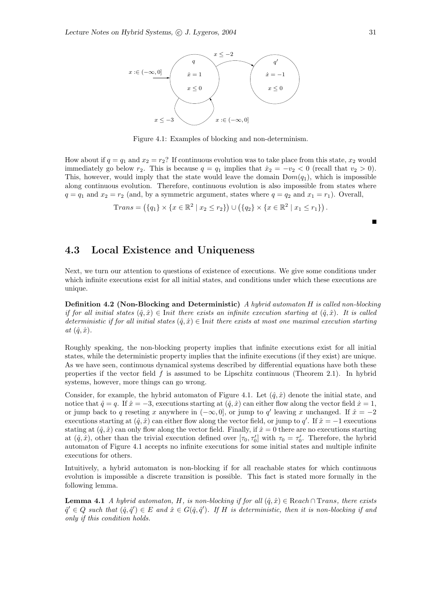

Figure 4.1: Examples of blocking and non-determinism.

How about if  $q = q_1$  and  $x_2 = r_2$ ? If continuous evolution was to take place from this state,  $x_2$  would immediately go below  $r_2$ . This is because  $q = q_1$  implies that  $\dot{x}_2 = -v_2 < 0$  (recall that  $v_2 > 0$ ). This, however, would imply that the state would leave the domain  $Dom(q_1)$ , which is impossible along continuous evolution. Therefore, continuous evolution is also impossible from states where  $q = q_1$  and  $x_2 = r_2$  (and, by a symmetric argument, states where  $q = q_2$  and  $x_1 = r_1$ ). Overall,

Trans = 
$$
(\{q_1\} \times \{x \in \mathbb{R}^2 \mid x_2 \le r_2\}) \cup (\{q_2\} \times \{x \in \mathbb{R}^2 \mid x_1 \le r_1\})
$$
.

## 4.3 Local Existence and Uniqueness

Next, we turn our attention to questions of existence of executions. We give some conditions under which infinite executions exist for all initial states, and conditions under which these executions are unique.

Definition 4.2 (Non-Blocking and Deterministic) A hybrid automaton H is called non-blocking if for all initial states  $(\hat{q}, \hat{x}) \in$  Init there exists an infinite execution starting at  $(\hat{q}, \hat{x})$ . It is called deterministic if for all initial states  $(\hat{q}, \hat{x}) \in$  Init there exists at most one maximal execution starting at  $(\hat{q}, \hat{x})$ .

Roughly speaking, the non-blocking property implies that infinite executions exist for all initial states, while the deterministic property implies that the infinite executions (if they exist) are unique. As we have seen, continuous dynamical systems described by differential equations have both these properties if the vector field  $f$  is assumed to be Lipschitz continuous (Theorem 2.1). In hybrid systems, however, more things can go wrong.

Consider, for example, the hybrid automaton of Figure 4.1. Let  $(\hat{q}, \hat{x})$  denote the initial state, and notice that  $\hat{q} = q$ . If  $\hat{x} = -3$ , executions starting at  $(\hat{q}, \hat{x})$  can either flow along the vector field  $\dot{x} = 1$ , or jump back to q reseting x anywhere in  $(-\infty, 0]$ , or jump to q' leaving x unchanged. If  $\hat{x} = -2$ executions starting at  $(\hat{q}, \hat{x})$  can either flow along the vector field, or jump to q'. If  $\hat{x} = -1$  executions stating at  $(\hat{q}, \hat{x})$  can only flow along the vector field. Finally, if  $\hat{x} = 0$  there are no executions starting at  $(\hat{q}, \hat{x})$ , other than the trivial execution defined over  $[\tau_0, \tau'_0]$  with  $\tau_0 = \tau'_0$ . Therefore, the hybrid automaton of Figure 4.1 accepts no infinite executions for some initial states and multiple infinite executions for others.

Intuitively, a hybrid automaton is non-blocking if for all reachable states for which continuous evolution is impossible a discrete transition is possible. This fact is stated more formally in the following lemma.

**Lemma 4.1** A hybrid automaton, H, is non-blocking if for all  $(\hat{q}, \hat{x}) \in$  Reach ∩ Trans, there exists  $\hat{q}' \in Q$  such that  $(\hat{q}, \hat{q}') \in E$  and  $\hat{x} \in G(\hat{q}, \hat{q}')$ . If H is deterministic, then it is non-blocking if and only if this condition holds.

 $\blacksquare$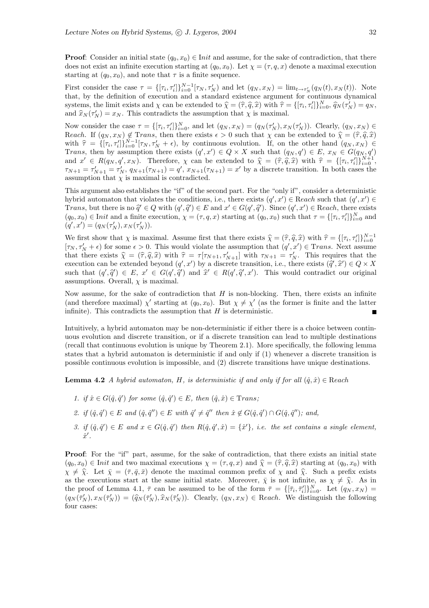**Proof:** Consider an initial state  $(q_0, x_0) \in \text{Init}$  and assume, for the sake of contradiction, that there does not exist an infinite execution starting at  $(q_0, x_0)$ . Let  $\chi = (\tau, q, x)$  denote a maximal execution starting at  $(q_0, x_0)$ , and note that  $\tau$  is a finite sequence.

First consider the case  $\tau = \{\tau_i, \tau'_i\}_{i=0}^{N-1} [\tau_N, \tau'_N)$  and let  $(q_N, x_N) = \lim_{t \to \tau'_N} (q_N(t), x_N(t))$ . Note that, by the definition of execution and a standard existence argument for continuous dynamical systems, the limit exists and  $\chi$  can be extended to  $\hat{\chi} = (\hat{\tau}, \hat{q}, \hat{x})$  with  $\hat{\tau} = \{[\tau_i, \tau'_i]\}_{i=0}^N$ ,  $\hat{q}_N(\tau'_N) = q_N$ , and  $\hat{x}_N(\tau_N') = x_N$ . This contradicts the assumption that  $\chi$  is maximal.

Now consider the case  $\tau = \{\tau_i, \tau'_i\}_{i=0}^N$ , and let  $(q_N, x_N) = (q_N(\tau'_N), x_N(\tau'_N))$ . Clearly,  $(q_N, x_N) \in$ Reach. If  $(q_N, x_N) \notin \text{Trans}$ , then there exists  $\epsilon > 0$  such that  $\chi$  can be extended to  $\hat{\chi} = (\hat{\tau}, \hat{q}, \hat{x})$ with  $\hat{\tau} = \{[\tau_i, \tau'_i]\}_{i=0}^{N-1} [\tau_N, \tau'_N + \epsilon)$ , by continuous evolution. If, on the other hand  $(q_N, x_N) \in$ Trans, then by assumption there exists  $(q', x') \in Q \times X$  such that  $(q_N, q') \in E$ ,  $x_N \in G(q_N, q')$ and  $x' \in R(q_N, q', x_N)$ . Therefore,  $\chi$  can be extended to  $\hat{\chi} = (\hat{\tau}, \hat{q}, \hat{x})$  with  $\hat{\tau} = \{[\tau_i, \tau_i]\}_{i=0}^{N+1}$ ,  $\tau_{N+1} = \tau'_{N+1} = \tau'_{N}, q_{N+1}(\tau_{N+1}) = q', x_{N+1}(\tau_{N+1}) = x'$  by a discrete transition. In both cases the assumption that  $\chi$  is maximal is contradicted.

This argument also establishes the "if" of the second part. For the "only if", consider a deterministic hybrid automaton that violates the conditions, i.e., there exists  $(q', x') \in$  Reach such that  $(q', x') \in$ Trans, but there is no  $\hat{q} \in Q$  with  $(q', \hat{q}') \in E$  and  $x' \in G(q', \hat{q}')$ . Since  $(q', x') \in$  Reach, there exists  $(q_0, x_0) \in \text{Init}$  and a finite execution,  $\chi = (\tau, q, x)$  starting at  $(q_0, x_0)$  such that  $\tau = \{\tau_i, \tau'_i\}^N_{i=0}$  and  $(q', x') = (q_N(\tau_N'), x_N(\tau_N')).$ 

We first show that  $\chi$  is maximal. Assume first that there exists  $\hat{\chi} = (\hat{\tau}, \hat{q}, \hat{x})$  with  $\hat{\tau} = \{[\tau_i, \tau'_i]\}_{i=0}^{N-1}$  $[\tau_N, \tau'_N + \epsilon)$  for some  $\epsilon > 0$ . This would violate the assumption that  $(q', x') \in \text{Trans. Next}$  assume that there exists  $\hat{\chi} = (\hat{\tau}, \hat{q}, \hat{x})$  with  $\hat{\tau} = \tau[\tau_{N+1}, \tau'_{N+1}]$  with  $\tau_{N+1} = \tau'_{N}$ . This requires that the execution can be extended beyond  $(q', x')$  by a discrete transition, i.e., there exists  $(\tilde{q}', \tilde{x}') \in Q \times X$ such that  $(q',\hat{q}') \in E$ ,  $x' \in G(q',\hat{q}')$  and  $\hat{x}' \in R(q',\hat{q}',x')$ . This would contradict our original assumptions. Overall,  $\chi$  is maximal.

Now assume, for the sake of contradiction that  $H$  is non-blocking. Then, there exists an infinite (and therefore maximal)  $\chi'$  starting at  $(q_0, x_0)$ . But  $\chi \neq \chi'$  (as the former is finite and the latter infinite). This contradicts the assumption that  $H$  is deterministic.

Intuitively, a hybrid automaton may be non-deterministic if either there is a choice between continuous evolution and discrete transition, or if a discrete transition can lead to multiple destinations (recall that continuous evolution is unique by Theorem 2.1). More specifically, the following lemma states that a hybrid automaton is deterministic if and only if (1) whenever a discrete transition is possible continuous evolution is impossible, and (2) discrete transitions have unique destinations.

**Lemma 4.2** A hybrid automaton, H, is deterministic if and only if for all  $(\hat{q}, \hat{x}) \in$  Reach

- 1. if  $\hat{x} \in G(\hat{q}, \hat{q}')$  for some  $(\hat{q}, \hat{q}') \in E$ , then  $(\hat{q}, \hat{x}) \in \text{Trans};$
- 2. if  $(\hat{q}, \hat{q}') \in E$  and  $(\hat{q}, \hat{q}'') \in E$  with  $\hat{q}' \neq \hat{q}''$  then  $\hat{x} \notin G(\hat{q}, \hat{q}') \cap G(\hat{q}, \hat{q}'')$ ; and,
- 3. if  $(\hat{q}, \hat{q}') \in E$  and  $x \in G(\hat{q}, \hat{q}')$  then  $R(\hat{q}, \hat{q}', \hat{x}) = {\hat{x}'}, i.e.$  the set contains a single element,  $\hat{x}'$ .

Proof: For the "if" part, assume, for the sake of contradiction, that there exists an initial state  $(q_0, x_0) \in$  Init and two maximal executions  $\chi = (\tau, q, x)$  and  $\hat{\chi} = (\hat{\tau}, \hat{q}, \hat{x})$  starting at  $(q_0, x_0)$  with  $\chi \neq \hat{\chi}$ . Let  $\bar{\chi} = (\bar{\tau}, \bar{q}, \bar{x})$  denote the maximal common prefix of  $\chi$  and  $\hat{\chi}$ . Such a prefix exists as the executions start at the same initial state. Moreover,  $\overline{\chi}$  is not infinite, as  $\chi \neq \hat{\chi}$ . As in the proof of Lemma 4.1,  $\bar{\tau}$  can be assumed to be of the form  $\bar{\tau} = \{[\bar{\tau}_i, \bar{\tau}_i']\}_{i=0}^N$ . Let  $(q_N, x_N) =$  $(q_N(\bar{\tau}_N'), x_N(\bar{\tau}_N')) = (\hat{q}_N(\bar{\tau}_N'), \hat{x}_N(\bar{\tau}_N'))$ . Clearly,  $(q_N, x_N) \in$  Reach. We distinguish the following four cases: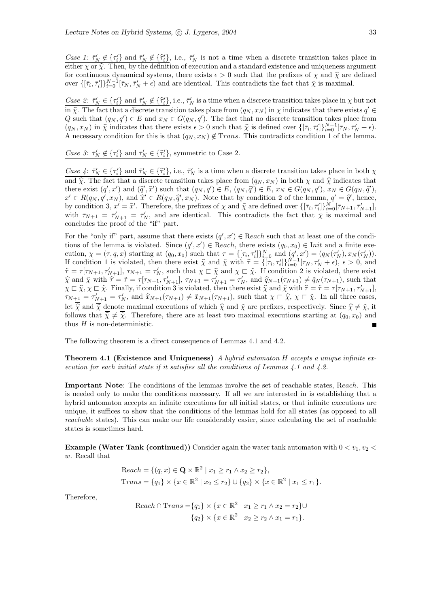Case 1:  $\bar{\tau}'_N \notin {\tau'_i}$  and  $\bar{\tau}'_N \notin {\bar{\tau}'_i}$ , i.e.,  $\bar{\tau}'_N$  is not a time when a discrete transition takes place in either  $\chi$  or  $\hat{\chi}$ . Then, by the definition of execution and a standard existence and uniqueness argument for continuous dynamical systems, there exists  $\epsilon > 0$  such that the prefixes of  $\chi$  and  $\hat{\chi}$  are defined over  $\{\left[\bar{\tau}_i,\bar{\tau}_i'\right]\}_{i=0}^{N-1}[\bar{\tau}_N,\bar{\tau}_N'+\epsilon)$  and are identical. This contradicts the fact that  $\bar{\chi}$  is maximal.

Case 2:  $\bar{\tau}_N' \in {\{\tau_i'\}}$  and  $\bar{\tau}_N' \notin {\{\hat{\tau}_i'\}}$ , i.e.,  $\bar{\tau}_N'$  is a time when a discrete transition takes place in  $\chi$  but not in  $\hat{\chi}$ . The fact that a discrete transition takes place from  $(q_N, x_N)$  in  $\chi$  indicates that there exists  $q' \in$ Q such that  $(q_N, q') \in E$  and  $x_N \in G(q_N, q')$ . The fact that no discrete transition takes place from  $(q_N, x_N)$  in  $\hat{\chi}$  indicates that there exists  $\epsilon > 0$  such that  $\hat{\chi}$  is defined over  $\{[\bar{\tau}_i, \bar{\tau}_i']\}_{i=0}^{N-1} [\bar{\tau}_N, \bar{\tau}_N' + \epsilon]$ . A necessary condition for this is that  $(q_N, x_N) \notin \text{Trans.}$  This contradicts condition 1 of the lemma.

Case 3:  $\bar{\tau}_N' \notin {\tau_i'}$  and  $\bar{\tau}_N' \in {\{\hat{\tau_i'}\}}$ , symmetric to Case 2.

Case 4:  $\bar{\tau}_N' \in {\bar{\tau}_i'}$  and  $\bar{\tau}_N' \in {\bar{\tau}_i'}$ , i.e.,  $\bar{\tau}_N'$  is a time when a discrete transition takes place in both  $\chi$ and  $\hat{\chi}$ . The fact that a discrete transition takes place from  $(q_N, x_N)$  in both  $\chi$  and  $\hat{\chi}$  indicates that there exist  $(q', x')$  and  $(\hat{q}', \hat{x}')$  such that  $(q_N, q') \in E$ ,  $(q_N, \hat{q}') \in E$ ,  $x_N \in G(q_N, q')$ ,  $x_N \in G(q_N, \hat{q}')$ , there exist  $(q', x')$  and  $(\tilde{q}', \tilde{x}')$  such that  $(q_N, q') \in E$ ,  $(q_N, \tilde{q}') \in E$ ,  $x_N \in G(q_N, q')$ ,  $x_N \in G(q_N, \tilde{q}')$ ,<br>  $x' \in R(q_N, q', x_N)$ , and  $\tilde{x}' \in R(q_N, \tilde{q}', x_N)$ . Note that by condition 2 of the lemma,  $q' = \tilde{q}'$ , hence, by condition 3,  $x' = \hat{x}'$ . Therefore, the prefixes of  $\chi$  and  $\hat{\chi}$  are defined over  $\{[\bar{\tau}_i, \bar{\tau}_i']\}_{i=0}^N [\bar{\tau}_{N+1}, \bar{\tau}_{N+1}']$ , with  $\bar{\tau}_{N+1} = \bar{\tau}_{N+1}' = \bar{\tau}_{N}$ , and are identical. This contradicts the fact that  $\bar{\chi}$  is maximal and concludes the proof of the "if" part.

For the "only if" part, assume that there exists  $(q', x') \in$  Reach such that at least one of the conditions of the lemma is violated. Since  $(q', x') \in$  Reach, there exists  $(q_0, x_0) \in$  Init and a finite execution,  $\chi = (\tau, q, x)$  starting at  $(q_0, x_0)$  such that  $\tau = \{[\tau_i, \tau'_i]\}_{i=0}^N$  and  $(q', x') = (q_N(\tau'_N), x_N(\tau'_N))$ . If condition 1 is violated, then there exist  $\hat{\chi}$  and  $\tilde{\chi}$  with  $\hat{\tau} = \{[\tau_i, \tau'_i]\}_{i=0}^{N-1} [\tau_N, \tau'_N + \epsilon), \epsilon > 0$ , and  $\tilde{\tau} = \{-1, \dots, 1\}$  $\tilde{\tau} = \tau[\tau_{N+1}, \tau'_{N+1}], \tau_{N+1} = \tau'_{N}$ , such that  $\chi \subset \hat{\chi}$  and  $\chi \subset \tilde{\chi}$ . If condition 2 is violated, there exist  $\hat{\chi}$  and  $\tilde{\chi}$  with  $\hat{\tau} = \tilde{\tau} = \tau[\tau_{N+1}, \tau'_{N+1}], \tau_{N+1} = \tau'_{N+1} = \tau'_{N}$ , and  $\hat{q}_{N+1}(\tau_{N+1}) \neq \tilde{q}_{N}(\tau_{N+1})$ , such that  $\chi \subset \hat{\chi}, \chi \subset \tilde{\chi}$ . Finally, if condition 3 is violated, then there exist  $\hat{\chi}$  and  $\tilde{\chi}$  with  $\hat{\tau} = \tilde{\tau} = \tau[\tau_{N+1}, \tau'_{N+1}],$  $\tau_{N+1} = \tau'_{N+1} = \tau'_{N}$ , and  $\hat{x}_{N+1}(\tau_{N+1}) \neq \tilde{x}_{N+1}(\tau_{N+1})$ , such that  $\chi \subset \hat{\chi}$ ,  $\chi \subset \tilde{\chi}$ . In all three cases, let  $\overline{\hat{\chi}}$  and  $\overline{\hat{\chi}}$  denote maximal executions of which  $\hat{\chi}$  and  $\tilde{\chi}$  are prefixes, respectively. Since  $\hat{\chi} \neq \tilde{\chi}$ , it follows that  $\overline{\hat{\chi}} \neq \overline{\hat{\chi}}$ . Therefore, there are at least two maximal executions starting at  $(q_0, x_0)$  and thus  $H$  is non-deterministic.

The following theorem is a direct consequence of Lemmas 4.1 and 4.2.

**Theorem 4.1 (Existence and Uniqueness)** A hybrid automator H accepts a unique infinite execution for each initial state if it satisfies all the conditions of Lemmas 4.1 and 4.2.

Important Note: The conditions of the lemmas involve the set of reachable states, Reach. This is needed only to make the conditions necessary. If all we are interested in is establishing that a hybrid automaton accepts an infinite executions for all initial states, or that infinite executions are unique, it suffices to show that the conditions of the lemmas hold for all states (as opposed to all reachable states). This can make our life considerably easier, since calculating the set of reachable states is sometimes hard.

**Example (Water Tank (continued))** Consider again the water tank automaton with  $0 < v_1, v_2 <$ w. Recall that

*Reach* = {
$$
(q, x)
$$
 ∈ **Q** × ℝ<sup>2</sup> |  $x_1 \ge r_1 \land x_2 \ge r_2$ },  
*Trans* = { $q_1$ } × { $x \in ℝ^2$  |  $x_2 \le r_2$ } ∪ { $q_2$ } × { $x \in ℝ^2$  |  $x_1 \le r_1$ }.

Therefore,

<sup>R</sup>each <sup>∩</sup> <sup>T</sup>rans <sup>=</sup>{q1} × {<sup>x</sup> <sup>∈</sup> <sup>R</sup> 2 | x<sup>1</sup> ≥ r<sup>1</sup> ∧ x<sup>2</sup> = r2}∪ {q2} × {<sup>x</sup> <sup>∈</sup> <sup>R</sup> 2 | x<sup>2</sup> ≥ r<sup>2</sup> ∧ x<sup>1</sup> = r1}.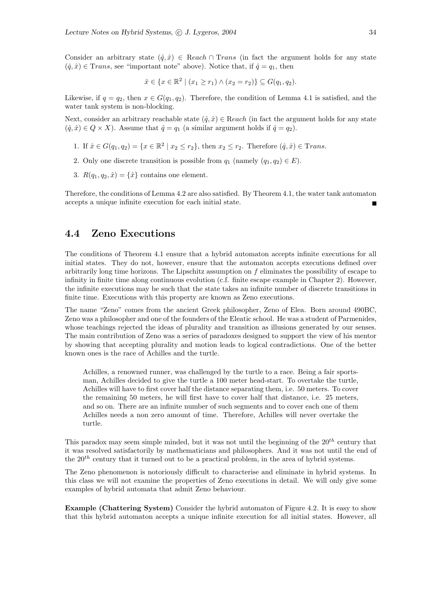Consider an arbitrary state  $(\hat{q}, \hat{x}) \in$  Reach ∩ Trans (in fact the argument holds for any state  $(\hat{q}, \hat{x}) \in Trans$ , see "important note" above). Notice that, if  $\hat{q} = q_1$ , then

$$
\hat{x} \in \{x \in \mathbb{R}^2 \mid (x_1 \ge r_1) \land (x_2 = r_2) \} \subseteq G(q_1, q_2).
$$

Likewise, if  $q = q_2$ , then  $x \in G(q_1, q_2)$ . Therefore, the condition of Lemma 4.1 is satisfied, and the water tank system is non-blocking.

Next, consider an arbitrary reachable state  $(\hat{q}, \hat{x}) \in \text{Reach}$  (in fact the argument holds for any state  $(\hat{q}, \hat{x}) \in Q \times X$ ). Assume that  $\hat{q} = q_1$  (a similar argument holds if  $\hat{q} = q_2$ ).

- 1. If  $\hat{x} \in G(q_1, q_2) = \{x \in \mathbb{R}^2 \mid x_2 \le r_2\}$ , then  $x_2 \le r_2$ . Therefore  $(\hat{q}, \hat{x}) \in \text{Trans.}$
- 2. Only one discrete transition is possible from  $q_1$  (namely  $(q_1, q_2) \in E$ ).
- 3.  $R(q_1, q_2, \hat{x}) = {\hat{x}}$  contains one element.

Therefore, the conditions of Lemma 4.2 are also satisfied. By Theorem 4.1, the water tank automaton accepts a unique infinite execution for each initial state.

### 4.4 Zeno Executions

The conditions of Theorem 4.1 ensure that a hybrid automaton accepts infinite executions for all initial states. They do not, however, ensure that the automaton accepts executions defined over arbitrarily long time horizons. The Lipschitz assumption on  $f$  eliminates the possibility of escape to infinity in finite time along continuous evolution (c.f. finite escape example in Chapter 2). However, the infinite executions may be such that the state takes an infinite number of discrete transitions in finite time. Executions with this property are known as Zeno executions.

The name "Zeno" comes from the ancient Greek philosopher, Zeno of Elea. Born around 490BC, Zeno was a philosopher and one of the founders of the Eleatic school. He was a student of Parmenides, whose teachings rejected the ideas of plurality and transition as illusions generated by our senses. The main contribution of Zeno was a series of paradoxes designed to support the view of his mentor by showing that accepting plurality and motion leads to logical contradictions. One of the better known ones is the race of Achilles and the turtle.

Achilles, a renowned runner, was challenged by the turtle to a race. Being a fair sportsman, Achilles decided to give the turtle a 100 meter head-start. To overtake the turtle, Achilles will have to first cover half the distance separating them, i.e. 50 meters. To cover the remaining 50 meters, he will first have to cover half that distance, i.e. 25 meters, and so on. There are an infinite number of such segments and to cover each one of them Achilles needs a non zero amount of time. Therefore, Achilles will never overtake the turtle.

This paradox may seem simple minded, but it was not until the beginning of the  $20<sup>th</sup>$  century that it was resolved satisfactorily by mathematicians and philosophers. And it was not until the end of the  $20<sup>th</sup>$  century that it turned out to be a practical problem, in the area of hybrid systems.

The Zeno phenomenon is notoriously difficult to characterise and eliminate in hybrid systems. In this class we will not examine the properties of Zeno executions in detail. We will only give some examples of hybrid automata that admit Zeno behaviour.

Example (Chattering System) Consider the hybrid automaton of Figure 4.2. It is easy to show that this hybrid automaton accepts a unique infinite execution for all initial states. However, all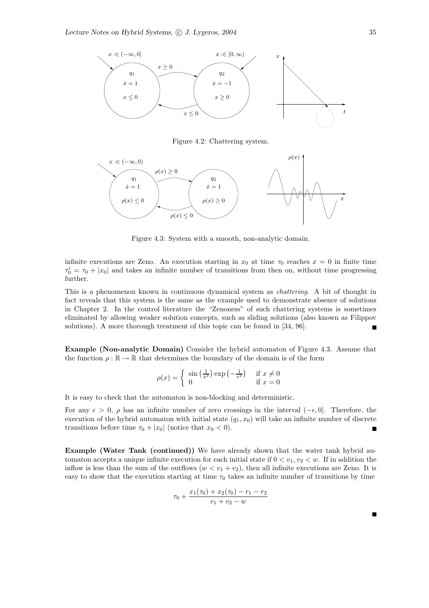

Figure 4.2: Chattering system.



Figure 4.3: System with a smooth, non-analytic domain.

infinite executions are Zeno. An execution starting in  $x_0$  at time  $\tau_0$  reaches  $x = 0$  in finite time  $\tau_0' = \tau_0 + |x_0|$  and takes an infinite number of transitions from then on, without time progressing further.

This is a phenomenon known in continuous dynamical system as chattering. A bit of thought in fact reveals that this system is the same as the example used to demonstrate absence of solutions in Chapter 2. In the control literature the "Zenoness" of such chattering systems is sometimes eliminated by allowing weaker solution concepts, such as sliding solutions (also known as Filippov solutions). A more thorough treatment of this topic can be found in [34, 96].

Example (Non-analytic Domain) Consider the hybrid automaton of Figure 4.3. Assume that the function  $\rho : \mathbb{R} \to \mathbb{R}$  that determines the boundary of the domain is of the form

$$
\rho(x) = \begin{cases} \sin\left(\frac{1}{x^2}\right) \exp\left(-\frac{1}{x^2}\right) & \text{if } x \neq 0\\ 0 & \text{if } x = 0 \end{cases}
$$

It is easy to check that the automaton is non-blocking and deterministic.

For any  $\epsilon > 0$ ,  $\rho$  has an infinite number of zero crossings in the interval  $(-\epsilon, 0]$ . Therefore, the execution of the hybrid automaton with initial state  $(q_1, x_0)$  will take an infinite number of discrete transitions before time  $\tau_0 + |x_0|$  (notice that  $x_0 < 0$ ).

Example (Water Tank (continued)) We have already shown that the water tank hybrid automaton accepts a unique infinite execution for each initial state if  $0 < v_1, v_2 < w$ . If in addition the inflow is less than the sum of the outflows  $(w < v_1 + v_2)$ , then all infinite executions are Zeno. It is easy to show that the execution starting at time  $\tau_0$  takes an infinite number of transitions by time

$$
\tau_0 + \frac{x_1(\tau_0) + x_2(\tau_0) - r_1 - r_2}{v_1 + v_2 - w}
$$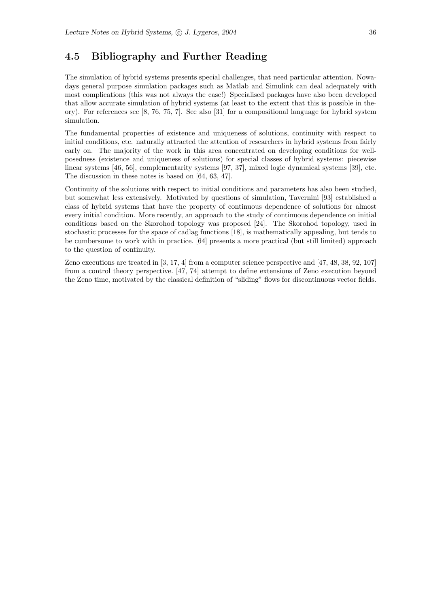## 4.5 Bibliography and Further Reading

The simulation of hybrid systems presents special challenges, that need particular attention. Nowadays general purpose simulation packages such as Matlab and Simulink can deal adequately with most complications (this was not always the case!) Specialised packages have also been developed that allow accurate simulation of hybrid systems (at least to the extent that this is possible in theory). For references see [8, 76, 75, 7]. See also [31] for a compositional language for hybrid system simulation.

The fundamental properties of existence and uniqueness of solutions, continuity with respect to initial conditions, etc. naturally attracted the attention of researchers in hybrid systems from fairly early on. The majority of the work in this area concentrated on developing conditions for wellposedness (existence and uniqueness of solutions) for special classes of hybrid systems: piecewise linear systems [46, 56], complementarity systems [97, 37], mixed logic dynamical systems [39], etc. The discussion in these notes is based on [64, 63, 47].

Continuity of the solutions with respect to initial conditions and parameters has also been studied, but somewhat less extensively. Motivated by questions of simulation, Tavernini [93] established a class of hybrid systems that have the property of continuous dependence of solutions for almost every initial condition. More recently, an approach to the study of continuous dependence on initial conditions based on the Skorohod topology was proposed [24]. The Skorohod topology, used in stochastic processes for the space of cadlag functions [18], is mathematically appealing, but tends to be cumbersome to work with in practice. [64] presents a more practical (but still limited) approach to the question of continuity.

Zeno executions are treated in [3, 17, 4] from a computer science perspective and [47, 48, 38, 92, 107] from a control theory perspective. [47, 74] attempt to define extensions of Zeno execution beyond the Zeno time, motivated by the classical definition of "sliding" flows for discontinuous vector fields.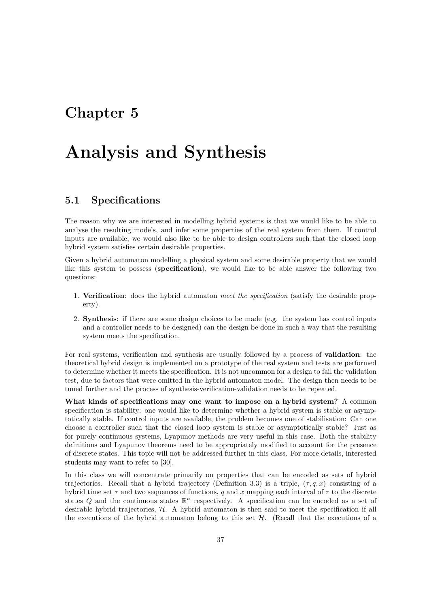## Chapter 5

# Analysis and Synthesis

#### 5.1 Specifications

The reason why we are interested in modelling hybrid systems is that we would like to be able to analyse the resulting models, and infer some properties of the real system from them. If control inputs are available, we would also like to be able to design controllers such that the closed loop hybrid system satisfies certain desirable properties.

Given a hybrid automaton modelling a physical system and some desirable property that we would like this system to possess (specification), we would like to be able answer the following two questions:

- 1. Verification: does the hybrid automaton meet the specification (satisfy the desirable property).
- 2. Synthesis: if there are some design choices to be made (e.g. the system has control inputs and a controller needs to be designed) can the design be done in such a way that the resulting system meets the specification.

For real systems, verification and synthesis are usually followed by a process of validation: the theoretical hybrid design is implemented on a prototype of the real system and tests are performed to determine whether it meets the specification. It is not uncommon for a design to fail the validation test, due to factors that were omitted in the hybrid automaton model. The design then needs to be tuned further and the process of synthesis-verification-validation needs to be repeated.

What kinds of specifications may one want to impose on a hybrid system? A common specification is stability: one would like to determine whether a hybrid system is stable or asymptotically stable. If control inputs are available, the problem becomes one of stabilisation: Can one choose a controller such that the closed loop system is stable or asymptotically stable? Just as for purely continuous systems, Lyapunov methods are very useful in this case. Both the stability definitions and Lyapunov theorems need to be appropriately modified to account for the presence of discrete states. This topic will not be addressed further in this class. For more details, interested students may want to refer to [30].

In this class we will concentrate primarily on properties that can be encoded as sets of hybrid trajectories. Recall that a hybrid trajectory (Definition 3.3) is a triple,  $(\tau, q, x)$  consisting of a hybrid time set  $\tau$  and two sequences of functions, q and x mapping each interval of  $\tau$  to the discrete states Q and the continuous states  $\mathbb{R}^n$  respectively. A specification can be encoded as a set of desirable hybrid trajectories, H. A hybrid automaton is then said to meet the specification if all the executions of the hybrid automaton belong to this set  $H$ . (Recall that the executions of a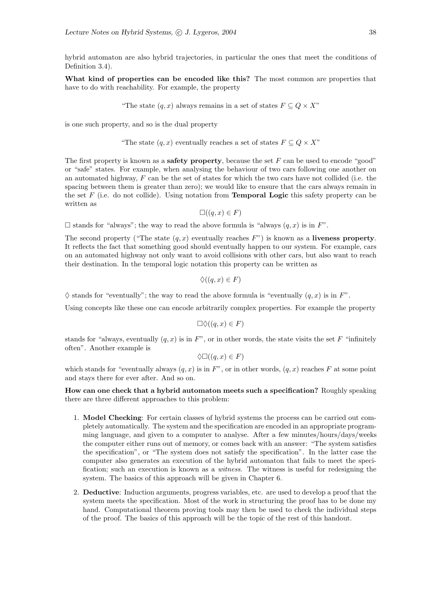hybrid automaton are also hybrid trajectories, in particular the ones that meet the conditions of Definition 3.4).

What kind of properties can be encoded like this? The most common are properties that have to do with reachability. For example, the property

"The state  $(q, x)$  always remains in a set of states  $F \subseteq Q \times X$ "

is one such property, and so is the dual property

"The state  $(q, x)$  eventually reaches a set of states  $F \subseteq Q \times X$ "

The first property is known as a **safety property**, because the set  $F$  can be used to encode "good" or "safe" states. For example, when analysing the behaviour of two cars following one another on an automated highway,  $F$  can be the set of states for which the two cars have not collided (i.e. the spacing between them is greater than zero); we would like to ensure that the cars always remain in the set  $F$  (i.e. do not collide). Using notation from **Temporal Logic** this safety property can be written as

 $\square((q, x) \in F)$ 

 $\square$  stands for "always"; the way to read the above formula is "always  $(q, x)$  is in  $F$ ".

The second property ("The state  $(q, x)$  eventually reaches F") is known as a liveness property. It reflects the fact that something good should eventually happen to our system. For example, cars on an automated highway not only want to avoid collisions with other cars, but also want to reach their destination. In the temporal logic notation this property can be written as

$$
\Diamond((q,x)\in F)
$$

 $\diamondsuit$  stands for "eventually"; the way to read the above formula is "eventually  $(q, x)$  is in F".

Using concepts like these one can encode arbitrarily complex properties. For example the property

$$
\Box \Diamond ((q,x) \in F)
$$

stands for "always, eventually  $(q, x)$  is in F", or in other words, the state visits the set F "infinitely" often". Another example is

$$
\Diamond \Box ((q,x) \in F)
$$

which stands for "eventually always  $(q, x)$  is in F", or in other words,  $(q, x)$  reaches F at some point and stays there for ever after. And so on.

How can one check that a hybrid automaton meets such a specification? Roughly speaking there are three different approaches to this problem:

- 1. Model Checking: For certain classes of hybrid systems the process can be carried out completely automatically. The system and the specification are encoded in an appropriate programming language, and given to a computer to analyse. After a few minutes/hours/days/weeks the computer either runs out of memory, or comes back with an answer: "The system satisfies the specification", or "The system does not satisfy the specification". In the latter case the computer also generates an execution of the hybrid automaton that fails to meet the specification; such an execution is known as a *witness*. The witness is useful for redesigning the system. The basics of this approach will be given in Chapter 6.
- 2. Deductive: Induction arguments, progress variables, etc. are used to develop a proof that the system meets the specification. Most of the work in structuring the proof has to be done my hand. Computational theorem proving tools may then be used to check the individual steps of the proof. The basics of this approach will be the topic of the rest of this handout.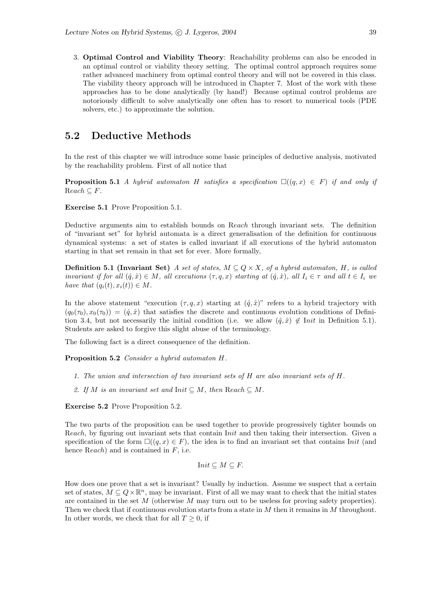3. Optimal Control and Viability Theory: Reachability problems can also be encoded in an optimal control or viability theory setting. The optimal control approach requires some rather advanced machinery from optimal control theory and will not be covered in this class. The viability theory approach will be introduced in Chapter 7. Most of the work with these approaches has to be done analytically (by hand!) Because optimal control problems are notoriously difficult to solve analytically one often has to resort to numerical tools (PDE solvers, etc.) to approximate the solution.

#### 5.2 Deductive Methods

In the rest of this chapter we will introduce some basic principles of deductive analysis, motivated by the reachability problem. First of all notice that

**Proposition 5.1** A hybrid automaton H satisfies a specification  $\square((q, x) \in F)$  if and only if  $Reach \subseteq F$ .

Exercise 5.1 Prove Proposition 5.1.

Deductive arguments aim to establish bounds on Reach through invariant sets. The definition of "invariant set" for hybrid automata is a direct generalisation of the definition for continuous dynamical systems: a set of states is called invariant if all executions of the hybrid automaton starting in that set remain in that set for ever. More formally,

**Definition 5.1 (Invariant Set)** A set of states,  $M \subseteq Q \times X$ , of a hybrid automaton, H, is called invariant if for all  $(\hat{q}, \hat{x}) \in M$ , all executions  $(\tau, q, x)$  starting at  $(\hat{q}, \hat{x})$ , all  $I_i \in \tau$  and all  $t \in I_i$  we have that  $(q_i(t), x_i(t)) \in M$ .

In the above statement "execution  $(\tau, q, x)$  starting at  $(\hat{q}, \hat{x})$ " refers to a hybrid trajectory with  $(q_0(\tau_0), x_0(\tau_0)) = (\hat{q}, \hat{x})$  that satisfies the discrete and continuous evolution conditions of Definition 3.4, but not necessarily the initial condition (i.e. we allow  $(\hat{q}, \hat{x}) \notin$  Init in Definition 5.1). Students are asked to forgive this slight abuse of the terminology.

The following fact is a direct consequence of the definition.

Proposition 5.2 Consider a hybrid automaton H.

- 1. The union and intersection of two invariant sets of H are also invariant sets of H.
- 2. If M is an invariant set and Init  $\subseteq M$ , then Reach  $\subseteq M$ .

Exercise 5.2 Prove Proposition 5.2.

The two parts of the proposition can be used together to provide progressively tighter bounds on Reach, by figuring out invariant sets that contain Init and then taking their intersection. Given a specification of the form  $\square((q, x) \in F)$ , the idea is to find an invariant set that contains Init (and hence  $Reach$ ) and is contained in  $F$ , i.e.

$$
Init \subseteq M \subseteq F.
$$

How does one prove that a set is invariant? Usually by induction. Assume we suspect that a certain set of states,  $M \subseteq Q \times \mathbb{R}^n$ , may be invariant. First of all we may want to check that the initial states are contained in the set M (otherwise M may turn out to be useless for proving safety properties). Then we check that if continuous evolution starts from a state in M then it remains in M throughout. In other words, we check that for all  $T \geq 0$ , if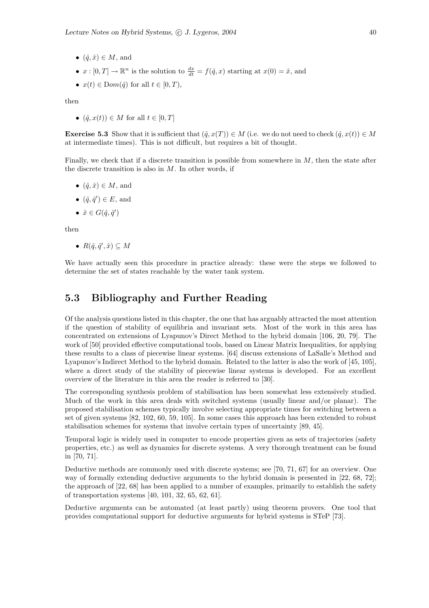- $(\hat{q}, \hat{x}) \in M$ , and
- $x : [0, T] \to \mathbb{R}^n$  is the solution to  $\frac{dx}{dt} = f(\hat{q}, x)$  starting at  $x(0) = \hat{x}$ , and
- $x(t) \in Dom(\hat{q})$  for all  $t \in [0, T)$ ,

then

•  $(\hat{q}, x(t)) \in M$  for all  $t \in [0, T]$ 

**Exercise 5.3** Show that it is sufficient that  $(\hat{q}, x(T)) \in M$  (i.e. we do not need to check  $(\hat{q}, x(t)) \in M$ at intermediate times). This is not difficult, but requires a bit of thought.

Finally, we check that if a discrete transition is possible from somewhere in  $M$ , then the state after the discrete transition is also in  $M$ . In other words, if

- $(\hat{q}, \hat{x}) \in M$ , and
- $(\hat{q}, \hat{q}') \in E$ , and
- $\hat{x} \in G(\hat{q}, \hat{q}')$

then

•  $R(\hat{q}, \hat{q}', \hat{x}) \subseteq M$ 

We have actually seen this procedure in practice already: these were the steps we followed to determine the set of states reachable by the water tank system.

#### 5.3 Bibliography and Further Reading

Of the analysis questions listed in this chapter, the one that has arguably attracted the most attention if the question of stability of equilibria and invariant sets. Most of the work in this area has concentrated on extensions of Lyapunov's Direct Method to the hybrid domain [106, 20, 79]. The work of [50] provided effective computational tools, based on Linear Matrix Inequalities, for applying these results to a class of piecewise linear systems. [64] discuss extensions of LaSalle's Method and Lyapunov's Indirect Method to the hybrid domain. Related to the latter is also the work of [45, 105], where a direct study of the stability of piecewise linear systems is developed. For an excellent overview of the literature in this area the reader is referred to [30].

The corresponding synthesis problem of stabilisation has been somewhat less extensively studied. Much of the work in this area deals with switched systems (usually linear and/or planar). The proposed stabilisation schemes typically involve selecting appropriate times for switching between a set of given systems [82, 102, 60, 59, 105]. In some cases this approach has been extended to robust stabilisation schemes for systems that involve certain types of uncertainty [89, 45].

Temporal logic is widely used in computer to encode properties given as sets of trajectories (safety properties, etc.) as well as dynamics for discrete systems. A very thorough treatment can be found in [70, 71].

Deductive methods are commonly used with discrete systems; see [70, 71, 67] for an overview. One way of formally extending deductive arguments to the hybrid domain is presented in [22, 68, 72]; the approach of [22, 68] has been applied to a number of examples, primarily to establish the safety of transportation systems [40, 101, 32, 65, 62, 61].

Deductive arguments can be automated (at least partly) using theorem provers. One tool that provides computational support for deductive arguments for hybrid systems is STeP [73].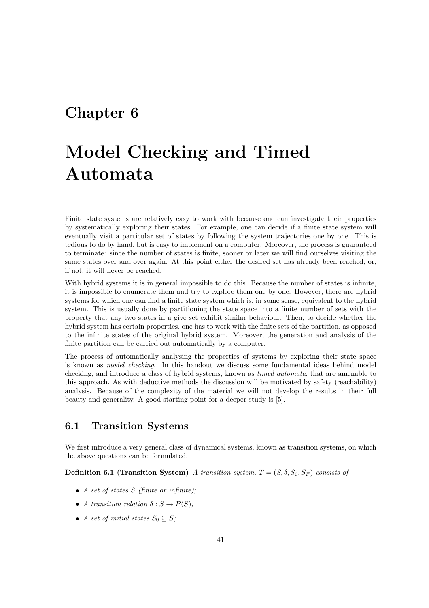## Chapter 6

# Model Checking and Timed Automata

Finite state systems are relatively easy to work with because one can investigate their properties by systematically exploring their states. For example, one can decide if a finite state system will eventually visit a particular set of states by following the system trajectories one by one. This is tedious to do by hand, but is easy to implement on a computer. Moreover, the process is guaranteed to terminate: since the number of states is finite, sooner or later we will find ourselves visiting the same states over and over again. At this point either the desired set has already been reached, or, if not, it will never be reached.

With hybrid systems it is in general impossible to do this. Because the number of states is infinite, it is impossible to enumerate them and try to explore them one by one. However, there are hybrid systems for which one can find a finite state system which is, in some sense, equivalent to the hybrid system. This is usually done by partitioning the state space into a finite number of sets with the property that any two states in a give set exhibit similar behaviour. Then, to decide whether the hybrid system has certain properties, one has to work with the finite sets of the partition, as opposed to the infinite states of the original hybrid system. Moreover, the generation and analysis of the finite partition can be carried out automatically by a computer.

The process of automatically analysing the properties of systems by exploring their state space is known as model checking. In this handout we discuss some fundamental ideas behind model checking, and introduce a class of hybrid systems, known as timed automata, that are amenable to this approach. As with deductive methods the discussion will be motivated by safety (reachability) analysis. Because of the complexity of the material we will not develop the results in their full beauty and generality. A good starting point for a deeper study is [5].

## 6.1 Transition Systems

We first introduce a very general class of dynamical systems, known as transition systems, on which the above questions can be formulated.

**Definition 6.1 (Transition System)** A transition system,  $T = (S, \delta, S_0, S_F)$  consists of

- A set of states  $S$  (finite or infinite);
- A transition relation  $\delta : S \to P(S)$ ;
- A set of initial states  $S_0 \subseteq S$ ;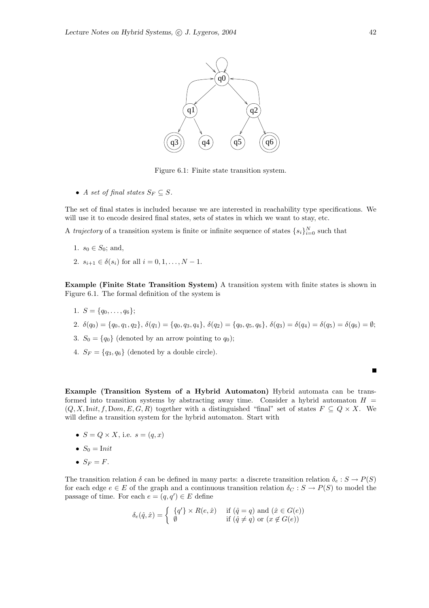

Figure 6.1: Finite state transition system.

• A set of final states  $S_F \subseteq S$ .

The set of final states is included because we are interested in reachability type specifications. We will use it to encode desired final states, sets of states in which we want to stay, etc.

A *trajectory* of a transition system is finite or infinite sequence of states  $\{s_i\}_{i=0}^N$  such that

- 1.  $s_0 \in S_0$ ; and,
- 2.  $s_{i+1} \in \delta(s_i)$  for all  $i = 0, 1, ..., N 1$ .

Example (Finite State Transition System) A transition system with finite states is shown in Figure 6.1. The formal definition of the system is

- 1.  $S = \{q_0, \ldots, q_6\};$
- 2.  $\delta(q_0) = \{q_0, q_1, q_2\}, \, \delta(q_1) = \{q_0, q_3, q_4\}, \, \delta(q_2) = \{q_0, q_5, q_6\}, \, \delta(q_3) = \delta(q_4) = \delta(q_5) = \delta(q_6) = \emptyset;$
- 3.  $S_0 = \{q_0\}$  (denoted by an arrow pointing to  $q_0$ );
- 4.  $S_F = \{q_3, q_6\}$  (denoted by a double circle).

Example (Transition System of a Hybrid Automaton) Hybrid automata can be transformed into transition systems by abstracting away time. Consider a hybrid automaton  $H =$  $(Q, X,Init, f, Dom, E, G, R)$  together with a distinguished "final" set of states  $F \subseteq Q \times X$ . We will define a transition system for the hybrid automaton. Start with

- $S = Q \times X$ , i.e.  $s = (q, x)$
- $S_0 = \text{Init}$
- $S_F = F$ .

The transition relation  $\delta$  can be defined in many parts: a discrete transition relation  $\delta_e : S \to P(S)$ for each edge  $e \in E$  of the graph and a continuous transition relation  $\delta_C : S \to P(S)$  to model the passage of time. For each  $e = (q, q') \in E$  define

$$
\delta_e(\hat{q}, \hat{x}) = \begin{cases} \n\ \{q'\} \times R(e, \hat{x}) & \text{if } (\hat{q} = q) \text{ and } (\hat{x} \in G(e)) \\ \n\emptyset & \text{if } (\hat{q} \neq q) \text{ or } (x \notin G(e)) \n\end{cases}
$$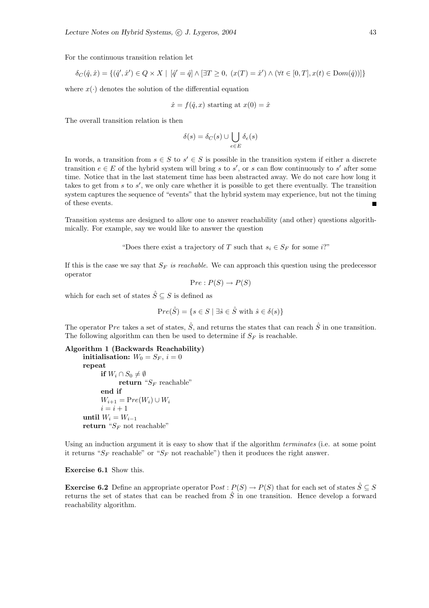For the continuous transition relation let

$$
\delta_C(\hat{q},\hat{x})=\{(\hat{q}',\hat{x}')\in Q\times X\mid\ [\hat{q}'=\hat{q}]\wedge[\exists T\geq 0,\ (x(T)=\hat{x}')\wedge(\forall t\in[0,T],x(t)\in\mathrm{Dom}(\hat{q}))]\}
$$

where  $x(\cdot)$  denotes the solution of the differential equation

$$
\dot{x} = f(\hat{q}, x)
$$
 starting at  $x(0) = \hat{x}$ 

The overall transition relation is then

$$
\delta(s) = \delta_C(s) \cup \bigcup_{e \in E} \delta_e(s)
$$

In words, a transition from  $s \in S$  to  $s' \in S$  is possible in the transition system if either a discrete transition  $e \in E$  of the hybrid system will bring s to s', or s can flow continuously to s' after some time. Notice that in the last statement time has been abstracted away. We do not care how long it takes to get from  $s$  to  $s'$ , we only care whether it is possible to get there eventually. The transition system captures the sequence of "events" that the hybrid system may experience, but not the timing of these events.

Transition systems are designed to allow one to answer reachability (and other) questions algorithmically. For example, say we would like to answer the question

"Does there exist a trajectory of T such that  $s_i \in S_F$  for some i?"

If this is the case we say that  $S_F$  is reachable. We can approach this question using the predecessor operator

$$
Pre: P(S) \to P(S)
$$

which for each set of states  $\hat{S} \subseteq S$  is defined as

$$
Pre(\hat{S}) = \{ s \in S \mid \exists \hat{s} \in \hat{S} \text{ with } \hat{s} \in \delta(s) \}
$$

The operator Pre takes a set of states,  $\hat{S}$ , and returns the states that can reach  $\hat{S}$  in one transition. The following algorithm can then be used to determine if  $S_F$  is reachable.

```
Algorithm 1 (Backwards Reachability)
```
initialisation:  $W_0 = S_F$ ,  $i = 0$ repeat if  $W_i \cap S_0 \neq \emptyset$ return " $S_F$  reachable" end if  $W_{i+1} = Pre(W_i) \cup W_i$  $i = i + 1$ until  $W_i = W_{i-1}$ return " $S_F$  not reachable"

Using an induction argument it is easy to show that if the algorithm *terminates* (i.e. at some point it returns " $S_F$  reachable" or " $S_F$  not reachable") then it produces the right answer.

Exercise 6.1 Show this.

**Exercise 6.2** Define an appropriate operator  $Post : P(S) \to P(S)$  that for each set of states  $\hat{S} \subseteq S$ returns the set of states that can be reached from  $\hat{S}$  in one transition. Hence develop a forward reachability algorithm.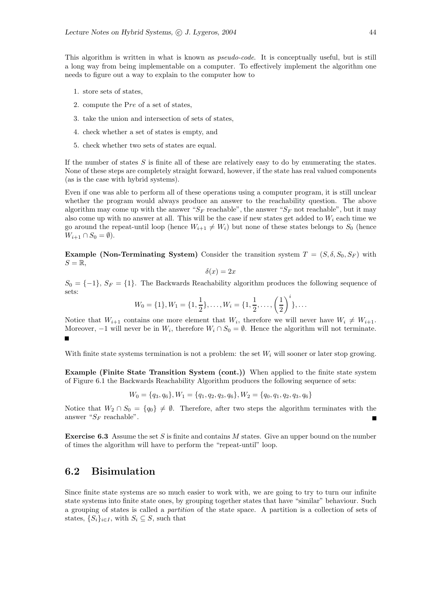This algorithm is written in what is known as pseudo-code. It is conceptually useful, but is still a long way from being implementable on a computer. To effectively implement the algorithm one needs to figure out a way to explain to the computer how to

- 1. store sets of states,
- 2. compute the Pre of a set of states,
- 3. take the union and intersection of sets of states,
- 4. check whether a set of states is empty, and
- 5. check whether two sets of states are equal.

If the number of states  $S$  is finite all of these are relatively easy to do by enumerating the states. None of these steps are completely straight forward, however, if the state has real valued components (as is the case with hybrid systems).

Even if one was able to perform all of these operations using a computer program, it is still unclear whether the program would always produce an answer to the reachability question. The above algorithm may come up with the answer " $S_F$  reachable", the answer " $S_F$  not reachable", but it may also come up with no answer at all. This will be the case if new states get added to  $W_i$  each time we go around the repeat-until loop (hence  $W_{i+1} \neq W_i$ ) but none of these states belongs to  $S_0$  (hence  $W_{i+1} \cap S_0 = \emptyset$ ).

**Example (Non-Terminating System)** Consider the transition system  $T = (S, \delta, S_0, S_F)$  with  $S = \mathbb{R}$ ,

$$
\delta(x) = 2x
$$

 $S_0 = \{-1\}, S_F = \{1\}.$  The Backwards Reachability algorithm produces the following sequence of sets:

$$
W_0 = \{1\}, W_1 = \{1, \frac{1}{2}\}, \dots, W_i = \{1, \frac{1}{2}, \dots, \left(\frac{1}{2}\right)^i\}, \dots
$$

Notice that  $W_{i+1}$  contains one more element that  $W_i$ , therefore we will never have  $W_i \neq W_{i+1}$ . Moreover,  $-1$  will never be in  $W_i$ , therefore  $W_i \cap S_0 = \emptyset$ . Hence the algorithm will not terminate.

With finite state systems termination is not a problem: the set  $W_i$  will sooner or later stop growing.

Example (Finite State Transition System (cont.)) When applied to the finite state system of Figure 6.1 the Backwards Reachability Algorithm produces the following sequence of sets:

$$
W_0 = \{q_3, q_6\}, W_1 = \{q_1, q_2, q_3, q_6\}, W_2 = \{q_0, q_1, q_2, q_3, q_6\}
$$

Notice that  $W_2 \cap S_0 = \{q_0\} \neq \emptyset$ . Therefore, after two steps the algorithm terminates with the answer " $S_F$  reachable".

**Exercise 6.3** Assume the set S is finite and contains M states. Give an upper bound on the number of times the algorithm will have to perform the "repeat-until" loop.

#### 6.2 Bisimulation

Since finite state systems are so much easier to work with, we are going to try to turn our infinite state systems into finite state ones, by grouping together states that have "similar" behaviour. Such a grouping of states is called a partition of the state space. A partition is a collection of sets of states,  $\{S_i\}_{i\in I}$ , with  $S_i \subseteq S$ , such that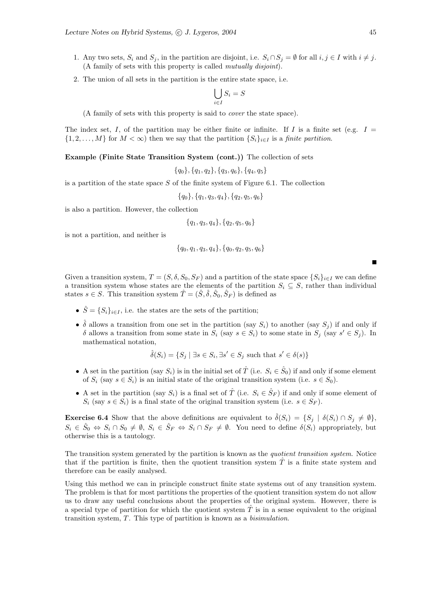- 1. Any two sets,  $S_i$  and  $S_j$ , in the partition are disjoint, i.e.  $S_i \cap S_j = \emptyset$  for all  $i, j \in I$  with  $i \neq j$ . (A family of sets with this property is called mutually disjoint).
- 2. The union of all sets in the partition is the entire state space, i.e.

$$
\bigcup_{i \in I} S_i = S
$$

(A family of sets with this property is said to cover the state space).

The index set, I, of the partition may be either finite or infinite. If I is a finite set (e.g.  $I =$  $\{1, 2, \ldots, M\}$  for  $M < \infty$ ) then we say that the partition  $\{S_i\}_{i \in I}$  is a finite partition.

Example (Finite State Transition System (cont.)) The collection of sets

 ${q_0}, {q_1, q_2}, {q_3, q_6}, {q_4, q_5}$ 

is a partition of the state space  $S$  of the finite system of Figure 6.1. The collection

 ${q_0}, {q_1, q_3, q_4}, {q_2, q_5, q_6}$ 

is also a partition. However, the collection

$$
{q_1, q_3, q_4}, {q_2, q_5, q_6}
$$

is not a partition, and neither is

$$
{q_0, q_1, q_3, q_4}, {q_0, q_2, q_5, q_6}
$$

Given a transition system,  $T = (S, \delta, S_0, S_F)$  and a partition of the state space  $\{S_i\}_{i\in I}$  we can define a transition system whose states are the elements of the partition  $S_i \subseteq S$ , rather than individual states  $s \in S$ . This transition system  $\hat{T} = (\hat{S}, \hat{\delta}, \hat{S}_0, \hat{S}_F)$  is defined as

- $\hat{S} = \{S_i\}_{i \in I}$ , i.e. the states are the sets of the partition;
- $\hat{\delta}$  allows a transition from one set in the partition (say  $S_i$ ) to another (say  $S_j$ ) if and only if δ allows a transition from some state in  $S_i$  (say  $s \in S_i$ ) to some state in  $S_j$  (say  $s' \in S_j$ ). In mathematical notation,

$$
\hat{\delta}(S_i) = \{ S_j \mid \exists s \in S_i, \exists s' \in S_j \text{ such that } s' \in \delta(s) \}
$$

- A set in the partition (say  $S_i$ ) is in the initial set of  $\hat{T}$  (i.e.  $S_i \in \hat{S}_0$ ) if and only if some element of  $S_i$  (say  $s \in S_i$ ) is an initial state of the original transition system (i.e.  $s \in S_0$ ).
- A set in the partition (say  $S_i$ ) is a final set of  $\hat{T}$  (i.e.  $S_i \in \hat{S}_F$ ) if and only if some element of  $S_i$  (say  $s \in S_i$ ) is a final state of the original transition system (i.e.  $s \in S_F$ ).

**Exercise 6.4** Show that the above definitions are equivalent to  $\hat{\delta}(S_i) = \{S_j \mid \delta(S_i) \cap S_j \neq \emptyset\}$ ,  $S_i \in \hat{S}_0 \Leftrightarrow S_i \cap S_0 \neq \emptyset$ ,  $S_i \in \hat{S}_F \Leftrightarrow S_i \cap S_F \neq \emptyset$ . You need to define  $\delta(S_i)$  appropriately, but otherwise this is a tautology.

The transition system generated by the partition is known as the *quotient transition system*. Notice that if the partition is finite, then the quotient transition system  $\hat{T}$  is a finite state system and therefore can be easily analysed.

Using this method we can in principle construct finite state systems out of any transition system. The problem is that for most partitions the properties of the quotient transition system do not allow us to draw any useful conclusions about the properties of the original system. However, there is a special type of partition for which the quotient system  $\hat{T}$  is in a sense equivalent to the original transition system,  $T$ . This type of partition is known as a *bisimulation*.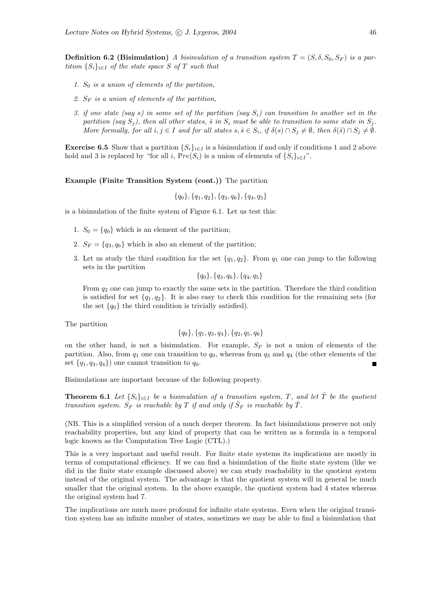**Definition 6.2 (Bisimulation)** A bisimulation of a transition system  $T = (S, \delta, S_0, S_F)$  is a partition  $\{S_i\}_{i\in I}$  of the state space S of T such that

- 1.  $S_0$  is a union of elements of the partition,
- 2.  $S_F$  is a union of elements of the partition,
- 3. if one state (say s) in some set of the partition (say  $S_i$ ) can transition to another set in the partition (say  $S_i$ ), then all other states,  $\hat{s}$  in  $S_i$  must be able to transition to some state in  $S_i$ . More formally, for all  $i, j \in I$  and for all states  $s, \hat{s} \in S_i$ , if  $\delta(s) \cap S_j \neq \emptyset$ , then  $\delta(\hat{s}) \cap S_j \neq \emptyset$ .

**Exercise 6.5** Show that a partition  $\{S_i\}_{i\in I}$  is a bisimulation if and only if conditions 1 and 2 above hold and 3 is replaced by "for all i,  $Pre(S_i)$  is a union of elements of  $\{S_i\}_{i\in I}$ ".

#### Example (Finite Transition System (cont.)) The partition

$$
{q_0}, {q_1, q_2}, {q_3, q_6}, {q_4, q_5}
$$

is a bisimulation of the finite system of Figure 6.1. Let us test this:

- 1.  $S_0 = \{q_0\}$  which is an element of the partition;
- 2.  $S_F = \{q_3, q_6\}$  which is also an element of the partition;
- 3. Let us study the third condition for the set  $\{q_1, q_2\}$ . From  $q_1$  one can jump to the following sets in the partition

 ${q_0}, {q_3}, q_6$ ,  ${q_4}, q_5$ 

From  $q_2$  one can jump to exactly the same sets in the partition. Therefore the third condition is satisfied for set  $\{q_1, q_2\}$ . It is also easy to check this condition for the remaining sets (for the set  $\{q_0\}$  the third condition is trivially satisfied).

The partition

$$
{q_0}, {q_1}, {q_3}, {q_4}, {q_2}, {q_5}, {q_6}
$$

on the other hand, is not a bisimulation. For example,  $S_F$  is not a union of elements of the partition. Also, from  $q_1$  one can transition to  $q_0$ , whereas from  $q_3$  and  $q_4$  (the other elements of the set  $\{q_1, q_3, q_4\}$  one cannot transition to  $q_0$ .

Bisimulations are important because of the following property.

**Theorem 6.1** Let  $\{S_i\}_{i\in I}$  be a bisimulation of a transition system, T, and let  $\hat{T}$  be the quotient transition system.  $S_F$  is reachable by T if and only if  $\hat{S}_F$  is reachable by  $\hat{T}$ .

(NB. This is a simplified version of a much deeper theorem. In fact bisimulations preserve not only reachability properties, but any kind of property that can be written as a formula in a temporal logic known as the Computation Tree Logic (CTL).)

This is a very important and useful result. For finite state systems its implications are mostly in terms of computational efficiency. If we can find a bisimulation of the finite state system (like we did in the finite state example discussed above) we can study reachability in the quotient system instead of the original system. The advantage is that the quotient system will in general be much smaller that the original system. In the above example, the quotient system had 4 states whereas the original system had 7.

The implications are much more profound for infinite state systems. Even when the original transition system has an infinite number of states, sometimes we may be able to find a bisimulation that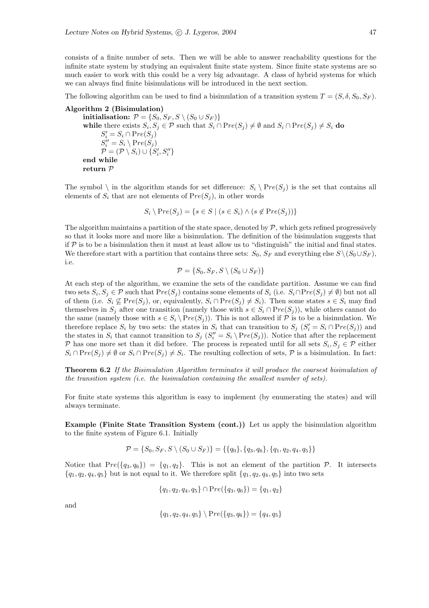consists of a finite number of sets. Then we will be able to answer reachability questions for the infinite state system by studying an equivalent finite state system. Since finite state systems are so much easier to work with this could be a very big advantage. A class of hybrid systems for which we can always find finite bisimulations will be introduced in the next section.

The following algorithm can be used to find a bisimulation of a transition system  $T = (S, \delta, S_0, S_F)$ .

Algorithm 2 (Bisimulation) initialisation:  $\mathcal{P} = \{S_0, S_F, S \setminus (S_0 \cup S_F)\}$ while there exists  $S_i, S_j \in \mathcal{P}$  such that  $S_i \cap Pre(S_j) \neq \emptyset$  and  $S_i \cap Pre(S_j) \neq S_i$  do  $S_i' = S_i \cap Pre(S_j)$  $S_i'' = S_i \setminus \mathrm{Pre}(S_j)$  $\mathcal{P} = (\mathcal{P} \setminus S_i) \cup \{S'_i, S''_i\}$ end while return P

The symbol  $\setminus$  in the algorithm stands for set difference:  $S_i \setminus \text{Pre}(S_i)$  is the set that contains all elements of  $S_i$  that are not elements of  $Pre(S_i)$ , in other words

 $S_i \setminus \text{Pre}(S_i) = \{s \in S \mid (s \in S_i) \wedge (s \notin \text{Pre}(S_i))\}$ 

The algorithm maintains a partition of the state space, denoted by  $P$ , which gets refined progressively so that it looks more and more like a bisimulation. The definition of the bisimulation suggests that if  $P$  is to be a bisimulation then it must at least allow us to "distinguish" the initial and final states. We therefore start with a partition that contains three sets:  $S_0$ ,  $S_F$  and everything else  $S \setminus (S_0 \cup S_F)$ , i.e.

$$
\mathcal{P} = \{S_0, S_F, S \setminus (S_0 \cup S_F)\}
$$

At each step of the algorithm, we examine the sets of the candidate partition. Assume we can find two sets  $S_i, S_j \in \mathcal{P}$  such that  $Pre(S_j)$  contains some elements of  $S_i$  (i.e.  $S_i \cap Pre(S_j) \neq \emptyset$ ) but not all of them (i.e.  $S_i \nsubseteq Pre(S_j)$ , or, equivalently,  $S_i \cap Pre(S_j) \neq S_i$ ). Then some states  $s \in S_i$  may find themselves in  $S_i$  after one transition (namely those with  $s \in S_i \cap Pre(S_i)$ ), while others cannot do the same (namely those with  $s \in S_i \backslash Pre(S_j)$ ). This is not allowed if  $P$  is to be a bisimulation. We therefore replace  $S_i$  by two sets: the states in  $S_i$  that can transition to  $S_j$   $(S_i' = S_i \cap Pre(S_j))$  and the states in  $S_i$  that cannot transition to  $S_j$   $(S_i'' = S_i \setminus Pre(S_j))$ . Notice that after the replacement P has one more set than it did before. The process is repeated until for all sets  $S_i, S_j \in \mathcal{P}$  either  $S_i \cap Pre(S_j) \neq \emptyset$  or  $S_i \cap Pre(S_j) \neq S_i$ . The resulting collection of sets,  $P$  is a bisimulation. In fact:

Theorem 6.2 If the Bisimulation Algorithm terminates it will produce the coarsest bisimulation of the transition system (i.e. the bisimulation containing the smallest number of sets).

For finite state systems this algorithm is easy to implement (by enumerating the states) and will always terminate.

Example (Finite State Transition System (cont.)) Let us apply the bisimulation algorithm to the finite system of Figure 6.1. Initially

$$
\mathcal{P} = \{S_0, S_F, S \setminus (S_0 \cup S_F)\} = \{\{q_0\}, \{q_3, q_6\}, \{q_1, q_2, q_4, q_5\}\}\
$$

Notice that  $Pre({q_3, q_6}) = {q_1, q_2}$ . This is not an element of the partition  $P$ . It intersects  ${q_1, q_2, q_4, q_5}$  but is not equal to it. We therefore split  ${q_1, q_2, q_4, q_5}$  into two sets

$$
{q_1, q_2, q_4, q_5} \cap Pre({q_3, q_6}) = {q_1, q_2}
$$

and

$$
{q_1, q_2, q_4, q_5} \setminus Pre({q_3, q_6}) = {q_4, q_5}
$$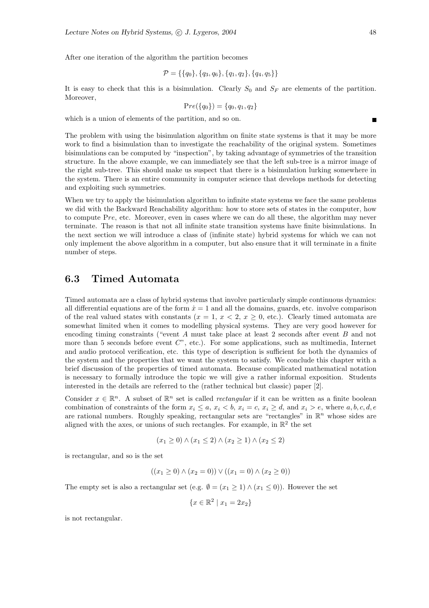After one iteration of the algorithm the partition becomes

$$
\mathcal{P} = \{\{q_0\}, \{q_3, q_6\}, \{q_1, q_2\}, \{q_4, q_5\}\}\
$$

It is easy to check that this is a bisimulation. Clearly  $S_0$  and  $S_F$  are elements of the partition. Moreover,

$$
Pre({q_0}) = {q_0, q_1, q_2}
$$

which is a union of elements of the partition, and so on.

The problem with using the bisimulation algorithm on finite state systems is that it may be more work to find a bisimulation than to investigate the reachability of the original system. Sometimes bisimulations can be computed by "inspection", by taking advantage of symmetries of the transition structure. In the above example, we can immediately see that the left sub-tree is a mirror image of the right sub-tree. This should make us suspect that there is a bisimulation lurking somewhere in the system. There is an entire community in computer science that develops methods for detecting and exploiting such symmetries.

When we try to apply the bisimulation algorithm to infinite state systems we face the same problems we did with the Backward Reachability algorithm: how to store sets of states in the computer, how to compute Pre, etc. Moreover, even in cases where we can do all these, the algorithm may never terminate. The reason is that not all infinite state transition systems have finite bisimulations. In the next section we will introduce a class of (infinite state) hybrid systems for which we can not only implement the above algorithm in a computer, but also ensure that it will terminate in a finite number of steps.

#### 6.3 Timed Automata

Timed automata are a class of hybrid systems that involve particularly simple continuous dynamics: all differential equations are of the form  $\dot{x} = 1$  and all the domains, guards, etc. involve comparison of the real valued states with constants  $(x = 1, x < 2, x \ge 0, \text{ etc.})$ . Clearly timed automata are somewhat limited when it comes to modelling physical systems. They are very good however for encoding timing constraints ("event A must take place at least 2 seconds after event B and not more than 5 seconds before event  $C^{\prime\prime}$ , etc.). For some applications, such as multimedia, Internet and audio protocol verification, etc. this type of description is sufficient for both the dynamics of the system and the properties that we want the system to satisfy. We conclude this chapter with a brief discussion of the properties of timed automata. Because complicated mathematical notation is necessary to formally introduce the topic we will give a rather informal exposition. Students interested in the details are referred to the (rather technical but classic) paper [2].

Consider  $x \in \mathbb{R}^n$ . A subset of  $\mathbb{R}^n$  set is called *rectangular* if it can be written as a finite boolean combination of constraints of the form  $x_i \le a$ ,  $x_i < b$ ,  $x_i = c$ ,  $x_i \ge d$ , and  $x_i > e$ , where  $a, b, c, d, e$ are rational numbers. Roughly speaking, rectangular sets are "rectangles" in  $\mathbb{R}^n$  whose sides are aligned with the axes, or unions of such rectangles. For example, in  $\mathbb{R}^2$  the set

$$
(x_1 \ge 0) \land (x_1 \le 2) \land (x_2 \ge 1) \land (x_2 \le 2)
$$

is rectangular, and so is the set

$$
((x_1 \ge 0) \land (x_2 = 0)) \lor ((x_1 = 0) \land (x_2 \ge 0))
$$

The empty set is also a rectangular set (e.g.  $\emptyset = (x_1 \geq 1) \wedge (x_1 \leq 0)$ ). However the set

$$
\{x \in \mathbb{R}^2 \mid x_1 = 2x_2\}
$$

is not rectangular.

 $\blacksquare$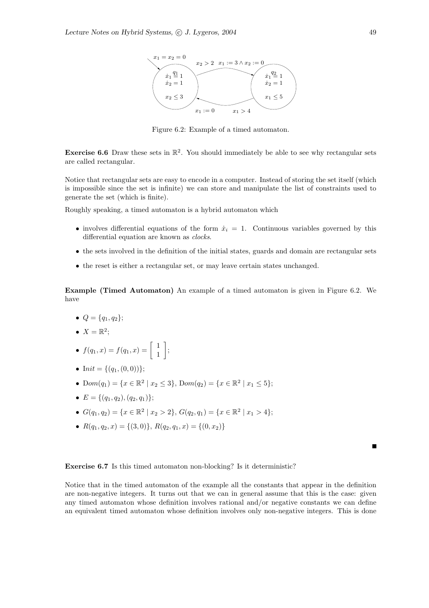

Figure 6.2: Example of a timed automaton.

**Exercise 6.6** Draw these sets in  $\mathbb{R}^2$ . You should immediately be able to see why rectangular sets are called rectangular.

Notice that rectangular sets are easy to encode in a computer. Instead of storing the set itself (which is impossible since the set is infinite) we can store and manipulate the list of constraints used to generate the set (which is finite).

Roughly speaking, a timed automaton is a hybrid automaton which

- involves differential equations of the form  $\dot{x}_i = 1$ . Continuous variables governed by this differential equation are known as clocks.
- the sets involved in the definition of the initial states, guards and domain are rectangular sets
- the reset is either a rectangular set, or may leave certain states unchanged.

Example (Timed Automaton) An example of a timed automaton is given in Figure 6.2. We have

- $Q = \{q_1, q_2\};$
- $X = \mathbb{R}^2$ ;
- $f(q_1, x) = f(q_1, x) = \begin{bmatrix} 1 \\ 1 \end{bmatrix}$ 1 1 ;
- Init = { $(q_1,(0,0))$ };
- Dom $(q_1) = \{x \in \mathbb{R}^2 \mid x_2 \le 3\}$ , Dom $(q_2) = \{x \in \mathbb{R}^2 \mid x_1 \le 5\}$ ;
- $E = \{(q_1, q_2), (q_2, q_1)\};$
- $G(q_1, q_2) = \{x \in \mathbb{R}^2 \mid x_2 > 2\}, G(q_2, q_1) = \{x \in \mathbb{R}^2 \mid x_1 > 4\};$
- $R(q_1, q_2, x) = \{(3, 0)\}, R(q_2, q_1, x) = \{(0, x_2)\}\$

 $\blacksquare$ 

#### Exercise 6.7 Is this timed automaton non-blocking? Is it deterministic?

Notice that in the timed automaton of the example all the constants that appear in the definition are non-negative integers. It turns out that we can in general assume that this is the case: given any timed automaton whose definition involves rational and/or negative constants we can define an equivalent timed automaton whose definition involves only non-negative integers. This is done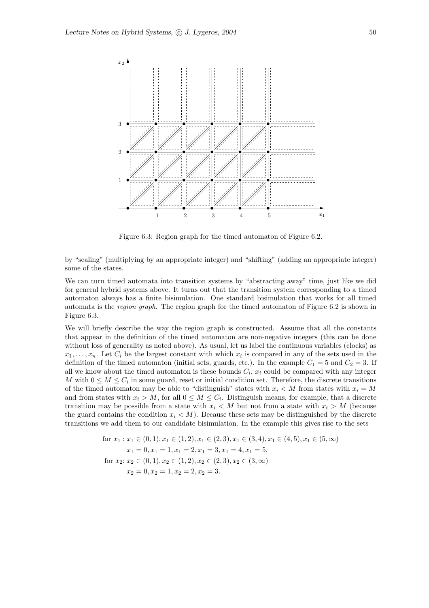

Figure 6.3: Region graph for the timed automaton of Figure 6.2.

by "scaling" (multiplying by an appropriate integer) and "shifting" (adding an appropriate integer) some of the states.

We can turn timed automata into transition systems by "abstracting away" time, just like we did for general hybrid systems above. It turns out that the transition system corresponding to a timed automaton always has a finite bisimulation. One standard bisimulation that works for all timed automata is the region graph. The region graph for the timed automaton of Figure 6.2 is shown in Figure 6.3.

We will briefly describe the way the region graph is constructed. Assume that all the constants that appear in the definition of the timed automaton are non-negative integers (this can be done without loss of generality as noted above). As usual, let us label the continuous variables (clocks) as  $x_1, \ldots, x_n$ . Let  $C_i$  be the largest constant with which  $x_i$  is compared in any of the sets used in the definition of the timed automaton (initial sets, guards, etc.). In the example  $C_1 = 5$  and  $C_2 = 3$ . If all we know about the timed automaton is these bounds  $C_i$ ,  $x_i$  could be compared with any integer M with  $0 \leq M \leq C_i$  in some guard, reset or initial condition set. Therefore, the discrete transitions of the timed automaton may be able to "distinguish" states with  $x_i \lt M$  from states with  $x_i = M$ and from states with  $x_i > M$ , for all  $0 \leq M \leq C_i$ . Distinguish means, for example, that a discrete transition may be possible from a state with  $x_i \leq M$  but not from a state with  $x_i > M$  (because the guard contains the condition  $x_i \leq M$ ). Because these sets may be distinguished by the discrete transitions we add them to our candidate bisimulation. In the example this gives rise to the sets

for 
$$
x_1 : x_1 \in (0, 1), x_1 \in (1, 2), x_1 \in (2, 3), x_1 \in (3, 4), x_1 \in (4, 5), x_1 \in (5, \infty)
$$
  
\n $x_1 = 0, x_1 = 1, x_1 = 2, x_1 = 3, x_1 = 4, x_1 = 5,$   
\nfor  $x_2 : x_2 \in (0, 1), x_2 \in (1, 2), x_2 \in (2, 3), x_2 \in (3, \infty)$   
\n $x_2 = 0, x_2 = 1, x_2 = 2, x_2 = 3.$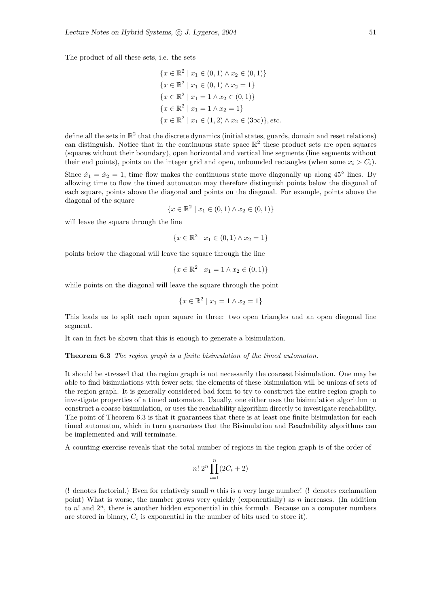The product of all these sets, i.e. the sets

$$
\{x \in \mathbb{R}^2 \mid x_1 \in (0, 1) \land x_2 \in (0, 1)\}
$$
  

$$
\{x \in \mathbb{R}^2 \mid x_1 \in (0, 1) \land x_2 = 1\}
$$
  

$$
\{x \in \mathbb{R}^2 \mid x_1 = 1 \land x_2 \in (0, 1)\}
$$
  

$$
\{x \in \mathbb{R}^2 \mid x_1 = 1 \land x_2 = 1\}
$$
  

$$
\{x \in \mathbb{R}^2 \mid x_1 \in (1, 2) \land x_2 \in (3\infty)\}, etc.
$$

define all the sets in  $\mathbb{R}^2$  that the discrete dynamics (initial states, guards, domain and reset relations) can distinguish. Notice that in the continuous state space  $\mathbb{R}^2$  these product sets are open squares (squares without their boundary), open horizontal and vertical line segments (line segments without their end points), points on the integer grid and open, unbounded rectangles (when some  $x_i > C_i$ ).

Since  $\dot{x}_1 = \dot{x}_2 = 1$ , time flow makes the continuous state move diagonally up along 45<sup>°</sup> lines. By allowing time to flow the timed automaton may therefore distinguish points below the diagonal of each square, points above the diagonal and points on the diagonal. For example, points above the diagonal of the square

$$
\{x \in \mathbb{R}^2 \mid x_1 \in (0,1) \land x_2 \in (0,1)\}
$$

will leave the square through the line

$$
\{x \in \mathbb{R}^2 \mid x_1 \in (0,1) \land x_2 = 1\}
$$

points below the diagonal will leave the square through the line

$$
\{x \in \mathbb{R}^2 \mid x_1 = 1 \land x_2 \in (0, 1)\}
$$

while points on the diagonal will leave the square through the point

$$
\{x \in \mathbb{R}^2 \mid x_1 = 1 \land x_2 = 1\}
$$

This leads us to split each open square in three: two open triangles and an open diagonal line segment.

It can in fact be shown that this is enough to generate a bisimulation.

Theorem 6.3 The region graph is a finite bisimulation of the timed automaton.

It should be stressed that the region graph is not necessarily the coarsest bisimulation. One may be able to find bisimulations with fewer sets; the elements of these bisimulation will be unions of sets of the region graph. It is generally considered bad form to try to construct the entire region graph to investigate properties of a timed automaton. Usually, one either uses the bisimulation algorithm to construct a coarse bisimulation, or uses the reachability algorithm directly to investigate reachability. The point of Theorem 6.3 is that it guarantees that there is at least one finite bisimulation for each timed automaton, which in turn guarantees that the Bisimulation and Reachability algorithms can be implemented and will terminate.

A counting exercise reveals that the total number of regions in the region graph is of the order of

$$
n! \; 2^n \prod_{i=1}^n (2C_i + 2)
$$

(! denotes factorial.) Even for relatively small n this is a very large number! (! denotes exclamation point) What is worse, the number grows very quickly (exponentially) as  $n$  increases. (In addition to  $n!$  and  $2^n$ , there is another hidden exponential in this formula. Because on a computer numbers are stored in binary,  $C_i$  is exponential in the number of bits used to store it).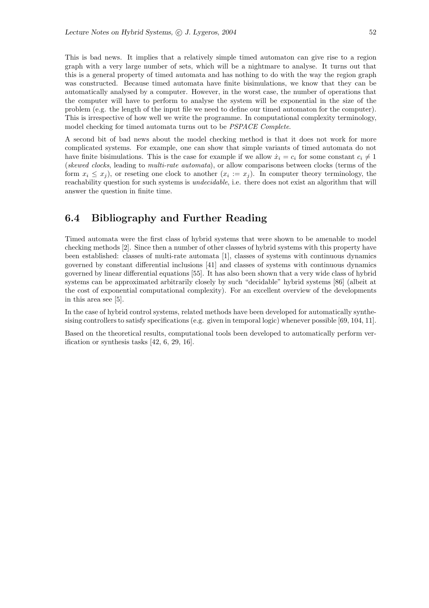This is bad news. It implies that a relatively simple timed automaton can give rise to a region graph with a very large number of sets, which will be a nightmare to analyse. It turns out that this is a general property of timed automata and has nothing to do with the way the region graph was constructed. Because timed automata have finite bisimulations, we know that they can be automatically analysed by a computer. However, in the worst case, the number of operations that the computer will have to perform to analyse the system will be exponential in the size of the problem (e.g. the length of the input file we need to define our timed automaton for the computer). This is irrespective of how well we write the programme. In computational complexity terminology, model checking for timed automata turns out to be PSPACE Complete.

A second bit of bad news about the model checking method is that it does not work for more complicated systems. For example, one can show that simple variants of timed automata do not have finite bisimulations. This is the case for example if we allow  $\dot{x}_i = c_i$  for some constant  $c_i \neq 1$ (skewed clocks, leading to multi-rate automata), or allow comparisons between clocks (terms of the form  $x_i \leq x_j$ ), or reseting one clock to another  $(x_i := x_j)$ . In computer theory terminology, the reachability question for such systems is *undecidable*, i.e. there does not exist an algorithm that will answer the question in finite time.

## 6.4 Bibliography and Further Reading

Timed automata were the first class of hybrid systems that were shown to be amenable to model checking methods [2]. Since then a number of other classes of hybrid systems with this property have been established: classes of multi-rate automata [1], classes of systems with continuous dynamics governed by constant differential inclusions [41] and classes of systems with continuous dynamics governed by linear differential equations [55]. It has also been shown that a very wide class of hybrid systems can be approximated arbitrarily closely by such "decidable" hybrid systems [86] (albeit at the cost of exponential computational complexity). For an excellent overview of the developments in this area see [5].

In the case of hybrid control systems, related methods have been developed for automatically synthesising controllers to satisfy specifications (e.g. given in temporal logic) whenever possible [69, 104, 11].

Based on the theoretical results, computational tools been developed to automatically perform verification or synthesis tasks [42, 6, 29, 16].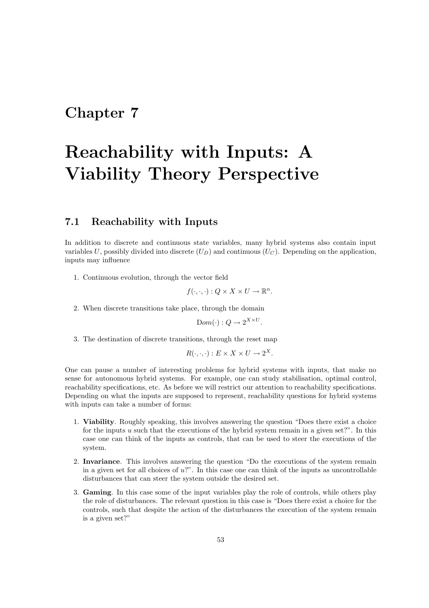## Chapter 7

# Reachability with Inputs: A Viability Theory Perspective

#### 7.1 Reachability with Inputs

In addition to discrete and continuous state variables, many hybrid systems also contain input variables U, possibly divided into discrete  $(U_D)$  and continuous  $(U_C)$ . Depending on the application, inputs may influence

1. Continuous evolution, through the vector field

$$
f(\cdot,\cdot,\cdot):Q\times X\times U\to\mathbb{R}^n.
$$

2. When discrete transitions take place, through the domain

$$
Dom(\cdot): Q \to 2^{X \times U}.
$$

3. The destination of discrete transitions, through the reset map

$$
R(\cdot,\cdot,\cdot):E\times X\times U\to 2^X.
$$

One can pause a number of interesting problems for hybrid systems with inputs, that make no sense for autonomous hybrid systems. For example, one can study stabilisation, optimal control, reachability specifications, etc. As before we will restrict our attention to reachability specifications. Depending on what the inputs are supposed to represent, reachability questions for hybrid systems with inputs can take a number of forms:

- 1. Viability. Roughly speaking, this involves answering the question "Does there exist a choice for the inputs  $u$  such that the executions of the hybrid system remain in a given set?". In this case one can think of the inputs as controls, that can be used to steer the executions of the system.
- 2. Invariance. This involves answering the question "Do the executions of the system remain in a given set for all choices of  $u$ ?". In this case one can think of the inputs as uncontrollable disturbances that can steer the system outside the desired set.
- 3. Gaming. In this case some of the input variables play the role of controls, while others play the role of disturbances. The relevant question in this case is "Does there exist a choice for the controls, such that despite the action of the disturbances the execution of the system remain is a given set?"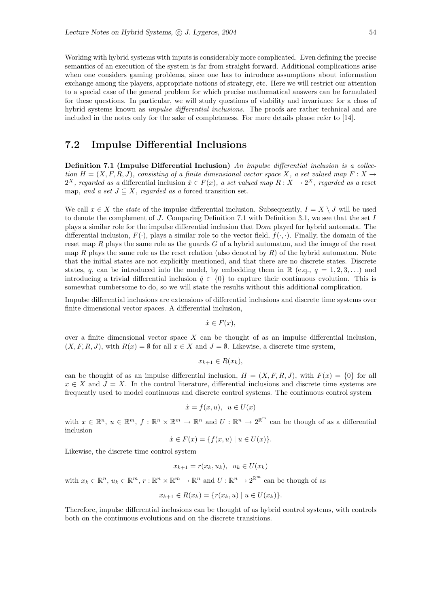Working with hybrid systems with inputs is considerably more complicated. Even defining the precise semantics of an execution of the system is far from straight forward. Additional complications arise when one considers gaming problems, since one has to introduce assumptions about information exchange among the players, appropriate notions of strategy, etc. Here we will restrict our attention to a special case of the general problem for which precise mathematical answers can be formulated for these questions. In particular, we will study questions of viability and invariance for a class of hybrid systems known as *impulse differential inclusions*. The proofs are rather technical and are included in the notes only for the sake of completeness. For more details please refer to [14].

#### 7.2 Impulse Differential Inclusions

Definition 7.1 (Impulse Differential Inclusion) An impulse differential inclusion is a collection  $H = (X, F, R, J)$ , consisting of a finite dimensional vector space X, a set valued map  $F : X \to Y$  $2^X$ , regarded as a differential inclusion  $\dot{x} \in F(x)$ , a set valued map  $R: X \to 2^X$ , regarded as a reset map, and a set  $J \subseteq X$ , regarded as a forced transition set.

We call  $x \in X$  the *state* of the impulse differential inclusion. Subsequently,  $I = X \setminus J$  will be used to denote the complement of J. Comparing Definition 7.1 with Definition 3.1, we see that the set I plays a similar role for the impulse differential inclusion that Dom played for hybrid automata. The differential inclusion,  $F(\cdot)$ , plays a similar role to the vector field,  $f(\cdot, \cdot)$ . Finally, the domain of the reset map  $R$  plays the same role as the guards  $G$  of a hybrid automaton, and the image of the reset map R plays the same role as the reset relation (also denoted by  $R$ ) of the hybrid automaton. Note that the initial states are not explicitly mentioned, and that there are no discrete states. Discrete states, q, can be introduced into the model, by embedding them in  $\mathbb{R}$  (e.q.,  $q = 1, 2, 3, \ldots$ ) and introducing a trivial differential inclusion  $\dot{q} \in \{0\}$  to capture their continuous evolution. This is somewhat cumbersome to do, so we will state the results without this additional complication.

Impulse differential inclusions are extensions of differential inclusions and discrete time systems over finite dimensional vector spaces. A differential inclusion,

 $\dot{x} \in F(x)$ ,

over a finite dimensional vector space  $X$  can be thought of as an impulse differential inclusion,  $(X, F, R, J)$ , with  $R(x) = \emptyset$  for all  $x \in X$  and  $J = \emptyset$ . Likewise, a discrete time system,

$$
x_{k+1} \in R(x_k),
$$

can be thought of as an impulse differential inclusion,  $H = (X, F, R, J)$ , with  $F(x) = \{0\}$  for all  $x \in X$  and  $J = X$ . In the control literature, differential inclusions and discrete time systems are frequently used to model continuous and discrete control systems. The continuous control system

$$
\dot{x} = f(x, u), \ u \in U(x)
$$

with  $x \in \mathbb{R}^n$ ,  $u \in \mathbb{R}^m$ ,  $f : \mathbb{R}^n \times \mathbb{R}^m \to \mathbb{R}^n$  and  $U : \mathbb{R}^n \to 2^{\mathbb{R}^m}$  can be though of as a differential inclusion

$$
\dot{x} \in F(x) = \{ f(x, u) \mid u \in U(x) \}.
$$

Likewise, the discrete time control system

$$
x_{k+1} = r(x_k, u_k), \ u_k \in U(x_k)
$$

with  $x_k \in \mathbb{R}^n$ ,  $u_k \in \mathbb{R}^m$ ,  $r : \mathbb{R}^n \times \mathbb{R}^m \to \mathbb{R}^n$  and  $U : \mathbb{R}^n \to 2^{\mathbb{R}^m}$  can be though of as

$$
x_{k+1} \in R(x_k) = \{ r(x_k, u) \mid u \in U(x_k) \}.
$$

Therefore, impulse differential inclusions can be thought of as hybrid control systems, with controls both on the continuous evolutions and on the discrete transitions.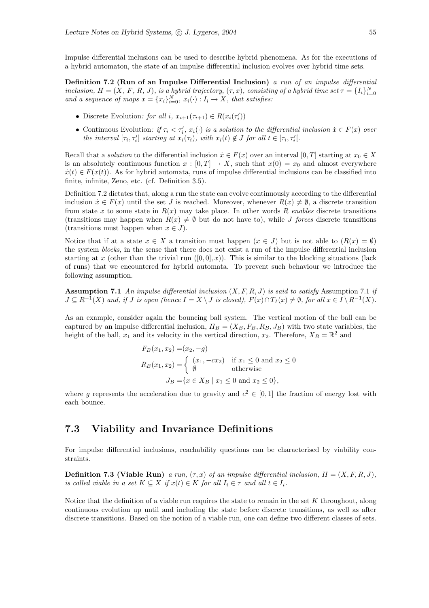Impulse differential inclusions can be used to describe hybrid phenomena. As for the executions of a hybrid automaton, the state of an impulse differential inclusion evolves over hybrid time sets.

Definition 7.2 (Run of an Impulse Differential Inclusion) a run of an impulse differential inclusion,  $H = (X, F, R, J)$ , is a hybrid trajectory,  $(\tau, x)$ , consisting of a hybrid time set  $\tau = \{I_i\}_{i=0}^N$ and a sequence of maps  $x = \{x_i\}_{i=0}^N$ ,  $x_i(\cdot) : I_i \to X$ , that satisfies:

- Discrete Evolution: for all i,  $x_{i+1}(\tau_{i+1}) \in R(x_i(\tau'_i))$
- Continuous Evolution: if  $\tau_i < \tau'_i$ ,  $x_i(\cdot)$  is a solution to the differential inclusion  $\dot{x} \in F(x)$  over the interval  $[\tau_i, \tau'_i]$  starting at  $x_i(\tau_i)$ , with  $x_i(t) \notin J$  for all  $t \in [\tau_i, \tau'_i]$ .

Recall that a solution to the differential inclusion  $\dot{x} \in F(x)$  over an interval  $[0, T]$  starting at  $x_0 \in X$ is an absolutely continuous function  $x : [0, T] \to X$ , such that  $x(0) = x_0$  and almost everywhere  $\dot{x}(t) \in F(x(t))$ . As for hybrid automata, runs of impulse differential inclusions can be classified into finite, infinite, Zeno, etc. (cf. Definition 3.5).

Definition 7.2 dictates that, along a run the state can evolve continuously according to the differential inclusion  $\dot{x} \in F(x)$  until the set J is reached. Moreover, whenever  $R(x) \neq \emptyset$ , a discrete transition from state x to some state in  $R(x)$  may take place. In other words R enables discrete transitions (transitions may happen when  $R(x) \neq \emptyset$  but do not have to), while J forces discrete transitions (transitions must happen when  $x \in J$ ).

Notice that if at a state  $x \in X$  a transition must happen  $(x \in J)$  but is not able to  $(R(x) = \emptyset)$ the system blocks, in the sense that there does not exist a run of the impulse differential inclusion starting at x (other than the trivial run  $([0,0],x)$ ). This is similar to the blocking situations (lack of runs) that we encountered for hybrid automata. To prevent such behaviour we introduce the following assumption.

**Assumption 7.1** An impulse differential inclusion  $(X, F, R, J)$  is said to satisfy Assumption 7.1 if  $J \subseteq R^{-1}(X)$  and, if  $J$  is open (hence  $I = X \setminus J$  is closed),  $F(x) \cap T_I(x) \neq \emptyset$ , for all  $x \in I \setminus R^{-1}(X)$ .

As an example, consider again the bouncing ball system. The vertical motion of the ball can be captured by an impulse differential inclusion,  $H_B = (X_B, F_B, R_B, J_B)$  with two state variables, the height of the ball,  $x_1$  and its velocity in the vertical direction,  $x_2$ . Therefore,  $X_B = \mathbb{R}^2$  and

$$
F_B(x_1, x_2) = (x_2, -g)
$$
  
\n
$$
R_B(x_1, x_2) = \begin{cases} (x_1, -cx_2) & \text{if } x_1 \le 0 \text{ and } x_2 \le 0\\ \emptyset & \text{otherwise} \end{cases}
$$
  
\n
$$
J_B = \{x \in X_B \mid x_1 \le 0 \text{ and } x_2 \le 0\},
$$

where g represents the acceleration due to gravity and  $c^2 \in [0,1]$  the fraction of energy lost with each bounce.

#### 7.3 Viability and Invariance Definitions

For impulse differential inclusions, reachability questions can be characterised by viability constraints.

**Definition 7.3 (Viable Run)** a run,  $(\tau, x)$  of an impulse differential inclusion,  $H = (X, F, R, J)$ , is called viable in a set  $K \subseteq X$  if  $x(t) \in K$  for all  $I_i \in \tau$  and all  $t \in I_i$ .

Notice that the definition of a viable run requires the state to remain in the set  $K$  throughout, along continuous evolution up until and including the state before discrete transitions, as well as after discrete transitions. Based on the notion of a viable run, one can define two different classes of sets.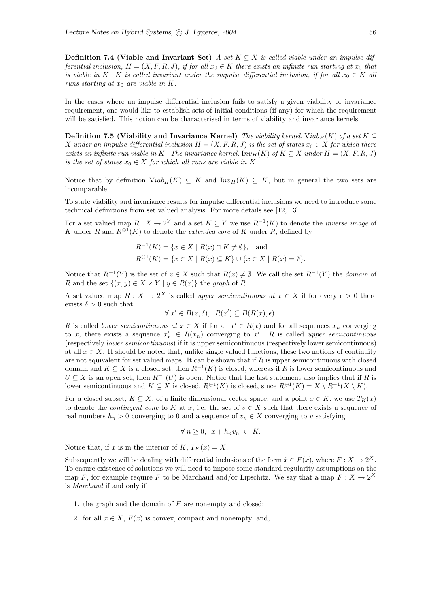**Definition 7.4 (Viable and Invariant Set)** A set  $K \subseteq X$  is called viable under an impulse differential inclusion,  $H = (X, F, R, J)$ , if for all  $x_0 \in K$  there exists an infinite run starting at  $x_0$  that is viable in K. K is called invariant under the impulse differential inclusion, if for all  $x_0 \in K$  all runs starting at  $x_0$  are viable in K.

In the cases where an impulse differential inclusion fails to satisfy a given viability or invariance requirement, one would like to establish sets of initial conditions (if any) for which the requirement will be satisfied. This notion can be characterised in terms of viability and invariance kernels.

**Definition 7.5 (Viability and Invariance Kernel)** The viability kernel, Viab<sub>H</sub>(K) of a set K  $\subseteq$ X under an impulse differential inclusion  $H = (X, F, R, J)$  is the set of states  $x_0 \in X$  for which there exists an infinite run viable in K. The invariance kernel,  $Inv_H(K)$  of  $K \subseteq X$  under  $H = (X, F, R, J)$ is the set of states  $x_0 \in X$  for which all runs are viable in K.

Notice that by definition  $Viab_H(K) \subseteq K$  and  $Inv_H(K) \subseteq K$ , but in general the two sets are incomparable.

To state viability and invariance results for impulse differential inclusions we need to introduce some technical definitions from set valued analysis. For more details see [12, 13].

For a set valued map  $R: X \to 2^Y$  and a set  $K \subseteq Y$  we use  $R^{-1}(K)$  to denote the *inverse image* of K under R and  $R^{\ominus 1}(K)$  to denote the *extended core* of K under R, defined by

$$
R^{-1}(K) = \{x \in X \mid R(x) \cap K \neq \emptyset\}, \text{ and}
$$
  

$$
R^{\ominus 1}(K) = \{x \in X \mid R(x) \subseteq K\} \cup \{x \in X \mid R(x) = \emptyset\}.
$$

Notice that  $R^{-1}(Y)$  is the set of  $x \in X$  such that  $R(x) \neq \emptyset$ . We call the set  $R^{-1}(Y)$  the *domain* of R and the set  $\{(x, y) \in X \times Y \mid y \in R(x)\}\)$  the graph of R.

A set valued map  $R: X \to 2^X$  is called *upper semicontinuous at*  $x \in X$  if for every  $\epsilon > 0$  there exists  $\delta > 0$  such that

$$
\forall x' \in B(x,\delta), \ R(x') \subseteq B(R(x),\epsilon).
$$

R is called *lower semicontinuous* at  $x \in X$  if for all  $x' \in R(x)$  and for all sequences  $x_n$  converging to x, there exists a sequence  $x'_n \in R(x_n)$  converging to x'. R is called upper semicontinuous (respectively lower semicontinuous) if it is upper semicontinuous (respectively lower semicontinuous) at all  $x \in X$ . It should be noted that, unlike single valued functions, these two notions of continuity are not equivalent for set valued maps. It can be shown that if  $R$  is upper semicontinuous with closed domain and  $K \subseteq X$  is a closed set, then  $R^{-1}(K)$  is closed, whereas if R is lower semicontinuous and  $U \subseteq X$  is an open set, then  $R^{-1}(U)$  is open. Notice that the last statement also implies that if R is lower semicontinuous and  $K \subseteq X$  is closed,  $R^{\ominus 1}(K)$  is closed, since  $R^{\ominus 1}(K) = X \setminus R^{-1}(X \setminus K)$ .

For a closed subset,  $K \subseteq X$ , of a finite dimensional vector space, and a point  $x \in K$ , we use  $T_K(x)$ to denote the *contingent cone* to K at x, i.e. the set of  $v \in X$  such that there exists a sequence of real numbers  $h_n > 0$  converging to 0 and a sequence of  $v_n \in X$  converging to v satisfying

$$
\forall n \ge 0, \ x + h_n v_n \in K.
$$

Notice that, if x is in the interior of  $K, T_K(x) = X$ .

Subsequently we will be dealing with differential inclusions of the form  $\dot{x} \in F(x)$ , where  $F : X \to 2^X$ . To ensure existence of solutions we will need to impose some standard regularity assumptions on the map F, for example require F to be Marchaud and/or Lipschitz. We say that a map  $F: X \to 2^X$ is Marchaud if and only if

- 1. the graph and the domain of  $F$  are nonempty and closed;
- 2. for all  $x \in X$ ,  $F(x)$  is convex, compact and nonempty; and,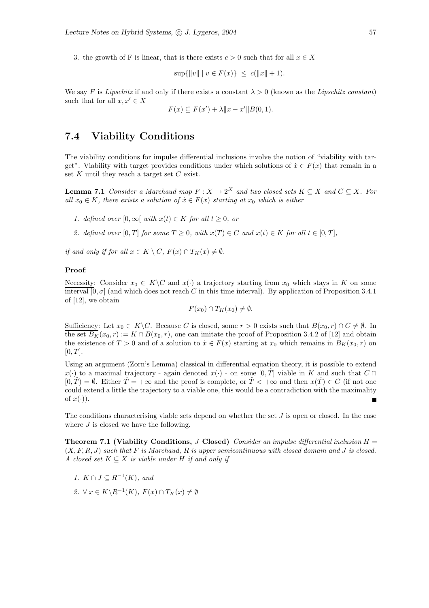3. the growth of F is linear, that is there exists  $c > 0$  such that for all  $x \in X$ 

$$
\sup\{\|v\| \mid v \in F(x)\} \le c(\|x\| + 1).
$$

We say F is Lipschitz if and only if there exists a constant  $\lambda > 0$  (known as the Lipschitz constant) such that for all  $x, x' \in X$ 

$$
F(x) \subseteq F(x') + \lambda \|x - x'\| B(0, 1).
$$

#### 7.4 Viability Conditions

The viability conditions for impulse differential inclusions involve the notion of "viability with target". Viability with target provides conditions under which solutions of  $\dot{x} \in F(x)$  that remain in a set K until they reach a target set  $C$  exist.

**Lemma 7.1** Consider a Marchaud map  $F : X \to 2^X$  and two closed sets  $K \subseteq X$  and  $C \subseteq X$ . For all  $x_0 \in K$ , there exists a solution of  $\dot{x} \in F(x)$  starting at  $x_0$  which is either

- 1. defined over  $[0, \infty)$  with  $x(t) \in K$  for all  $t \geq 0$ , or
- 2. defined over [0, T] for some  $T \geq 0$ , with  $x(T) \in C$  and  $x(t) \in K$  for all  $t \in [0, T]$ ,

if and only if for all  $x \in K \setminus C$ ,  $F(x) \cap T_K(x) \neq \emptyset$ .

#### Proof:

Necessity: Consider  $x_0 \in K \backslash C$  and  $x(\cdot)$  a trajectory starting from  $x_0$  which stays in K on some interval  $[0, \sigma]$  (and which does not reach C in this time interval). By application of Proposition 3.4.1 of [12], we obtain

$$
F(x_0) \cap T_K(x_0) \neq \emptyset.
$$

Sufficiency: Let  $x_0 \in K \backslash C$ . Because C is closed, some  $r > 0$  exists such that  $B(x_0, r) \cap C \neq \emptyset$ . In the set  $B_K(x_0, r) := K \cap B(x_0, r)$ , one can imitate the proof of Proposition 3.4.2 of [12] and obtain the existence of  $T > 0$  and of a solution to  $\dot{x} \in F(x)$  starting at  $x_0$  which remains in  $B_K(x_0, r)$  on  $[0, T]$ .

Using an argument (Zorn's Lemma) classical in differential equation theory, it is possible to extend  $x(\cdot)$  to a maximal trajectory - again denoted  $x(\cdot)$  - on some  $[0, T]$  viable in K and such that  $C \cap$  $[0, \hat{T}) = \emptyset$ . Either  $\hat{T} = +\infty$  and the proof is complete, or  $\hat{T} < +\infty$  and then  $x(\hat{T}) \in C$  (if not one could extend a little the trajectory to a viable one, this would be a contradiction with the maximality of  $x(\cdot)$ ).

The conditions characterising viable sets depend on whether the set  $J$  is open or closed. In the case where  $J$  is closed we have the following.

**Theorem 7.1 (Viability Conditions,** J Closed) Consider an impulse differential inclusion  $H =$  $(X, F, R, J)$  such that F is Marchaud, R is upper semicontinuous with closed domain and J is closed. A closed set  $K \subseteq X$  is viable under H if and only if

- 1.  $K \cap J \subseteq R^{-1}(K)$ , and
- 2.  $\forall x \in K \backslash R^{-1}(K)$ ,  $F(x) \cap T_K(x) \neq \emptyset$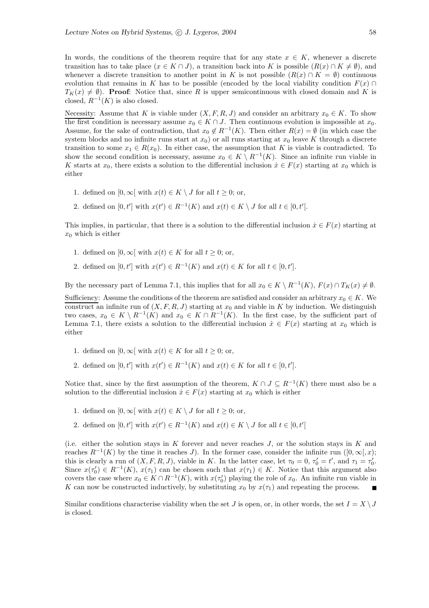In words, the conditions of the theorem require that for any state  $x \in K$ , whenever a discrete transition has to take place  $(x \in K \cap J)$ , a transition back into K is possible  $(R(x) \cap K \neq \emptyset)$ , and whenever a discrete transition to another point in K is not possible  $(R(x) \cap K = \emptyset)$  continuous evolution that remains in K has to be possible (encoded by the local viability condition  $F(x)$ )  $T_K(x) \neq \emptyset$ . **Proof:** Notice that, since R is upper semicontinuous with closed domain and K is closed,  $R^{-1}(K)$  is also closed.

Necessity: Assume that K is viable under  $(X, F, R, J)$  and consider an arbitrary  $x_0 \in K$ . To show the first condition is necessary assume  $x_0 \in K \cap J$ . Then continuous evolution is impossible at  $x_0$ . Assume, for the sake of contradiction, that  $x_0 \notin R^{-1}(K)$ . Then either  $R(x) = \emptyset$  (in which case the system blocks and no infinite runs start at  $x_0$ ) or all runs starting at  $x_0$  leave K through a discrete transition to some  $x_1 \in R(x_0)$ . In either case, the assumption that K is viable is contradicted. To show the second condition is necessary, assume  $x_0 \in K \setminus R^{-1}(K)$ . Since an infinite run viable in K starts at  $x_0$ , there exists a solution to the differential inclusion  $\dot{x} \in F(x)$  starting at  $x_0$  which is either

- 1. defined on  $[0, \infty)$  with  $x(t) \in K \setminus J$  for all  $t \geq 0$ ; or,
- 2. defined on  $[0, t']$  with  $x(t') \in R^{-1}(K)$  and  $x(t) \in K \setminus J$  for all  $t \in [0, t']$ .

This implies, in particular, that there is a solution to the differential inclusion  $\dot{x} \in F(x)$  starting at  $x_0$  which is either

- 1. defined on  $[0, \infty)$  with  $x(t) \in K$  for all  $t \geq 0$ ; or,
- 2. defined on  $[0, t']$  with  $x(t') \in R^{-1}(K)$  and  $x(t) \in K$  for all  $t \in [0, t']$ .

By the necessary part of Lemma 7.1, this implies that for all  $x_0 \in K \setminus R^{-1}(K)$ ,  $F(x) \cap T_K(x) \neq \emptyset$ .

Sufficiency: Assume the conditions of the theorem are satisfied and consider an arbitrary  $x_0 \in K$ . We construct an infinite run of  $(X, F, R, J)$  starting at  $x_0$  and viable in K by induction. We distinguish two cases,  $x_0 \in K \setminus R^{-1}(K)$  and  $x_0 \in K \cap R^{-1}(K)$ . In the first case, by the sufficient part of Lemma 7.1, there exists a solution to the differential inclusion  $\dot{x} \in F(x)$  starting at  $x_0$  which is either

- 1. defined on  $[0, \infty)$  with  $x(t) \in K$  for all  $t \geq 0$ ; or,
- 2. defined on  $[0, t']$  with  $x(t') \in R^{-1}(K)$  and  $x(t) \in K$  for all  $t \in [0, t']$ .

Notice that, since by the first assumption of the theorem,  $K \cap J \subseteq R^{-1}(K)$  there must also be a solution to the differential inclusion  $\dot{x} \in F(x)$  starting at  $x_0$  which is either

- 1. defined on  $[0, \infty)$  with  $x(t) \in K \setminus J$  for all  $t \geq 0$ ; or,
- 2. defined on  $[0, t']$  with  $x(t') \in R^{-1}(K)$  and  $x(t) \in K \setminus J$  for all  $t \in [0, t']$

(i.e. either the solution stays in  $K$  forever and never reaches  $J$ , or the solution stays in  $K$  and reaches  $R^{-1}(K)$  by the time it reaches J). In the former case, consider the infinite run ([0, ∞[, x); this is clearly a run of  $(X, F, R, J)$ , viable in K. In the latter case, let  $\tau_0 = 0$ ,  $\tau'_0 = t'$ , and  $\tau_1 = \tau'_0$ . Since  $x(\tau_0) \in R^{-1}(K)$ ,  $x(\tau_1)$  can be chosen such that  $x(\tau_1) \in K$ . Notice that this argument also covers the case where  $x_0 \in K \cap R^{-1}(K)$ , with  $x(\tau_0)$  playing the role of  $x_0$ . An infinite run viable in K can now be constructed inductively, by substituting  $x_0$  by  $x(\tau_1)$  and repeating the process.

Similar conditions characterise viability when the set J is open, or, in other words, the set  $I = X \setminus J$ is closed.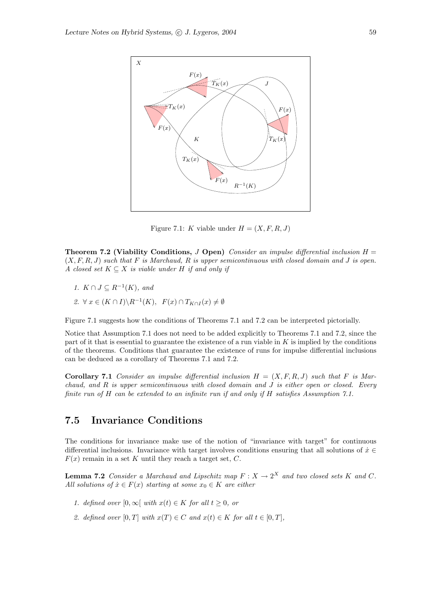

Figure 7.1: K viable under  $H = (X, F, R, J)$ 

Theorem 7.2 (Viability Conditions, J Open) Consider an impulse differential inclusion  $H =$  $(X, F, R, J)$  such that F is Marchaud, R is upper semicontinuous with closed domain and J is open. A closed set  $K \subseteq X$  is viable under H if and only if

1.  $K \cap J \subseteq R^{-1}(K)$ , and 2.  $\forall x \in (K \cap I) \backslash R^{-1}(K)$ ,  $F(x) \cap T_{K \cap I}(x) \neq \emptyset$ 

Figure 7.1 suggests how the conditions of Theorems 7.1 and 7.2 can be interpreted pictorially.

Notice that Assumption 7.1 does not need to be added explicitly to Theorems 7.1 and 7.2, since the part of it that is essential to guarantee the existence of a run viable in  $K$  is implied by the conditions of the theorems. Conditions that guarantee the existence of runs for impulse differential inclusions can be deduced as a corollary of Theorems 7.1 and 7.2.

**Corollary 7.1** Consider an impulse differential inclusion  $H = (X, F, R, J)$  such that F is Marchaud, and  $R$  is upper semicontinuous with closed domain and  $J$  is either open or closed. Every finite run of H can be extended to an infinite run if and only if H satisfies Assumption 7.1.

#### 7.5 Invariance Conditions

The conditions for invariance make use of the notion of "invariance with target" for continuous differential inclusions. Invariance with target involves conditions ensuring that all solutions of  $\dot{x} \in$  $F(x)$  remain in a set K until they reach a target set, C.

**Lemma 7.2** Consider a Marchaud and Lipschitz map  $F: X \to 2^X$  and two closed sets K and C. All solutions of  $\dot{x} \in F(x)$  starting at some  $x_0 \in K$  are either

- 1. defined over  $[0, \infty)$  with  $x(t) \in K$  for all  $t \geq 0$ , or
- 2. defined over  $[0, T]$  with  $x(T) \in C$  and  $x(t) \in K$  for all  $t \in [0, T]$ ,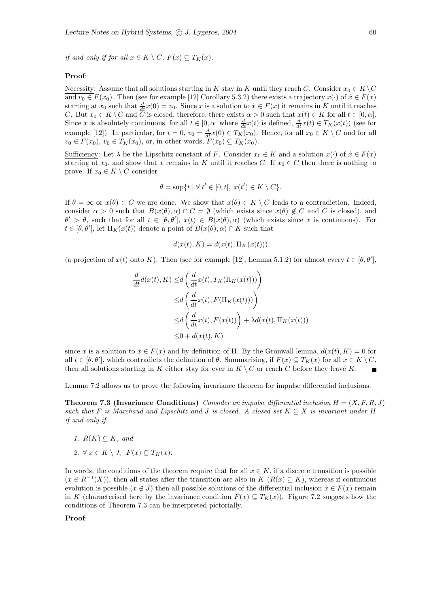if and only if for all  $x \in K \setminus C$ ,  $F(x) \subseteq T_K(x)$ .

#### Proof:

Necessity: Assume that all solutions starting in K stay in K until they reach C. Consider  $x_0 \in K \backslash C$ and  $v_0 \in F(x_0)$ . Then (see for example [12] Corollary 5.3.2) there exists a trajectory  $x(\cdot)$  of  $\dot{x} \in F(x)$ starting at  $x_0$  such that  $\frac{d}{dt}x(0) = v_0$ . Since x is a solution to  $\dot{x} \in F(x)$  it remains in K until it reaches C. But  $x_0 \in K \setminus C$  and C is closed, therefore, there exists  $\alpha > 0$  such that  $x(t) \in K$  for all  $t \in [0, \alpha]$ . Since x is absolutely continuous, for all  $t \in [0, \alpha[$  where  $\frac{d}{dt}x(t)$  is defined,  $\frac{d}{dt}x(t) \in T_K(x(t))$  (see for example [12]). In particular, for  $t = 0$ ,  $v_0 = \frac{d}{dt}x(0) \in T_K(x_0)$ . Hence, for all  $x_0 \in K \setminus C$  and for all  $v_0 \in F(x_0)$ ,  $v_0 \in T_K(x_0)$ , or, in other words,  $F(x_0) \subseteq T_K(x_0)$ .

Sufficiency: Let  $\lambda$  be the Lipschitz constant of F. Consider  $x_0 \in K$  and a solution  $x(\cdot)$  of  $\dot{x} \in F(x)$ starting at  $x_0$ , and show that x remains in K until it reaches C. If  $x_0 \in C$  then there is nothing to prove. If  $x_0 \in K \setminus C$  consider

$$
\theta = \sup\{t \mid \forall t' \in [0, t[, \ x(t') \in K \setminus C\}.
$$

If  $\theta = \infty$  or  $x(\theta) \in C$  we are done. We show that  $x(\theta) \in K \setminus C$  leads to a contradiction. Indeed, consider  $\alpha > 0$  such that  $B(x(\theta), \alpha) \cap C = \emptyset$  (which exists since  $x(\theta) \notin C$  and C is closed), and  $\theta' > \theta$ , such that for all  $t \in [\theta, \theta']$ ,  $x(t) \in B(x(\theta), \alpha)$  (which exists since x is continuous). For  $t \in [\theta, \theta'],$  let  $\Pi_K(x(t))$  denote a point of  $B(x(\theta), \alpha) \cap K$  such that

$$
d(x(t), K) = d(x(t), \Pi_K(x(t)))
$$

(a projection of  $x(t)$  onto K). Then (see for example [12], Lemma 5.1.2) for almost every  $t \in [\theta, \theta']$ ,

$$
\frac{d}{dt}d(x(t), K) \le d\left(\frac{d}{dt}x(t), T_K(\Pi_K(x(t)))\right)
$$
\n
$$
\le d\left(\frac{d}{dt}x(t), F(\Pi_K(x(t)))\right)
$$
\n
$$
\le d\left(\frac{d}{dt}x(t), F(x(t))\right) + \lambda d(x(t), \Pi_K(x(t)))
$$
\n
$$
\le 0 + d(x(t), K)
$$

since x is a solution to  $\dot{x} \in F(x)$  and by definition of  $\Pi$ . By the Gronwall lemma,  $d(x(t), K) = 0$  for all  $t \in [\theta, \theta']$ , which contradicts the definition of  $\theta$ . Summarising, if  $F(x) \subseteq T_K(x)$  for all  $x \in K \setminus C$ , then all solutions starting in K either stay for ever in  $K \setminus C$  or reach C before they leave K.

Lemma 7.2 allows us to prove the following invariance theorem for impulse differential inclusions.

**Theorem 7.3 (Invariance Conditions)** Consider an impulse differential inclusion  $H = (X, F, R, J)$ such that F is Marchaud and Lipschitz and J is closed. A closed set  $K \subseteq X$  is invariant under H if and only if

- 1.  $R(K) \subseteq K$ , and
- 2.  $\forall x \in K \setminus J$ ,  $F(x) \subseteq T_K(x)$ .

In words, the conditions of the theorem require that for all  $x \in K$ , if a discrete transition is possible  $(x \in R^{-1}(X))$ , then all states after the transition are also in  $K(R(x) \subseteq K)$ , whereas if continuous evolution is possible  $(x \notin J)$  then all possible solutions of the differential inclusion  $\dot{x} \in F(x)$  remain in K (characterised here by the invariance condition  $F(x) \subseteq T_K(x)$ ). Figure 7.2 suggests how the conditions of Theorem 7.3 can be interpreted pictorially.

#### Proof: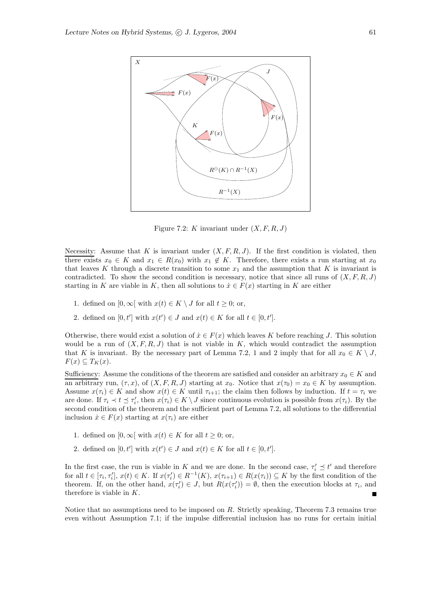

Figure 7.2: K invariant under  $(X, F, R, J)$ 

Necessity: Assume that K is invariant under  $(X, F, R, J)$ . If the first condition is violated, then there exists  $x_0 \in K$  and  $x_1 \in R(x_0)$  with  $x_1 \notin K$ . Therefore, there exists a run starting at  $x_0$ that leaves K through a discrete transition to some  $x_1$  and the assumption that K is invariant is contradicted. To show the second condition is necessary, notice that since all runs of  $(X, F, R, J)$ starting in K are viable in K, then all solutions to  $\dot{x} \in F(x)$  starting in K are either

- 1. defined on  $[0, \infty)$  with  $x(t) \in K \setminus J$  for all  $t \geq 0$ ; or,
- 2. defined on  $[0, t']$  with  $x(t') \in J$  and  $x(t) \in K$  for all  $t \in [0, t']$ .

Otherwise, there would exist a solution of  $\dot{x} \in F(x)$  which leaves K before reaching J. This solution would be a run of  $(X, F, R, J)$  that is not viable in K, which would contradict the assumption that K is invariant. By the necessary part of Lemma 7.2, 1 and 2 imply that for all  $x_0 \in K \setminus J$ ,  $F(x) \subseteq T_K(x)$ .

Sufficiency: Assume the conditions of the theorem are satisfied and consider an arbitrary  $x_0 \in K$  and an arbitrary run,  $(\tau, x)$ , of  $(X, F, R, J)$  starting at  $x_0$ . Notice that  $x(\tau_0) = x_0 \in K$  by assumption. Assume  $x(\tau_i) \in K$  and show  $x(t) \in K$  until  $\tau_{i+1}$ ; the claim then follows by induction. If  $t = \tau_i$  we are done. If  $\tau_i \prec t \preceq \tau_i'$ , then  $x(\tau_i) \in K \setminus J$  since continuous evolution is possible from  $x(\tau_i)$ . By the second condition of the theorem and the sufficient part of Lemma 7.2, all solutions to the differential inclusion  $\dot{x} \in F(x)$  starting at  $x(\tau_i)$  are either

- 1. defined on  $[0, \infty)$  with  $x(t) \in K$  for all  $t \geq 0$ ; or,
- 2. defined on  $[0, t']$  with  $x(t') \in J$  and  $x(t) \in K$  for all  $t \in [0, t']$ .

In the first case, the run is viable in K and we are done. In the second case,  $\tau'_i \preceq t'$  and therefore for all  $t \in [\tau_i, \tau'_i], x(t) \in K$ . If  $x(\tau'_i) \in R^{-1}(K)$ ,  $x(\tau_{i+1}) \in R(x(\tau_i)) \subseteq K$  by the first condition of the theorem. If, on the other hand,  $x(\tau_i') \in J$ , but  $R(x(\tau_i')) = \emptyset$ , then the execution blocks at  $\tau_i$ , and therefore is viable in  $K$ .

Notice that no assumptions need to be imposed on R. Strictly speaking, Theorem 7.3 remains true even without Assumption 7.1; if the impulse differential inclusion has no runs for certain initial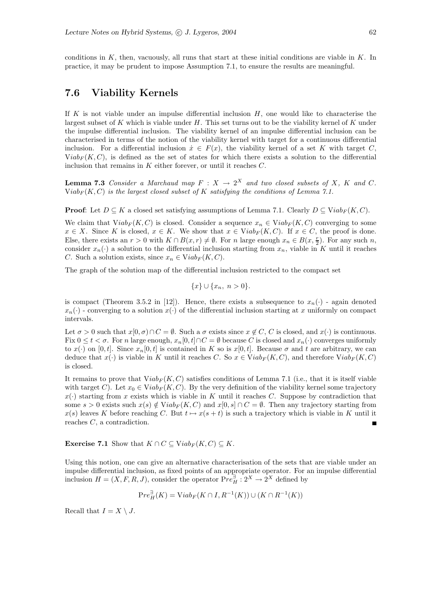conditions in  $K$ , then, vacuously, all runs that start at these initial conditions are viable in  $K$ . In practice, it may be prudent to impose Assumption 7.1, to ensure the results are meaningful.

## 7.6 Viability Kernels

If K is not viable under an impulse differential inclusion  $H$ , one would like to characterise the largest subset of K which is viable under  $H$ . This set turns out to be the viability kernel of K under the impulse differential inclusion. The viability kernel of an impulse differential inclusion can be characterised in terms of the notion of the viability kernel with target for a continuous differential inclusion. For a differential inclusion  $\dot{x} \in F(x)$ , the viability kernel of a set K with target C,  $Viab_F(K, C)$ , is defined as the set of states for which there exists a solution to the differential inclusion that remains in  $K$  either forever, or until it reaches  $C$ .

**Lemma 7.3** Consider a Marchaud map  $F : X \to 2^X$  and two closed subsets of X, K and C. Viab<sub>F</sub> $(K, C)$  is the largest closed subset of K satisfying the conditions of Lemma 7.1.

**Proof:** Let  $D \subseteq K$  a closed set satisfying assumptions of Lemma 7.1. Clearly  $D \subseteq Viab_F(K, C)$ .

We claim that  $Viab_F(K, C)$  is closed. Consider a sequence  $x_n \in Viab_F(K, C)$  converging to some  $x \in X$ . Since K is closed,  $x \in K$ . We show that  $x \in Viab_F(K, C)$ . If  $x \in C$ , the proof is done. Else, there exists an  $r > 0$  with  $K \cap B(x,r) \neq \emptyset$ . For n large enough  $x_n \in B(x, \frac{r}{2})$ . For any such n, consider  $x_n(\cdot)$  a solution to the differential inclusion starting from  $x_n$ , viable in K until it reaches C. Such a solution exists, since  $x_n \in Viab_F(K, C)$ .

The graph of the solution map of the differential inclusion restricted to the compact set

$$
\{x\} \cup \{x_n, \ n > 0\}.
$$

is compact (Theorem 3.5.2 in [12]). Hence, there exists a subsequence to  $x_n(\cdot)$  - again denoted  $x_n(\cdot)$  - converging to a solution  $x(\cdot)$  of the differential inclusion starting at x uniformly on compact intervals.

Let  $\sigma > 0$  such that  $x[0, \sigma) \cap C = \emptyset$ . Such a  $\sigma$  exists since  $x \notin C$ , C is closed, and  $x(\cdot)$  is continuous. Fix  $0 \le t < \sigma$ . For n large enough,  $x_n[0, t] \cap C = \emptyset$  because C is closed and  $x_n(\cdot)$  converges uniformly to  $x(\cdot)$  on  $[0, t]$ . Since  $x_n[0, t]$  is contained in K so is  $x[0, t]$ . Because  $\sigma$  and t are arbitrary, we can deduce that  $x(\cdot)$  is viable in K until it reaches C. So  $x \in \text{Viab}_F(K, C)$ , and therefore  $\text{Viab}_F(K, C)$ is closed.

It remains to prove that  $Viab_F(K, C)$  satisfies conditions of Lemma 7.1 (i.e., that it is itself viable with target C). Let  $x_0 \in Viab_F(K, C)$ . By the very definition of the viability kernel some trajectory  $x(\cdot)$  starting from x exists which is viable in K until it reaches C. Suppose by contradiction that some  $s > 0$  exists such  $x(s) \notin Viab_F(K, C)$  and  $x[0, s] \cap C = \emptyset$ . Then any trajectory starting from  $x(s)$  leaves K before reaching C. But  $t \mapsto x(s + t)$  is such a trajectory which is viable in K until it reaches C, a contradiction.

**Exercise 7.1** Show that  $K \cap C \subseteq Viab_F(K, C) \subseteq K$ .

Using this notion, one can give an alternative characterisation of the sets that are viable under an impulse differential inclusion, as fixed points of an appropriate operator. For an impulse differential inclusion  $H = (X, F, R, J)$ , consider the operator  $Pre_H^{\exists} : 2^X \to 2^X$  defined by

$$
\mathbf{P}re_{H}^{\exists}(K)=\mathbf{Viab}_{F}(K\cap I,R^{-1}(K))\cup(K\cap R^{-1}(K))
$$

Recall that  $I = X \setminus J$ .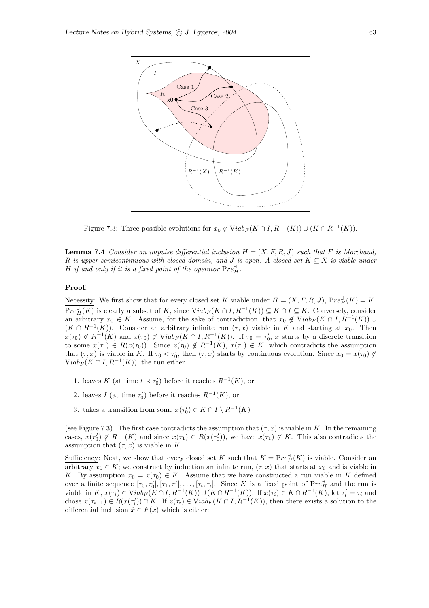

Figure 7.3: Three possible evolutions for  $x_0 \notin \text{Viab}_F(K \cap I, R^{-1}(K)) \cup (K \cap R^{-1}(K)).$ 

**Lemma 7.4** Consider an impulse differential inclusion  $H = (X, F, R, J)$  such that F is Marchaud, R is upper semicontinuous with closed domain, and J is open. A closed set  $K \subseteq X$  is viable under H if and only if it is a fixed point of the operator  $\text{Pre}_{H}^{\exists}$ .

#### Proof:

Necessity: We first show that for every closed set K viable under  $H = (X, F, R, J)$ ,  $Pre_H^{\exists}(K) = K$ .  $Pre_{H}^{\exists}(K)$  is clearly a subset of K, since  $Viab_{F}(K \cap I, R^{-1}(K)) \subseteq K \cap I \subseteq K$ . Conversely, consider an arbitrary  $x_0 \in K$ . Assume, for the sake of contradiction, that  $x_0 \notin \text{Viab}_F(K \cap I, R^{-1}(K))$  $(K \cap R^{-1}(K))$ . Consider an arbitrary infinite run  $(\tau, x)$  viable in K and starting at  $x_0$ . Then  $x(\tau_0) \notin R^{-1}(K)$  and  $x(\tau_0) \notin \text{Viab}_F(K \cap I, R^{-1}(K))$ . If  $\tau_0 = \tau'_0$ , x starts by a discrete transition to some  $x(\tau_1) \in R(x(\tau_0))$ . Since  $x(\tau_0) \notin R^{-1}(K)$ ,  $x(\tau_1) \notin K$ , which contradicts the assumption that  $(\tau, x)$  is viable in K. If  $\tau_0 < \tau'_0$ , then  $(\tau, x)$  starts by continuous evolution. Since  $x_0 = x(\tau_0) \notin$  $\widehat{V}$ iab<sub>F</sub> $(K \cap I, R^{-1}(K))$ , the run either

- 1. leaves K (at time  $t \prec \tau_0'$ ) before it reaches  $R^{-1}(K)$ , or
- 2. leaves  $I$  (at time  $\tau'_0$ ) before it reaches  $R^{-1}(K)$ , or
- 3. takes a transition from some  $x(\tau_0') \in K \cap I \setminus R^{-1}(K)$

(see Figure 7.3). The first case contradicts the assumption that  $(\tau, x)$  is viable in K. In the remaining cases,  $x(\tau_0') \notin R^{-1}(K)$  and since  $x(\tau_1) \in R(x(\tau_0'))$ , we have  $x(\tau_1) \notin K$ . This also contradicts the assumption that  $(\tau, x)$  is viable in K.

Sufficiency: Next, we show that every closed set K such that  $K = Pre_H^{\exists}(K)$  is viable. Consider an arbitrary  $x_0 \in K$ ; we construct by induction an infinite run,  $(\tau, x)$  that starts at  $x_0$  and is viable in K. By assumption  $x_0 = x(\tau_0) \in K$ . Assume that we have constructed a run viable in K defined over a finite sequence  $[\tau_0, \tau'_0], [\tau_1, \tau'_1], \ldots, [\tau_i, \tau_i]$ . Since K is a fixed point of  $Pre_H^{\exists}$  and the run is viable in  $K$ ,  $x(\tau_i) \in \text{Viab}_F(K \cap I, R^{-1}(K)) \cup (K \cap R^{-1}(K))$ . If  $x(\tau_i) \in K \cap R^{-1}(K)$ , let  $\tau'_i = \tau_i$  and chose  $x(\tau_{i+1}) \in R(x(\tau_i)) \cap K$ . If  $x(\tau_i) \in Viab_F(K \cap I, R^{-1}(K))$ , then there exists a solution to the differential inclusion  $\dot{x} \in F(x)$  which is either: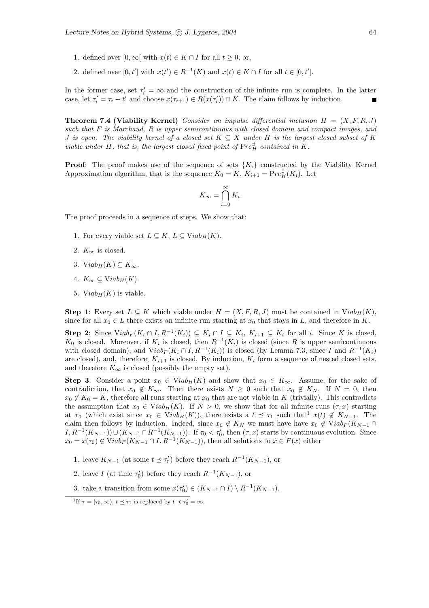- 1. defined over  $[0, \infty)$  with  $x(t) \in K \cap I$  for all  $t \geq 0$ ; or,
- 2. defined over  $[0, t']$  with  $x(t') \in R^{-1}(K)$  and  $x(t) \in K \cap I$  for all  $t \in [0, t']$ .

In the former case, set  $\tau'_i = \infty$  and the construction of the infinite run is complete. In the latter case, let  $\tau'_i = \tau_i + t'$  and choose  $x(\tau_{i+1}) \in R(x(\tau'_i)) \cap K$ . The claim follows by induction.

**Theorem 7.4 (Viability Kernel)** Consider an impulse differential inclusion  $H = (X, F, R, J)$ such that F is Marchaud, R is upper semicontinuous with closed domain and compact images, and J is open. The viability kernel of a closed set  $K \subseteq X$  under H is the largest closed subset of K viable under H, that is, the largest closed fixed point of  $Pre_H^{\exists}$  contained in  $\check{K}$ .

**Proof:** The proof makes use of the sequence of sets  $\{K_i\}$  constructed by the Viability Kernel Approximation algorithm, that is the sequence  $K_0 = K$ ,  $K_{i+1} = Pre_H^{\exists}(K_i)$ . Let

$$
K_{\infty} = \bigcap_{i=0}^{\infty} K_i.
$$

The proof proceeds in a sequence of steps. We show that:

- 1. For every viable set  $L \subseteq K$ ,  $L \subseteq Viab_H(K)$ .
- 2.  $K_{\infty}$  is closed.
- 3. Viab<sub>H</sub> $(K) \subseteq K_{\infty}$ .
- 4.  $K_{\infty} \subseteq Viab_H(K)$ .
- 5. Viab<sub>H</sub> $(K)$  is viable.

**Step 1**: Every set  $L \subseteq K$  which viable under  $H = (X, F, R, J)$  must be contained in  $Viab_H(K)$ , since for all  $x_0 \in L$  there exists an infinite run starting at  $x_0$  that stays in L, and therefore in K.

**Step 2:** Since  $Viab_F(K_i \cap I, R^{-1}(K_i)) \subseteq K_i \cap I \subseteq K_i$ ,  $K_{i+1} \subseteq K_i$  for all i. Since K is closed,  $K_0$  is closed. Moreover, if  $K_i$  is closed, then  $R^{-1}(K_i)$  is closed (since R is upper semicontinuous with closed domain), and  $Viab_F(K_i \cap I, R^{-1}(K_i))$  is closed (by Lemma 7.3, since I and  $R^{-1}(K_i)$ are closed), and, therefore,  $K_{i+1}$  is closed. By induction,  $K_i$  form a sequence of nested closed sets, and therefore  $K_{\infty}$  is closed (possibly the empty set).

**Step 3:** Consider a point  $x_0 \in Viab_H(K)$  and show that  $x_0 \in K_\infty$ . Assume, for the sake of contradiction, that  $x_0 \notin K_\infty$ . Then there exists  $N \geq 0$  such that  $x_0 \notin K_N$ . If  $N = 0$ , then  $x_0 \notin K_0 = K$ , therefore all runs starting at  $x_0$  that are not viable in K (trivially). This contradicts the assumption that  $x_0 \in Viab_H(K)$ . If  $N > 0$ , we show that for all infinite runs  $(\tau, x)$  starting at  $x_0$  (which exist since  $x_0 \in Viab_H(K)$ ), there exists a  $t \preceq \tau_1$  such that<sup>1</sup>  $x(t) \notin K_{N-1}$ . The claim then follows by induction. Indeed, since  $x_0 \notin K_N$  we must have have  $x_0 \notin Viab_F(K_{N-1} \cap$  $I, R^{-1}(K_{N-1})\cup (K_{N-1}\cap R^{-1}(K_{N-1}))$ . If  $\tau_0 < \tau_0'$ , then  $(\tau, x)$  starts by continuous evolution. Since  $x_0 = x(\tau_0) \notin \text{Viab}_F(K_{N-1} \cap I, R^{-1}(K_{N-1}))$ , then all solutions to  $\dot{x} \in F(x)$  either

- 1. leave  $K_{N-1}$  (at some  $t \leq \tau'_0$ ) before they reach  $R^{-1}(K_{N-1})$ , or
- 2. leave *I* (at time  $\tau_0'$ ) before they reach  $R^{-1}(K_{N-1})$ , or
- 3. take a transition from some  $x(\tau_0') \in (K_{N-1} \cap I) \setminus R^{-1}(K_{N-1})$ .

<sup>&</sup>lt;sup>1</sup>If  $\tau = [\tau_0, \infty)$ ,  $t \leq \tau_1$  is replaced by  $t \prec \tau'_0 = \infty$ .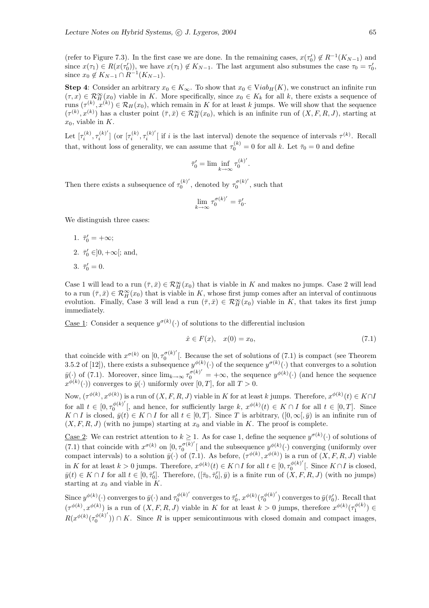(refer to Figure 7.3). In the first case we are done. In the remaining cases,  $x(\tau_0') \notin R^{-1}(K_{N-1})$  and since  $x(\tau_1) \in R(x(\tau_0'))$ , we have  $x(\tau_1) \notin K_{N-1}$ . The last argument also subsumes the case  $\tau_0 = \tau_0'$ , since  $x_0 \notin K_{N-1} \cap R^{-1}(K_{N-1}).$ 

Step 4: Consider an arbitrary  $x_0 \in K_\infty$ . To show that  $x_0 \in Viab_H(K)$ , we construct an infinite run  $(\tau, x) \in \mathcal{R}_H^{\infty}(x_0)$  viable in K. More specifically, since  $x_0 \in K_k$  for all k, there exists a sequence of runs  $(\tau^{(k)}, x^{(k)}) \in \mathcal{R}_H(x_0)$ , which remain in K for at least k jumps. We will show that the sequence  $(\tau^{(k)}, x^{(k)})$  has a cluster point  $(\bar{\tau}, \bar{x}) \in \mathcal{R}^{\infty}_H(x_0)$ , which is an infinite run of  $(X, F, R, J)$ , starting at  $x_0$ , viable in K.

Let  $[\tau_i^{(k)}, \tau_i^{(k)'}]$  $\left[ \mathbf{x}_i^{(k)'}\right]$  (or  $[\tau_i^{(k)}, \tau_i^{(k)'}]$  $i^{(k)}$  if i is the last interval) denote the sequence of intervals  $\tau^{(k)}$ . Recall that, without loss of generality, we can assume that  $\tau_0^{(k)} = 0$  for all k. Let  $\bar{\tau}_0 = 0$  and define

$$
\bar{\tau}_0'=\lim\inf_{k\to\infty}\tau_0^{(k)'}.
$$

Then there exists a subsequence of  $\tau_0^{(k)}$  $\tau_0^{(k)'}$ , denoted by  $\tau_0^{\sigma(k)'}$  $\int_0^{\sigma(\kappa)}$ , such that

$$
\lim_{k \to \infty} \tau_0^{\sigma(k)'} = \bar{\tau}'_0.
$$

We distinguish three cases:

- 1.  $\bar{\tau}'_0 = +\infty;$
- 2.  $\bar{\tau}_0' \in ]0, +\infty[$ ; and,
- 3.  $\bar{\tau}'_0 = 0$ .

Case 1 will lead to a run  $(\bar{\tau}, \bar{x}) \in \mathcal{R}_H^{\infty}(x_0)$  that is viable in K and makes no jumps. Case 2 will lead to a run  $(\bar{\tau}, \bar{x}) \in \mathcal{R}_H^{\infty}(x_0)$  that is viable in K, whose first jump comes after an interval of continuous evolution. Finally, Case 3 will lead a run  $(\bar{\tau}, \bar{x}) \in \mathcal{R}^{\infty}_H(x_0)$  viable in K, that takes its first jump immediately.

<u>Case 1</u>: Consider a sequence  $y^{\sigma(k)}(\cdot)$  of solutions to the differential inclusion

$$
\dot{x} \in F(x), \quad x(0) = x_0,\tag{7.1}
$$

that coincide with  $x^{\sigma(k)}$  on  $[0, \tau_0^{\sigma(k)}]$  $\frac{1}{0}$ <sup>o(k)</sup> [. Because the set of solutions of (7.1) is compact (see Theorem 3.5.2 of [12]), there exists a subsequence  $y^{\phi(k)}(\cdot)$  of the sequence  $y^{\sigma(k)}(\cdot)$  that converges to a solution  $\bar{y}(\cdot)$  of (7.1). Moreover, since  $\lim_{k\to\infty} \tau_0^{\sigma(k)'} = +\infty$ , the sequence  $y^{\phi(k)}(\cdot)$  (and hence the sequence  $x^{\phi(k)}(\cdot)$  converges to  $\bar{y}(\cdot)$  uniformly over  $[0, T]$ , for all  $T > 0$ .

Now,  $(\tau^{\phi(k)}, x^{\phi(k)})$  is a run of  $(X, F, R, J)$  viable in K for at least k jumps. Therefore,  $x^{\phi(k)}(t) \in K \cap I$ for all  $t \in [0, \tau_0^{\phi(k)'}]$  $\mathcal{L}_{0}^{\phi(k)}$  [, and hence, for sufficiently large k,  $x^{\phi(k)}(t) \in K \cap I$  for all  $t \in [0, T]$ . Since  $K \cap I$  is closed,  $\bar{y}(t) \in K \cap I$  for all  $t \in [0, T]$ . Since T is arbitrary,  $([0, \infty[, \bar{y})$  is an infinite run of  $(X, F, R, J)$  (with no jumps) starting at  $x_0$  and viable in K. The proof is complete.

<u>Case 2</u>: We can restrict attention to  $k \ge 1$ . As for case 1, define the sequence  $y^{\sigma(k)}(\cdot)$  of solutions of  $(7.1)$  that coincide with  $x^{\sigma(k)}$  on  $[0, \tau_0^{\sigma(k)}]$  $\mathcal{O}^{(\kappa)}$  and the subsequence  $y^{\phi(k)}$  converging (uniformly over compact intervals) to a solution  $\bar{y}(\cdot)$  of (7.1). As before,  $(\tau^{\phi(k)}, x^{\phi(k)})$  is a run of  $(X, F, R, J)$  viable in K for at least  $k > 0$  jumps. Therefore,  $x^{\phi(k)}(t) \in K \cap I$  for all  $t \in [0, \tau_0^{\phi(k)}]$  $\int_0^{\varphi(\kappa)}$  [. Since  $K \cap I$  is closed,  $\bar{y}(t) \in K \cap I$  for all  $t \in [0, \bar{\tau}'_0]$ . Therefore,  $([\bar{\tau}_0, \bar{\tau}'_0], \bar{y})$  is a finite run of  $(X, F, R, J)$  (with no jumps) starting at  $x_0$  and viable in  $K$ .

Since  $y^{\phi(k)}(\cdot)$  converges to  $\bar{y}(\cdot)$  and  $\tau_0^{\phi(k)}$  $\frac{\phi(k)'}{0}$  converges to  $\bar{\tau}'_0$ ,  $x^{\phi(k)}(\tau_0^{\phi(k)'}$  $\overline{y}^{(k)'}$  converges to  $\overline{y}(\overline{\tau}_0')$ . Recall that  $(\tau^{\phi(k)}, x^{\phi(k)})$  is a run of  $(X, F, R, J)$  viable in K for at least  $k > 0$  jumps, therefore  $x^{\phi(k)}(\tau_1^{\phi(k)}) \in$  $R(x^{\phi(k)}(\tau_0^{\phi(k)'})$  $\binom{\varphi(\kappa)}{0}$ ) ∩ K. Since R is upper semicontinuous with closed domain and compact images,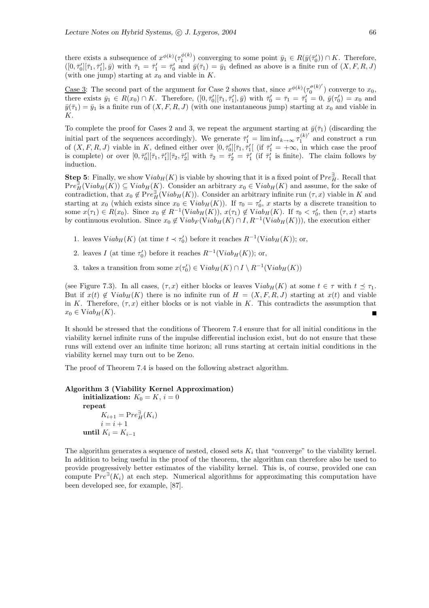there exists a subsequence of  $x^{\phi(k)}(\tau_1^{\phi(k)})$  converging to some point  $\bar{y}_1 \in R(\bar{y}(\bar{\tau}_0)) \cap K$ . Therefore,  $([0, \bar{\tau}'_0][\bar{\tau}_1, \bar{\tau}'_1], \bar{y})$  with  $\bar{\tau}_1 = \bar{\tau}'_1 = \bar{\tau}'_0$  and  $\bar{y}(\bar{\tau}_1) = \bar{y}_1$  defined as above is a finite run of  $(X, F, R, J)$ (with one jump) starting at  $x_0$  and viable in  $K$ .

<u>Case 3</u>: The second part of the argument for Case 2 shows that, since  $x^{\phi(k)}(\tau_0^{\sigma(k)})$  $\binom{0^{(k)}}{0}$  converge to  $x_0$ , there exists  $\bar{y}_1 \in R(x_0) \cap K$ . Therefore,  $([0, \bar{\tau}'_0][\bar{\tau}_1, \bar{\tau}'_1], \bar{y})$  with  $\bar{\tau}'_0 = \bar{\tau}_1 = \bar{\tau}'_1 = 0$ ,  $\bar{y}(\tau'_0) = x_0$  and  $\bar{y}(\bar{\tau}_1) = \bar{y}_1$  is a finite run of  $(X, F, R, J)$  (with one instantaneous jump) starting at  $x_0$  and viable in K.

To complete the proof for Cases 2 and 3, we repeat the argument starting at  $\bar{y}(\bar{\tau}_1)$  (discarding the initial part of the sequences accordingly). We generate  $\overline{\tau}'_1 = \liminf_{k \to \infty} \overline{\tau}_1^{(k)}$  $1^{(k)}$  and construct a run of  $(X, F, R, J)$  viable in K, defined either over  $[0, \bar{\tau}'_0][\bar{\tau}_1, \bar{\tau}'_1]$  (if  $\bar{\tau}'_1 = +\infty$ , in which case the proof is complete) or over  $[0, \bar{\tau}'_0][\bar{\tau}_1, \bar{\tau}'_1][\bar{\tau}_2, \bar{\tau}'_2]$  with  $\bar{\tau}_2 = \bar{\tau}'_2 = \bar{\tau}'_1$  (if  $\bar{\tau}'_1$  is finite). The claim follows by induction.

**Step 5:** Finally, we show  $Viab_H(K)$  is viable by showing that it is a fixed point of  $Pre_H^{\exists}$ . Recall that  $Pre_{H}^{\exists}(Viab_H(K)) \subseteq Viab_H(K)$ . Consider an arbitrary  $x_0 \in Viab_H(K)$  and assume, for the sake of contradiction, that  $x_0 \notin Pre_H^{\exists}(\text{Viab}_H(K))$ . Consider an arbitrary infinite run  $(\tau, x)$  viable in K and starting at  $x_0$  (which exists since  $x_0 \in Viab_H(K)$ ). If  $\tau_0 = \tau'_0$ , x starts by a discrete transition to some  $x(\tau_1) \in R(x_0)$ . Since  $x_0 \notin R^{-1}(Viab_H(K))$ ,  $x(\tau_1) \notin Viab_H(K)$ . If  $\tau_0 < \tau'_0$ , then  $(\tau, x)$  starts by continuous evolution. Since  $x_0 \notin \text{Viab}_F(\text{Viab}_H(K) \cap I, R^{-1}(\text{Viab}_H(K)))$ , the execution either

- 1. leaves  $Viab_H(K)$  (at time  $t \prec \tau'_0$ ) before it reaches  $R^{-1}(Viab_H(K));$  or,
- 2. leaves I (at time  $\tau'_0$ ) before it reaches  $R^{-1}(Viab_H(K))$ ; or,
- 3. takes a transition from some  $x(\tau_0') \in \text{Viab}_H(K) \cap I \setminus R^{-1}(\text{Viab}_H(K))$

(see Figure 7.3). In all cases,  $(\tau, x)$  either blocks or leaves  $Viab_H(K)$  at some  $t \in \tau$  with  $t \preceq \tau_1$ . But if  $x(t) \notin \text{Viab}_H(K)$  there is no infinite run of  $H = (X, F, R, J)$  starting at  $x(t)$  and viable in K. Therefore,  $(\tau, x)$  either blocks or is not viable in K. This contradicts the assumption that  $x_0 \in Viab_H(K)$ .

It should be stressed that the conditions of Theorem 7.4 ensure that for all initial conditions in the viability kernel infinite runs of the impulse differential inclusion exist, but do not ensure that these runs will extend over an infinite time horizon; all runs starting at certain initial conditions in the viability kernel may turn out to be Zeno.

The proof of Theorem 7.4 is based on the following abstract algorithm.

```
Algorithm 3 (Viability Kernel Approximation)
initialization: K_0 = K, i = 0repeat
      K_{i+1} = \text{Pre}_{H}^{\exists}(K_i)i = i + 1until K_i = K_{i-1}
```
The algorithm generates a sequence of nested, closed sets  $K_i$  that "converge" to the viability kernel. In addition to being useful in the proof of the theorem, the algorithm can therefore also be used to provide progressively better estimates of the viability kernel. This is, of course, provided one can compute  $Pre^{\exists}(K_i)$  at each step. Numerical algorithms for approximating this computation have been developed see, for example, [87].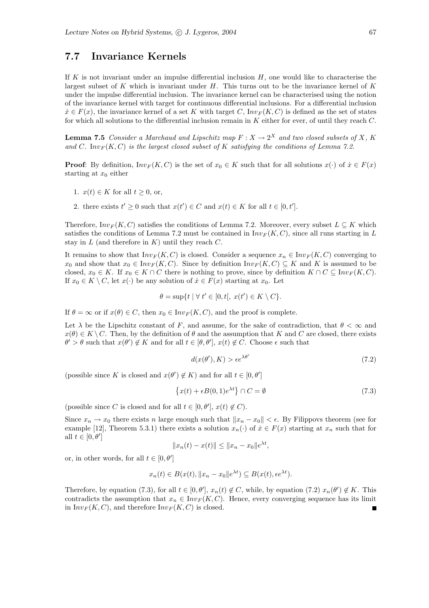## 7.7 Invariance Kernels

If K is not invariant under an impulse differential inclusion  $H$ , one would like to characterise the largest subset of  $K$  which is invariant under  $H$ . This turns out to be the invariance kernel of  $K$ under the impulse differential inclusion. The invariance kernel can be characterised using the notion of the invariance kernel with target for continuous differential inclusions. For a differential inclusion  $\dot{x} \in F(x)$ , the invariance kernel of a set K with target C,  $Inv_F(K, C)$  is defined as the set of states for which all solutions to the differential inclusion remain in K either for ever, of until they reach C.

**Lemma 7.5** Consider a Marchaud and Lipschitz map  $F: X \to 2^X$  and two closed subsets of X, K and C. Inv<sub>F</sub> $(K, C)$  is the largest closed subset of K satisfying the conditions of Lemma 7.2.

**Proof:** By definition,  $Inv_F(K, C)$  is the set of  $x_0 \in K$  such that for all solutions  $x(\cdot)$  of  $\dot{x} \in F(x)$ starting at  $x_0$  either

- 1.  $x(t) \in K$  for all  $t \geq 0$ , or,
- 2. there exists  $t' \geq 0$  such that  $x(t') \in C$  and  $x(t) \in K$  for all  $t \in [0, t']$ .

Therefore,  $Inv_F(K, C)$  satisfies the conditions of Lemma 7.2. Moreover, every subset  $L \subseteq K$  which satisfies the conditions of Lemma 7.2 must be contained in  $Inv_F(K, C)$ , since all runs starting in L stay in L (and therefore in K) until they reach  $C$ .

It remains to show that  $Inv_F(K, C)$  is closed. Consider a sequence  $x_n \in Inv_F(K, C)$  converging to  $x_0$  and show that  $x_0 \in Inv_F(K, C)$ . Since by definition  $Inv_F(K, C) \subseteq K$  and K is assumed to be closed,  $x_0 \in K$ . If  $x_0 \in K \cap C$  there is nothing to prove, since by definition  $K \cap C \subseteq Inv_F(K, C)$ . If  $x_0 \in K \setminus C$ , let  $x(\cdot)$  be any solution of  $\dot{x} \in F(x)$  starting at  $x_0$ . Let

$$
\theta = \sup\{t \mid \forall \ t' \in [0, t[, \ x(t') \in K \setminus C\}.
$$

If  $\theta = \infty$  or if  $x(\theta) \in C$ , then  $x_0 \in Inv_F(K, C)$ , and the proof is complete.

Let  $\lambda$  be the Lipschitz constant of F, and assume, for the sake of contradiction, that  $\theta < \infty$  and  $x(\theta) \in K \backslash C$ . Then, by the definition of  $\theta$  and the assumption that K and C are closed, there exists  $\theta' > \theta$  such that  $x(\theta') \notin K$  and for all  $t \in [\theta, \theta'], x(t) \notin C$ . Choose  $\epsilon$  such that

$$
d(x(\theta'), K) > \epsilon e^{\lambda \theta'}
$$
\n(7.2)

(possible since  $K$  is closed and  $x(\theta') \not\in K)$  and for all  $t \in [0,\theta']$ 

$$
\{x(t) + \epsilon B(0, 1)e^{\lambda t}\} \cap C = \emptyset
$$
\n(7.3)

(possible since C is closed and for all  $t \in [0, \theta'], x(t) \notin C$ ).

Since  $x_n \to x_0$  there exists n large enough such that  $||x_n - x_0|| < \epsilon$ . By Filippovs theorem (see for example [12], Theorem 5.3.1) there exists a solution  $x_n(\cdot)$  of  $\dot{x} \in F(x)$  starting at  $x_n$  such that for all  $t \in [0, \theta']$ 

$$
||x_n(t) - x(t)|| \le ||x_n - x_0||e^{\lambda t},
$$

or, in other words, for all  $t \in [0, \theta']$ 

$$
x_n(t) \in B(x(t), \|x_n - x_0\|e^{\lambda t}) \subseteq B(x(t), \epsilon e^{\lambda t}).
$$

Therefore, by equation (7.3), for all  $t \in [0, \theta'], x_n(t) \notin C$ , while, by equation (7.2)  $x_n(\theta') \notin K$ . This contradicts the assumption that  $x_n \in Inv_F(K, C)$ . Hence, every converging sequence has its limit in  $Inv_F(K, C)$ , and therefore  $Inv_F(K, C)$  is closed.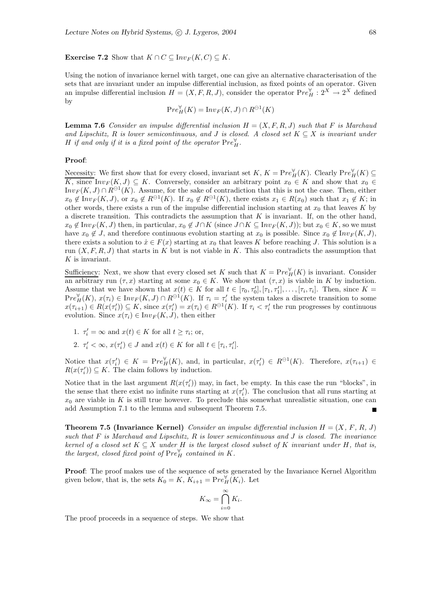**Exercise 7.2** Show that  $K \cap C \subseteq Inv_F(K, C) \subseteq K$ .

Using the notion of invariance kernel with target, one can give an alternative characterisation of the sets that are invariant under an impulse differential inclusion, as fixed points of an operator. Given an impulse differential inclusion  $H = (X, F, R, J)$ , consider the operator  $Pre_H^{\forall} : 2^X \rightarrow 2^X$  defined by

$$
\mathbf{P}re_H^{\forall}(K) = \mathbf{Inv}_F(K, J) \cap R^{\ominus 1}(K)
$$

**Lemma 7.6** Consider an impulse differential inclusion  $H = (X, F, R, J)$  such that F is Marchaud and Lipschitz, R is lower semicontinuous, and J is closed. A closed set  $K \subseteq X$  is invariant under H if and only if it is a fixed point of the operator  $\mathrm{Pre}^{\forall}_H.$ 

#### Proof:

Necessity: We first show that for every closed, invariant set K,  $K = Pre_H^{\forall}(K)$ . Clearly  $Pre_H^{\forall}(K) \subseteq$ K, since  $Inv_F(K, J) \subseteq K$ . Conversely, consider an arbitrary point  $x_0 \in K$  and show that  $x_0 \in$  $Inv_F(K, J) \cap R^{\ominus 1}(K)$ . Assume, for the sake of contradiction that this is not the case. Then, either  $x_0 \notin Inv_F(K, J)$ , or  $x_0 \notin R^{\ominus 1}(K)$ . If  $x_0 \notin R^{\ominus 1}(K)$ , there exists  $x_1 \in R(x_0)$  such that  $x_1 \notin K$ ; in other words, there exists a run of the impulse differential inclusion starting at  $x_0$  that leaves K by a discrete transition. This contradicts the assumption that  $K$  is invariant. If, on the other hand,  $x_0 \notin \text{Inv}_F(K, J)$  then, in particular,  $x_0 \notin J \cap K$  (since  $J \cap K \subseteq \text{Inv}_F(K, J)$ ); but  $x_0 \in K$ , so we must have  $x_0 \notin J$ , and therefore continuous evolution starting at  $x_0$  is possible. Since  $x_0 \notin Inv_F(K, J)$ , there exists a solution to  $\dot{x} \in F(x)$  starting at  $x_0$  that leaves K before reaching J. This solution is a run  $(X, F, R, J)$  that starts in K but is not viable in K. This also contradicts the assumption that  $K$  is invariant.

Sufficiency: Next, we show that every closed set K such that  $K = Pre_H^{\forall}(K)$  is invariant. Consider an arbitrary run  $(\tau, x)$  starting at some  $x_0 \in K$ . We show that  $(\tau, x)$  is viable in K by induction. Assume that we have shown that  $x(t) \in K$  for all  $t \in [\tau_0, \tau'_0], [\tau_1, \tau'_1], \ldots, [\tau_i, \tau_i]$ . Then, since  $K =$  $Pre_{H}^{\forall}(K), x(\tau_i) \in Inv_F(K, J) \cap R^{\ominus 1}(K)$ . If  $\tau_i = \tau'_i$  the system takes a discrete transition to some  $x(\tau_{i+1}) \in R(x(\tau_i')) \subseteq K$ , since  $x(\tau_i') = x(\tau_i) \in R^{\ominus 1}(K)$ . If  $\tau_i < \tau_i'$  the run progresses by continuous evolution. Since  $x(\tau_i) \in Inv_F(K, J)$ , then either

- 1.  $\tau'_i = \infty$  and  $x(t) \in K$  for all  $t \geq \tau_i$ ; or,
- 2.  $\tau'_i < \infty$ ,  $x(\tau'_i) \in J$  and  $x(t) \in K$  for all  $t \in [\tau_i, \tau'_i]$ .

Notice that  $x(\tau_i') \in K = Pre_H^{\forall}(K)$ , and, in particular,  $x(\tau_i') \in R^{\ominus 1}(K)$ . Therefore,  $x(\tau_{i+1}) \in$  $R(x(\tau'_i)) \subseteq K$ . The claim follows by induction.

Notice that in the last argument  $R(x(\tau_i))$  may, in fact, be empty. In this case the run "blocks", in the sense that there exist no infinite runs starting at  $x(\tau_i)$ . The conclusion that all runs starting at  $x_0$  are viable in K is still true however. To preclude this somewhat unrealistic situation, one can add Assumption 7.1 to the lemma and subsequent Theorem 7.5. П

**Theorem 7.5 (Invariance Kernel)** Consider an impulse differential inclusion  $H = (X, F, R, J)$ such that  $F$  is Marchaud and Lipschitz,  $R$  is lower semicontinuous and  $J$  is closed. The invariance kernel of a closed set  $K \subseteq X$  under H is the largest closed subset of K invariant under H, that is, the largest, closed fixed point of  $\text{Pre}_{H}^{\forall}$  contained in K.

Proof: The proof makes use of the sequence of sets generated by the Invariance Kernel Algorithm given below, that is, the sets  $K_0 = K$ ,  $K_{i+1} = Pre_H^{\forall}(K_i)$ . Let

$$
K_{\infty} = \bigcap_{i=0}^{\infty} K_i.
$$

The proof proceeds in a sequence of steps. We show that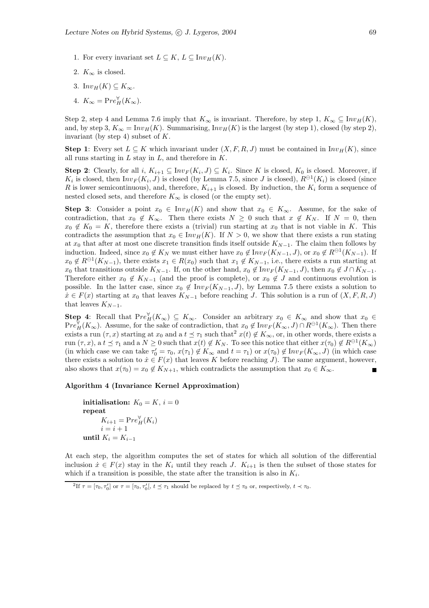- 1. For every invariant set  $L \subseteq K$ ,  $L \subseteq Inv_H(K)$ .
- 2.  $K_{\infty}$  is closed.
- 3. In $v_H(K) \subseteq K_\infty$ .
- 4.  $K_{\infty} = \text{Pre}_{H}^{\forall}(K_{\infty}).$

Step 2, step 4 and Lemma 7.6 imply that  $K_{\infty}$  is invariant. Therefore, by step 1,  $K_{\infty} \subseteq Inv_H(K)$ , and, by step 3,  $K_{\infty} = Inv_H(K)$ . Summarising,  $Inv_H(K)$  is the largest (by step 1), closed (by step 2), invariant (by step 4) subset of  $K$ .

**Step 1**: Every set  $L \subseteq K$  which invariant under  $(X, F, R, J)$  must be contained in  $Inv<sub>H</sub>(K)$ , since all runs starting in  $L$  stay in  $L$ , and therefore in  $K$ .

**Step 2**: Clearly, for all  $i, K_{i+1} \subseteq Inv_F(K_i, J) \subseteq K_i$ . Since K is closed,  $K_0$  is closed. Moreover, if  $K_i$  is closed, then  $Inv_F(K_i, J)$  is closed (by Lemma 7.5, since J is closed),  $R^{\ominus 1}(K_i)$  is closed (since R is lower semicontinuous), and, therefore,  $K_{i+1}$  is closed. By induction, the  $K_i$  form a sequence of nested closed sets, and therefore  $K_{\infty}$  is closed (or the empty set).

Step 3: Consider a point  $x_0 \in Inv_H(K)$  and show that  $x_0 \in K_\infty$ . Assume, for the sake of contradiction, that  $x_0 \notin K_\infty$ . Then there exists  $N \geq 0$  such that  $x \notin K_N$ . If  $N = 0$ , then  $x_0 \notin K_0 = K$ , therefore there exists a (trivial) run starting at  $x_0$  that is not viable in K. This contradicts the assumption that  $x_0 \in Inv_H(K)$ . If  $N > 0$ , we show that there exists a run stating at  $x_0$  that after at most one discrete transition finds itself outside  $K_{N-1}$ . The claim then follows by induction. Indeed, since  $x_0 \notin K_N$  we must either have  $x_0 \notin Inv_F(K_{N-1}, J)$ , or  $x_0 \notin R^{\ominus 1}(K_{N-1})$ . If  $x_0 \notin R^{\ominus 1}(K_{N-1}),$  there exists  $x_1 \in R(x_0)$  such that  $x_1 \notin K_{N-1}$ , i.e., there exists a run starting at  $x_0$  that transitions outside  $K_{N-1}$ . If, on the other hand,  $x_0 \notin Inv_F(K_{N-1}, J)$ , then  $x_0 \notin J \cap K_{N-1}$ . Therefore either  $x_0 \notin K_{N-1}$  (and the proof is complete), or  $x_0 \notin J$  and continuous evolution is possible. In the latter case, since  $x_0 \notin Inv_F(K_{N-1}, J)$ , by Lemma 7.5 there exists a solution to  $\dot{x} \in F(x)$  starting at  $x_0$  that leaves  $K_{N-1}$  before reaching J. This solution is a run of  $(X, F, R, J)$ that leaves  $K_{N-1}$ .

**Step 4:** Recall that  $Pre_H^{\forall}(K_{\infty}) \subseteq K_{\infty}$ . Consider an arbitrary  $x_0 \in K_{\infty}$  and show that  $x_0 \in$  $Pre_H^{\overline{V}}(K_\infty)$ . Assume, for the sake of contradiction, that  $x_0 \notin Inv_F(K_\infty, J) \cap R^{\ominus 1}(K_\infty)$ . Then there exists a run  $(\tau, x)$  starting at  $x_0$  and a  $t \leq \tau_1$  such that<sup>2</sup>  $x(t) \notin K_{\infty}$ , or, in other words, there exists a run  $(\tau, x)$ , a  $t \leq \tau_1$  and a  $N \geq 0$  such that  $x(t) \notin K_N$ . To see this notice that either  $x(\tau_0) \notin R^{\ominus 1}(K_\infty)$ (in which case we can take  $\tau'_0 = \tau_0$ ,  $x(\tau_1) \notin K_\infty$  and  $t = \tau_1$ ) or  $x(\tau_0) \notin Inv_F(K_\infty, J)$  (in which case there exists a solution to  $\dot{x} \in F(x)$  that leaves K before reaching J). The same argument, however, also shows that  $x(\tau_0) = x_0 \notin K_{N+1}$ , which contradicts the assumption that  $x_0 \in K_\infty$ .

### Algorithm 4 (Invariance Kernel Approximation)

initialisation:  $K_0 = K$ ,  $i = 0$ repeat  $K_{i+1} = \text{Pre}_{H}^{\forall}(K_i)$  $i = i + 1$ until  $K_i = K_{i-1}$ 

At each step, the algorithm computes the set of states for which all solution of the differential inclusion  $\dot{x} \in F(x)$  stay in the K<sub>i</sub> until they reach J. K<sub>i+1</sub> is then the subset of those states for which if a transition is possible, the state after the transition is also in  $K_i$ .

<sup>&</sup>lt;sup>2</sup>If  $\tau = [\tau_0, \tau'_0]$  or  $\tau = [\tau_0, \tau'_0[, t \leq \tau_1$  should be replaced by  $t \leq \tau_0$  or, respectively,  $t \prec \tau_0$ .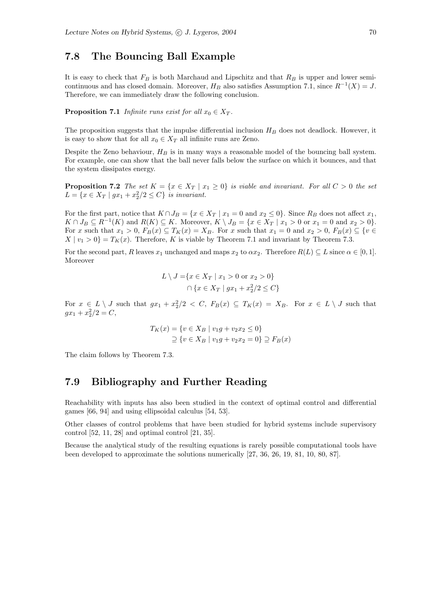# 7.8 The Bouncing Ball Example

It is easy to check that  $F_B$  is both Marchaud and Lipschitz and that  $R_B$  is upper and lower semicontinuous and has closed domain. Moreover,  $H_B$  also satisfies Assumption 7.1, since  $R^{-1}(X) = J$ . Therefore, we can immediately draw the following conclusion.

**Proposition 7.1** Infinite runs exist for all  $x_0 \in X_T$ .

The proposition suggests that the impulse differential inclusion  $H_B$  does not deadlock. However, it is easy to show that for all  $x_0 \in X_T$  all infinite runs are Zeno.

Despite the Zeno behaviour,  $H_B$  is in many ways a reasonable model of the bouncing ball system. For example, one can show that the ball never falls below the surface on which it bounces, and that the system dissipates energy.

**Proposition 7.2** The set  $K = \{x \in X_T | x_1 \geq 0\}$  is viable and invariant. For all  $C > 0$  the set  $L = \{x \in X_T \mid gx_1 + x_2^2/2 \le C\}$  is invariant.

For the first part, notice that  $K \cap J_B = \{x \in X_T \mid x_1 = 0 \text{ and } x_2 \leq 0\}$ . Since  $R_B$  does not affect  $x_1$ ,  $K \cap J_B \subseteq R^{-1}(K)$  and  $R(K) \subseteq K$ . Moreover,  $K \setminus J_B = \{x \in X_T \mid x_1 > 0 \text{ or } x_1 = 0 \text{ and } x_2 > 0\}.$ For x such that  $x_1 > 0$ ,  $F_B(x) \subseteq T_K(x) = X_B$ . For x such that  $x_1 = 0$  and  $x_2 > 0$ ,  $F_B(x) \subseteq \{v \in$  $X | v_1 > 0$  =  $T_K(x)$ . Therefore, K is viable by Theorem 7.1 and invariant by Theorem 7.3.

For the second part, R leaves  $x_1$  unchanged and maps  $x_2$  to  $\alpha x_2$ . Therefore  $R(L) \subseteq L$  since  $\alpha \in [0, 1]$ . Moreover

$$
L \setminus J = \{ x \in X_T \mid x_1 > 0 \text{ or } x_2 > 0 \}
$$

$$
\bigcap \{ x \in X_T \mid gx_1 + x_2^2/2 \le C \}
$$

For  $x \in L \setminus J$  such that  $gx_1 + x_2^2/2 < C$ ,  $F_B(x) \subseteq T_K(x) = X_B$ . For  $x \in L \setminus J$  such that  $gx_1 + x_2^2/2 = C,$ 

$$
T_K(x) = \{ v \in X_B \mid v_1 g + v_2 x_2 \le 0 \}
$$
  
 
$$
\supseteq \{ v \in X_B \mid v_1 g + v_2 x_2 = 0 \} \supseteq F_B(x)
$$

The claim follows by Theorem 7.3.

## 7.9 Bibliography and Further Reading

Reachability with inputs has also been studied in the context of optimal control and differential games [66, 94] and using ellipsoidal calculus [54, 53].

Other classes of control problems that have been studied for hybrid systems include supervisory control [52, 11, 28] and optimal control [21, 35].

Because the analytical study of the resulting equations is rarely possible computational tools have been developed to approximate the solutions numerically [27, 36, 26, 19, 81, 10, 80, 87].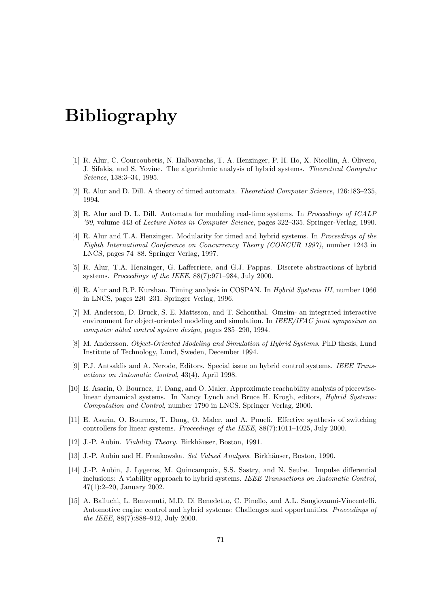# Bibliography

- [1] R. Alur, C. Courcoubetis, N. Halbawachs, T. A. Henzinger, P. H. Ho, X. Nicollin, A. Olivero, J. Sifakis, and S. Yovine. The algorithmic analysis of hybrid systems. Theoretical Computer Science, 138:3–34, 1995.
- [2] R. Alur and D. Dill. A theory of timed automata. Theoretical Computer Science, 126:183–235, 1994.
- [3] R. Alur and D. L. Dill. Automata for modeling real-time systems. In Proceedings of ICALP '90, volume 443 of Lecture Notes in Computer Science, pages 322–335. Springer-Verlag, 1990.
- [4] R. Alur and T.A. Henzinger. Modularity for timed and hybrid systems. In Proceedings of the Eighth International Conference on Concurrency Theory (CONCUR 1997), number 1243 in LNCS, pages 74–88. Springer Verlag, 1997.
- [5] R. Alur, T.A. Henzinger, G. Lafferriere, and G.J. Pappas. Discrete abstractions of hybrid systems. Proceedings of the IEEE, 88(7):971–984, July 2000.
- [6] R. Alur and R.P. Kurshan. Timing analysis in COSPAN. In Hybrid Systems III, number 1066 in LNCS, pages 220–231. Springer Verlag, 1996.
- [7] M. Anderson, D. Bruck, S. E. Mattsson, and T. Schonthal. Omsim- an integrated interactive environment for object-oriented modeling and simulation. In IEEE/IFAC joint symposium on computer aided control system design, pages 285–290, 1994.
- [8] M. Andersson. Object-Oriented Modeling and Simulation of Hybrid Systems. PhD thesis, Lund Institute of Technology, Lund, Sweden, December 1994.
- [9] P.J. Antsaklis and A. Nerode, Editors. Special issue on hybrid control systems. IEEE Transactions on Automatic Control, 43(4), April 1998.
- [10] E. Asarin, O. Bournez, T. Dang, and O. Maler. Approximate reachability analysis of piecewiselinear dynamical systems. In Nancy Lynch and Bruce H. Krogh, editors, Hybrid Systems: Computation and Control, number 1790 in LNCS. Springer Verlag, 2000.
- [11] E. Asarin, O. Bournez, T. Dang, O. Maler, and A. Pnueli. Effective synthesis of switching controllers for linear systems. Proceedings of the IEEE, 88(7):1011–1025, July 2000.
- [12] J.-P. Aubin. *Viability Theory*. Birkhäuser, Boston, 1991.
- [13] J.-P. Aubin and H. Frankowska. Set Valued Analysis. Birkhäuser, Boston, 1990.
- [14] J.-P. Aubin, J. Lygeros, M. Quincampoix, S.S. Sastry, and N. Seube. Impulse differential inclusions: A viability approach to hybrid systems. IEEE Transactions on Automatic Control, 47(1):2–20, January 2002.
- [15] A. Balluchi, L. Benvenuti, M.D. Di Benedetto, C. Pinello, and A.L. Sangiovanni-Vincentelli. Automotive engine control and hybrid systems: Challenges and opportunities. Proceedings of the IEEE, 88(7):888–912, July 2000.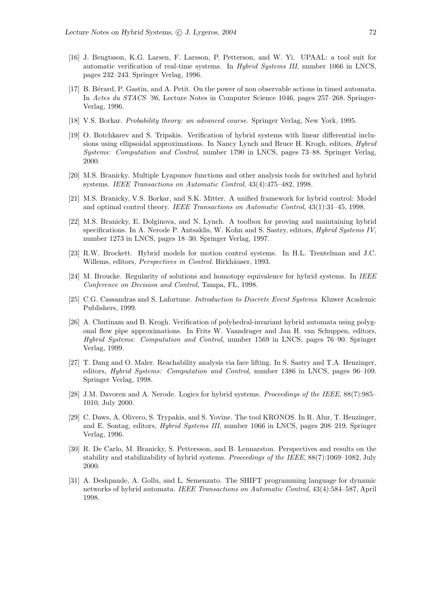- [16] J. Bengtsson, K.G. Larsen, F. Larsson, P. Petterson, and W. Yi. UPAAL: a tool suit for automatic verification of real-time systems. In Hybrid Systems III, number 1066 in LNCS, pages 232–243. Springer Verlag, 1996.
- [17] B. Bérard, P. Gastin, and A. Petit. On the power of non observable actions in timed automata. In Actes du STACS '96, Lecture Notes in Computer Science 1046, pages 257–268. Springer-Verlag, 1996.
- [18] V.S. Borkar. Probability theory: an advanced course. Springer Verlag, New York, 1995.
- [19] O. Botchkarev and S. Tripakis. Verification of hybrid systems with linear differential inclusions using ellipsoidal approximations. In Nancy Lynch and Bruce H. Krogh, editors, Hybrid Systems: Computation and Control, number 1790 in LNCS, pages 73–88. Springer Verlag, 2000.
- [20] M.S. Branicky. Multiple Lyapunov functions and other analysis tools for switched and hybrid systems. IEEE Transactions on Automatic Control, 43(4):475–482, 1998.
- [21] M.S. Branicky, V.S. Borkar, and S.K. Mitter. A unified framework for hybrid control: Model and optimal control theory. IEEE Transactions on Automatic Control, 43(1):31–45, 1998.
- [22] M.S. Branicky, E. Dolginova, and N. Lynch. A toolbox for proving and maintaining hybrid specifications. In A. Nerode P. Antsaklis, W. Kohn and S. Sastry, editors, Hybrid Systems IV, number 1273 in LNCS, pages 18–30. Springer Verlag, 1997.
- [23] R.W. Brockett. Hybrid models for motion control systems. In H.L. Trentelman and J.C. Willems, editors, Perspectives in Control. Birkhäuser, 1993.
- [24] M. Broucke. Regularity of solutions and homotopy equivalence for hybrid systems. In IEEE Conference on Decision and Control, Tampa, FL, 1998.
- [25] C.G. Cassandras and S. Lafortune. Introduction to Discrete Event Systems. Kluwer Academic Publishers, 1999.
- [26] A. Chutinam and B. Krogh. Verification of polyhedral-invariant hybrid automata using polygonal flow pipe approximations. In Frits W. Vaandrager and Jan H. van Schuppen, editors, Hybrid Systems: Computation and Control, number 1569 in LNCS, pages 76–90. Springer Verlag, 1999.
- [27] T. Dang and O. Maler. Reachability analysis via face lifting. In S. Sastry and T.A. Henzinger, editors, Hybrid Systems: Computation and Control, number 1386 in LNCS, pages 96–109. Springer Verlag, 1998.
- [28] J.M. Davoren and A. Nerode. Logics for hybrid systems. Proceedings of the IEEE, 88(7):985– 1010, July 2000.
- [29] C. Daws, A. Olivero, S. Trypakis, and S. Yovine. The tool KRONOS. In R. Alur, T. Henzinger, and E. Sontag, editors, Hybrid Systems III, number 1066 in LNCS, pages 208–219. Springer Verlag, 1996.
- [30] R. De Carlo, M. Branicky, S. Pettersson, and B. Lennarston. Perspectives and results on the stability and stabilizability of hybrid systems. Proceedings of the IEEE, 88(7):1069–1082, July 2000.
- [31] A. Deshpande, A. Gollu, and L. Semenzato. The SHIFT programming language for dynamic networks of hybrid automata. IEEE Transactions on Automatic Control, 43(4):584–587, April 1998.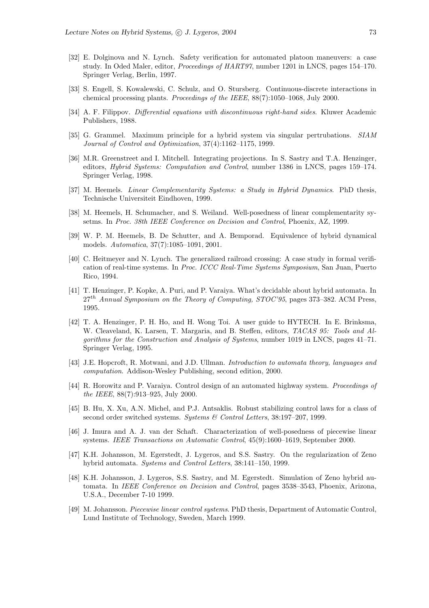- [32] E. Dolginova and N. Lynch. Safety verification for automated platoon maneuvers: a case study. In Oded Maler, editor, Proceedings of HART97, number 1201 in LNCS, pages 154–170. Springer Verlag, Berlin, 1997.
- [33] S. Engell, S. Kowalewski, C. Schulz, and O. Stursberg. Continuous-discrete interactions in chemical processing plants. Proceedings of the IEEE, 88(7):1050–1068, July 2000.
- [34] A. F. Filippov. Differential equations with discontinuous right-hand sides. Kluwer Academic Publishers, 1988.
- [35] G. Grammel. Maximum principle for a hybrid system via singular pertrubations. SIAM Journal of Control and Optimization, 37(4):1162–1175, 1999.
- [36] M.R. Greenstreet and I. Mitchell. Integrating projections. In S. Sastry and T.A. Henzinger, editors, Hybrid Systems: Computation and Control, number 1386 in LNCS, pages 159–174. Springer Verlag, 1998.
- [37] M. Heemels. *Linear Complementarity Systems: a Study in Hybrid Dynamics*. PhD thesis, Technische Universiteit Eindhoven, 1999.
- [38] M. Heemels, H. Schumacher, and S. Weiland. Well-posedness of linear complementarity sysetms. In Proc. 38th IEEE Conference on Decision and Control, Phoenix, AZ, 1999.
- [39] W. P. M. Heemels, B. De Schutter, and A. Bemporad. Equivalence of hybrid dynamical models. Automatica, 37(7):1085–1091, 2001.
- [40] C. Heitmeyer and N. Lynch. The generalized railroad crossing: A case study in formal verification of real-time systems. In Proc. ICCC Real-Time Systems Symposium, San Juan, Puerto Rico, 1994.
- [41] T. Henzinger, P. Kopke, A. Puri, and P. Varaiya. What's decidable about hybrid automata. In  $27<sup>th</sup>$  Annual Symposium on the Theory of Computing, STOC'95, pages 373-382. ACM Press, 1995.
- [42] T. A. Henzinger, P. H. Ho, and H. Wong Toi. A user guide to HYTECH. In E. Brinksma, W. Cleaveland, K. Larsen, T. Margaria, and B. Steffen, editors, TACAS 95: Tools and Algorithms for the Construction and Analysis of Systems, number 1019 in LNCS, pages 41–71. Springer Verlag, 1995.
- [43] J.E. Hopcroft, R. Motwani, and J.D. Ullman. Introduction to automata theory, languages and computation. Addison-Wesley Publishing, second edition, 2000.
- [44] R. Horowitz and P. Varaiya. Control design of an automated highway system. Proceedings of the IEEE, 88(7):913–925, July 2000.
- [45] B. Hu, X. Xu, A.N. Michel, and P.J. Antsaklis. Robust stabilizing control laws for a class of second order switched systems. Systems & Control Letters, 38:197–207, 1999.
- [46] J. Imura and A. J. van der Schaft. Characterization of well-posedness of piecewise linear systems. IEEE Transactions on Automatic Control, 45(9):1600–1619, September 2000.
- [47] K.H. Johansson, M. Egerstedt, J. Lygeros, and S.S. Sastry. On the regularization of Zeno hybrid automata. Systems and Control Letters, 38:141–150, 1999.
- [48] K.H. Johansson, J. Lygeros, S.S. Sastry, and M. Egerstedt. Simulation of Zeno hybrid automata. In IEEE Conference on Decision and Control, pages 3538–3543, Phoenix, Arizona, U.S.A., December 7-10 1999.
- [49] M. Johansson. Piecewise linear control systems. PhD thesis, Department of Automatic Control, Lund Institute of Technology, Sweden, March 1999.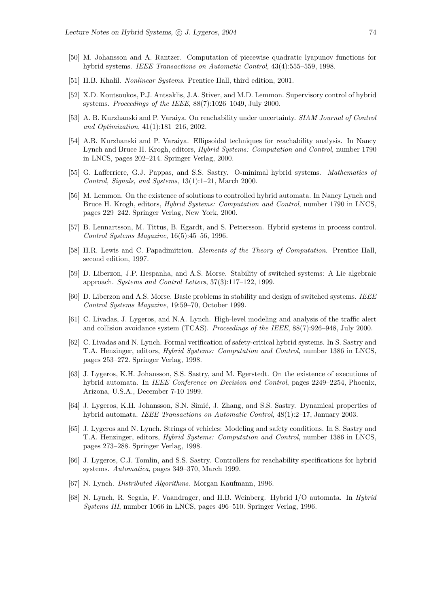- [50] M. Johansson and A. Rantzer. Computation of piecewise quadratic lyapunov functions for hybrid systems. IEEE Transactions on Automatic Control, 43(4):555–559, 1998.
- [51] H.B. Khalil. Nonlinear Systems. Prentice Hall, third edition, 2001.
- [52] X.D. Koutsoukos, P.J. Antsaklis, J.A. Stiver, and M.D. Lemmon. Supervisory control of hybrid systems. Proceedings of the IEEE, 88(7):1026–1049, July 2000.
- [53] A. B. Kurzhanski and P. Varaiya. On reachability under uncertainty. SIAM Journal of Control and Optimization, 41(1):181–216, 2002.
- [54] A.B. Kurzhanski and P. Varaiya. Ellipsoidal techniques for reachability analysis. In Nancy Lynch and Bruce H. Krogh, editors, Hybrid Systems: Computation and Control, number 1790 in LNCS, pages 202–214. Springer Verlag, 2000.
- [55] G. Lafferriere, G.J. Pappas, and S.S. Sastry. O-minimal hybrid systems. Mathematics of Control, Signals, and Systems, 13(1):1–21, March 2000.
- [56] M. Lemmon. On the existence of solutions to controlled hybrid automata. In Nancy Lynch and Bruce H. Krogh, editors, Hybrid Systems: Computation and Control, number 1790 in LNCS, pages 229–242. Springer Verlag, New York, 2000.
- [57] B. Lennartsson, M. Tittus, B. Egardt, and S. Pettersson. Hybrid systems in process control. Control Systems Magazine, 16(5):45–56, 1996.
- [58] H.R. Lewis and C. Papadimitriou. Elements of the Theory of Computation. Prentice Hall, second edition, 1997.
- [59] D. Liberzon, J.P. Hespanha, and A.S. Morse. Stability of switched systems: A Lie algebraic approach. Systems and Control Letters, 37(3):117–122, 1999.
- [60] D. Liberzon and A.S. Morse. Basic problems in stability and design of switched systems. IEEE Control Systems Magazine, 19:59–70, October 1999.
- [61] C. Livadas, J. Lygeros, and N.A. Lynch. High-level modeling and analysis of the traffic alert and collision avoidance system (TCAS). Proceedings of the IEEE, 88(7):926–948, July 2000.
- [62] C. Livadas and N. Lynch. Formal verification of safety-critical hybrid systems. In S. Sastry and T.A. Henzinger, editors, Hybrid Systems: Computation and Control, number 1386 in LNCS, pages 253–272. Springer Verlag, 1998.
- [63] J. Lygeros, K.H. Johansson, S.S. Sastry, and M. Egerstedt. On the existence of executions of hybrid automata. In IEEE Conference on Decision and Control, pages 2249–2254, Phoenix, Arizona, U.S.A., December 7-10 1999.
- [64] J. Lygeros, K.H. Johansson, S.N. Simić, J. Zhang, and S.S. Sastry. Dynamical properties of hybrid automata. IEEE Transactions on Automatic Control, 48(1):2–17, January 2003.
- [65] J. Lygeros and N. Lynch. Strings of vehicles: Modeling and safety conditions. In S. Sastry and T.A. Henzinger, editors, Hybrid Systems: Computation and Control, number 1386 in LNCS, pages 273–288. Springer Verlag, 1998.
- [66] J. Lygeros, C.J. Tomlin, and S.S. Sastry. Controllers for reachability specifications for hybrid systems. Automatica, pages 349–370, March 1999.
- [67] N. Lynch. Distributed Algorithms. Morgan Kaufmann, 1996.
- [68] N. Lynch, R. Segala, F. Vaandrager, and H.B. Weinberg. Hybrid I/O automata. In Hybrid Systems III, number 1066 in LNCS, pages 496–510. Springer Verlag, 1996.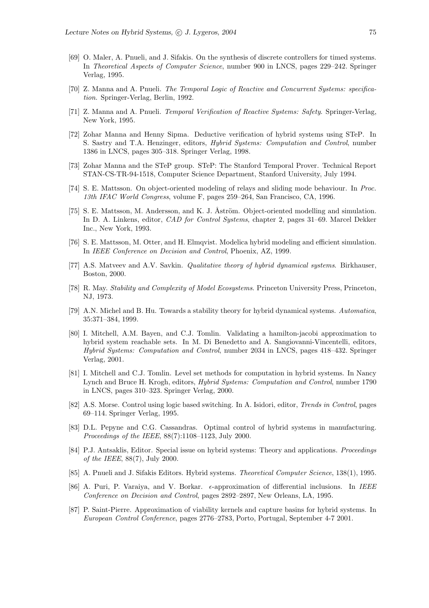- [69] O. Maler, A. Pnueli, and J. Sifakis. On the synthesis of discrete controllers for timed systems. In Theoretical Aspects of Computer Science, number 900 in LNCS, pages 229–242. Springer Verlag, 1995.
- [70] Z. Manna and A. Pnueli. The Temporal Logic of Reactive and Concurrent Systems: specification. Springer-Verlag, Berlin, 1992.
- [71] Z. Manna and A. Pnueli. Temporal Verification of Reactive Systems: Safety. Springer-Verlag, New York, 1995.
- [72] Zohar Manna and Henny Sipma. Deductive verification of hybrid systems using STeP. In S. Sastry and T.A. Henzinger, editors, Hybrid Systems: Computation and Control, number 1386 in LNCS, pages 305–318. Springer Verlag, 1998.
- [73] Zohar Manna and the STeP group. STeP: The Stanford Temporal Prover. Technical Report STAN-CS-TR-94-1518, Computer Science Department, Stanford University, July 1994.
- [74] S. E. Mattsson. On object-oriented modeling of relays and sliding mode behaviour. In Proc. 13th IFAC World Congress, volume F, pages 259–264, San Francisco, CA, 1996.
- [75] S. E. Mattsson, M. Andersson, and K. J. Åström. Object-oriented modelling and simulation. In D. A. Linkens, editor, CAD for Control Systems, chapter 2, pages 31–69. Marcel Dekker Inc., New York, 1993.
- [76] S. E. Mattsson, M. Otter, and H. Elmqvist. Modelica hybrid modeling and efficient simulation. In IEEE Conference on Decision and Control, Phoenix, AZ, 1999.
- [77] A.S. Matveev and A.V. Savkin. Qualitative theory of hybrid dynamical systems. Birkhauser, Boston, 2000.
- [78] R. May. Stability and Complexity of Model Ecosystems. Princeton University Press, Princeton, NJ, 1973.
- [79] A.N. Michel and B. Hu. Towards a stability theory for hybrid dynamical systems. Automatica, 35:371–384, 1999.
- [80] I. Mitchell, A.M. Bayen, and C.J. Tomlin. Validating a hamilton-jacobi approximation to hybrid system reachable sets. In M. Di Benedetto and A. Sangiovanni-Vincentelli, editors, Hybrid Systems: Computation and Control, number 2034 in LNCS, pages 418–432. Springer Verlag, 2001.
- [81] I. Mitchell and C.J. Tomlin. Level set methods for computation in hybrid systems. In Nancy Lynch and Bruce H. Krogh, editors, Hybrid Systems: Computation and Control, number 1790 in LNCS, pages 310–323. Springer Verlag, 2000.
- [82] A.S. Morse. Control using logic based switching. In A. Isidori, editor, Trends in Control, pages 69–114. Springer Verlag, 1995.
- [83] D.L. Pepyne and C.G. Cassandras. Optimal control of hybrid systems in manufacturing. Proceedings of the IEEE, 88(7):1108–1123, July 2000.
- [84] P.J. Antsaklis, Editor. Special issue on hybrid systems: Theory and applications. Proceedings of the IEEE, 88(7), July 2000.
- [85] A. Pnueli and J. Sifakis Editors. Hybrid systems. Theoretical Computer Science, 138(1), 1995.
- [86] A. Puri, P. Varaiya, and V. Borkar.  $\epsilon$ -approximation of differential inclusions. In IEEE Conference on Decision and Control, pages 2892–2897, New Orleans, LA, 1995.
- [87] P. Saint-Pierre. Approximation of viability kernels and capture basins for hybrid systems. In European Control Conference, pages 2776–2783, Porto, Portugal, September 4-7 2001.